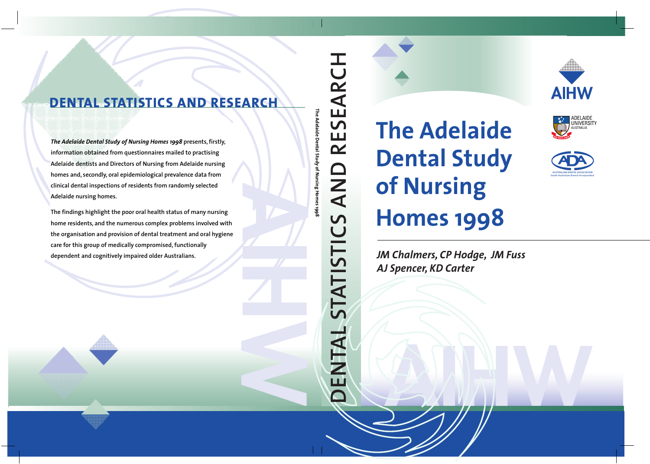

ADELAIDE<br>UNIVERSITY



# **Homes 1998**



*AJ Spencer, KD Carter*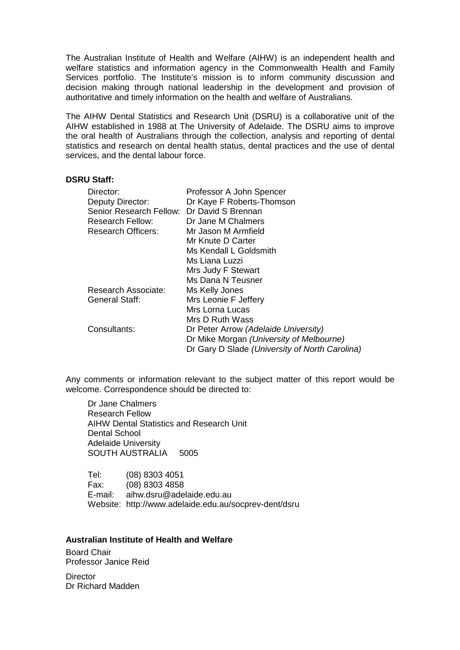The Australian Institute of Health and Welfare (AIHW) is an independent health and welfare statistics and information agency in the Commonwealth Health and Family Services portfolio. The Institute's mission is to inform community discussion and decision making through national leadership in the development and provision of authoritative and timely information on the health and welfare of Australians.

The AIHW Dental Statistics and Research Unit (DSRU) is a collaborative unit of the AIHW established in 1988 at The University of Adelaide. The DSRU aims to improve the oral health of Australians through the collection, analysis and reporting of dental statistics and research on dental health status, dental practices and the use of dental services, and the dental labour force.

#### **DSRU Staff:**

| Director:                 | Professor A John Spencer                       |
|---------------------------|------------------------------------------------|
| Deputy Director:          | Dr Kaye F Roberts-Thomson                      |
| Senior Research Fellow:   | Dr David S Brennan                             |
| <b>Research Fellow:</b>   | Dr Jane M Chalmers                             |
| <b>Research Officers:</b> | Mr Jason M Armfield                            |
|                           | Mr Knute D Carter                              |
|                           | Ms Kendall L Goldsmith                         |
|                           | Ms Liana Luzzi                                 |
|                           | Mrs Judy F Stewart                             |
|                           | Ms Dana N Teusner                              |
| Research Associate:       | Ms Kelly Jones                                 |
| <b>General Staff:</b>     | Mrs Leonie F Jeffery                           |
|                           | Mrs Lorna Lucas                                |
|                           | Mrs D Ruth Wass                                |
| Consultants:              | Dr Peter Arrow (Adelaide University)           |
|                           | Dr Mike Morgan (University of Melbourne)       |
|                           | Dr Gary D Slade (University of North Carolina) |

Any comments or information relevant to the subject matter of this report would be welcome. Correspondence should be directed to:

Dr Jane Chalmers Research Fellow AIHW Dental Statistics and Research Unit Dental School Adelaide University SOUTH AUSTRALIA 5005

Tel: (08) 8303 4051 Fax: (08) 8303 4858 E-mail: aihw.dsru@adelaide.edu.au Website: http://www.adelaide.edu.au/socprev-dent/dsru

#### **Australian Institute of Health and Welfare**

Board Chair Professor Janice Reid

**Director** Dr Richard Madden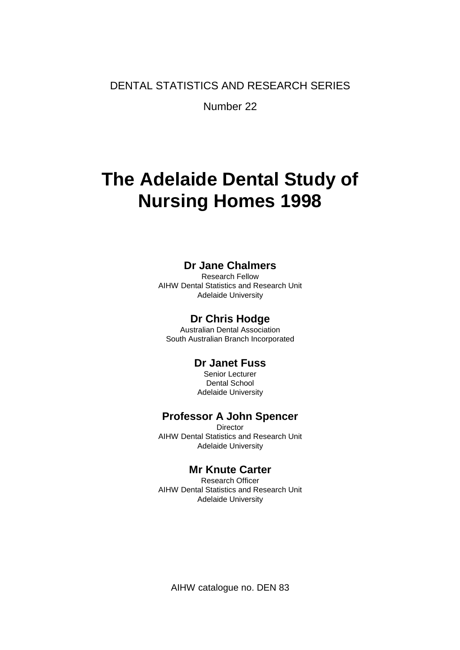DENTAL STATISTICS AND RESEARCH SERIES

Number 22

# **The Adelaide Dental Study of Nursing Homes 1998**

### **Dr Jane Chalmers**

Research Fellow AIHW Dental Statistics and Research Unit Adelaide University

### **Dr Chris Hodge**

Australian Dental Association South Australian Branch Incorporated

### **Dr Janet Fuss**

Senior Lecturer Dental School Adelaide University

### **Professor A John Spencer**

**Director** AIHW Dental Statistics and Research Unit Adelaide University

### **Mr Knute Carter**

Research Officer AIHW Dental Statistics and Research Unit Adelaide University

AIHW catalogue no. DEN 83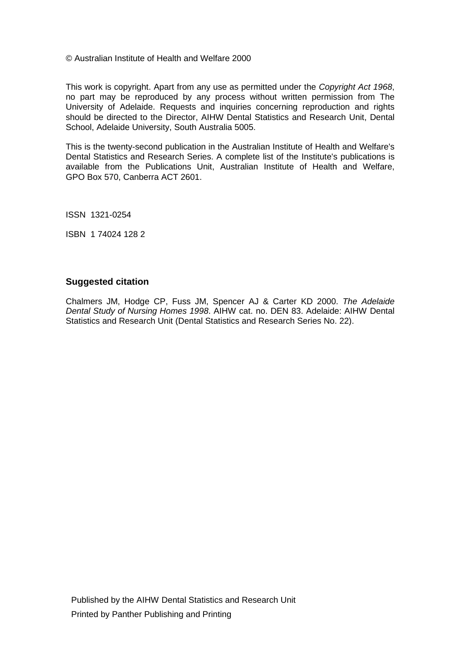© Australian Institute of Health and Welfare 2000

This work is copyright. Apart from any use as permitted under the *Copyright Act 1968*, no part may be reproduced by any process without written permission from The University of Adelaide. Requests and inquiries concerning reproduction and rights should be directed to the Director, AIHW Dental Statistics and Research Unit, Dental School, Adelaide University, South Australia 5005.

This is the twenty-second publication in the Australian Institute of Health and Welfare's Dental Statistics and Research Series. A complete list of the Institute's publications is available from the Publications Unit, Australian Institute of Health and Welfare, GPO Box 570, Canberra ACT 2601.

ISSN 1321-0254

ISBN 1 74024 128 2

#### **Suggested citation**

Chalmers JM, Hodge CP, Fuss JM, Spencer AJ & Carter KD 2000. *The Adelaide Dental Study of Nursing Homes 1998*. AIHW cat. no. DEN 83. Adelaide: AIHW Dental Statistics and Research Unit (Dental Statistics and Research Series No. 22).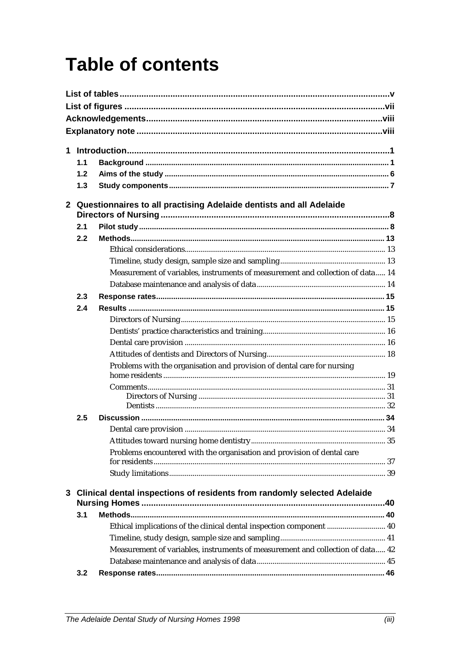# **Table of contents**

| 1            |     |                                                                                |  |
|--------------|-----|--------------------------------------------------------------------------------|--|
|              |     |                                                                                |  |
|              | 1.1 |                                                                                |  |
|              | 1.2 |                                                                                |  |
|              | 1.3 |                                                                                |  |
| $\mathbf{2}$ |     | Questionnaires to all practising Adelaide dentists and all Adelaide            |  |
|              |     |                                                                                |  |
|              | 2.1 |                                                                                |  |
|              | 2.2 |                                                                                |  |
|              |     |                                                                                |  |
|              |     |                                                                                |  |
|              |     | Measurement of variables, instruments of measurement and collection of data 14 |  |
|              |     |                                                                                |  |
|              | 2.3 |                                                                                |  |
|              | 2.4 |                                                                                |  |
|              |     |                                                                                |  |
|              |     |                                                                                |  |
|              |     |                                                                                |  |
|              |     |                                                                                |  |
|              |     | Problems with the organisation and provision of dental care for nursing        |  |
|              |     |                                                                                |  |
|              |     |                                                                                |  |
|              |     |                                                                                |  |
|              | 2.5 |                                                                                |  |
|              |     |                                                                                |  |
|              |     |                                                                                |  |
|              |     | Problems encountered with the organisation and provision of dental care        |  |
|              |     |                                                                                |  |
|              |     |                                                                                |  |
|              |     | 3 Clinical dental inspections of residents from randomly selected Adelaide     |  |
|              | 3.1 |                                                                                |  |
|              |     | Ethical implications of the clinical dental inspection component  40           |  |
|              |     |                                                                                |  |
|              |     | Measurement of variables, instruments of measurement and collection of data 42 |  |
|              |     |                                                                                |  |
|              | 3.2 |                                                                                |  |
|              |     |                                                                                |  |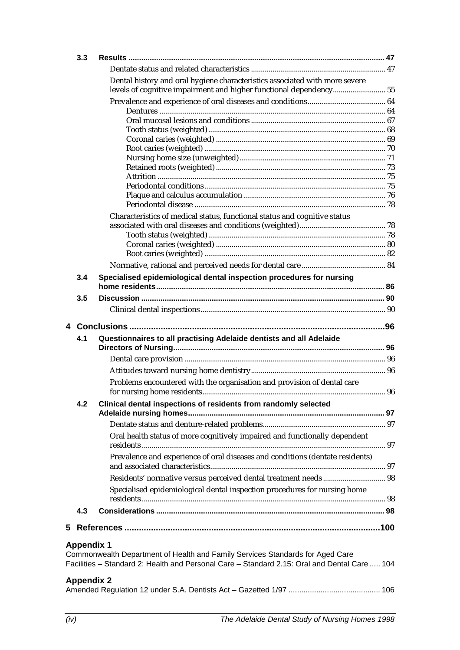|   | 3.3        |                                                                                                                                                                               |  |
|---|------------|-------------------------------------------------------------------------------------------------------------------------------------------------------------------------------|--|
|   |            |                                                                                                                                                                               |  |
|   |            | Dental history and oral hygiene characteristics associated with more severe<br>levels of cognitive impairment and higher functional dependency55                              |  |
|   |            |                                                                                                                                                                               |  |
|   |            |                                                                                                                                                                               |  |
|   |            |                                                                                                                                                                               |  |
|   |            |                                                                                                                                                                               |  |
|   |            |                                                                                                                                                                               |  |
|   |            |                                                                                                                                                                               |  |
|   |            |                                                                                                                                                                               |  |
|   |            |                                                                                                                                                                               |  |
|   |            |                                                                                                                                                                               |  |
|   |            |                                                                                                                                                                               |  |
|   |            |                                                                                                                                                                               |  |
|   |            | Characteristics of medical status, functional status and cognitive status                                                                                                     |  |
|   |            |                                                                                                                                                                               |  |
|   |            |                                                                                                                                                                               |  |
|   |            |                                                                                                                                                                               |  |
|   |            |                                                                                                                                                                               |  |
|   |            |                                                                                                                                                                               |  |
|   | 3.4        | Specialised epidemiological dental inspection procedures for nursing                                                                                                          |  |
|   | 3.5        |                                                                                                                                                                               |  |
|   |            |                                                                                                                                                                               |  |
|   |            |                                                                                                                                                                               |  |
| 4 |            |                                                                                                                                                                               |  |
|   | 4.1        | Questionnaires to all practising Adelaide dentists and all Adelaide                                                                                                           |  |
|   |            |                                                                                                                                                                               |  |
|   |            |                                                                                                                                                                               |  |
|   |            | Problems encountered with the organisation and provision of dental care                                                                                                       |  |
|   | 4.2        | Clinical dental inspections of residents from randomly selected                                                                                                               |  |
|   |            |                                                                                                                                                                               |  |
|   |            | Oral health status of more cognitively impaired and functionally dependent                                                                                                    |  |
|   |            | Prevalence and experience of oral diseases and conditions (dentate residents)                                                                                                 |  |
|   |            |                                                                                                                                                                               |  |
|   |            |                                                                                                                                                                               |  |
|   |            | Specialised epidemiological dental inspection procedures for nursing home                                                                                                     |  |
|   | 4.3        |                                                                                                                                                                               |  |
|   |            |                                                                                                                                                                               |  |
|   |            |                                                                                                                                                                               |  |
|   | Appendix 1 | Commonwealth Department of Health and Family Services Standards for Aged Care<br>Facilities - Standard 2: Health and Personal Care - Standard 2.15: Oral and Dental Care  104 |  |
|   | Appendix 2 |                                                                                                                                                                               |  |
|   |            |                                                                                                                                                                               |  |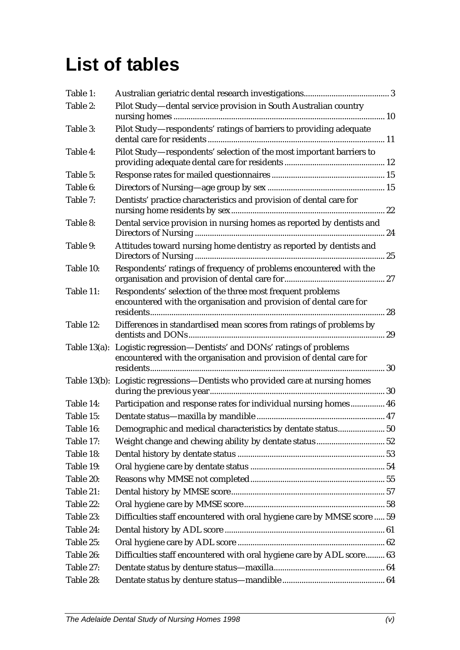# **List of tables**

| Table 1:  |                                                                                                                                                |    |
|-----------|------------------------------------------------------------------------------------------------------------------------------------------------|----|
| Table 2:  | Pilot Study-dental service provision in South Australian country                                                                               |    |
|           |                                                                                                                                                |    |
| Table 3:  | Pilot Study-respondents' ratings of barriers to providing adequate                                                                             |    |
| Table 4:  | Pilot Study-respondents' selection of the most important barriers to                                                                           |    |
|           |                                                                                                                                                |    |
| Table 5:  |                                                                                                                                                |    |
| Table 6:  |                                                                                                                                                |    |
| Table 7:  | Dentists' practice characteristics and provision of dental care for                                                                            |    |
| Table 8:  | Dental service provision in nursing homes as reported by dentists and                                                                          |    |
| Table 9:  | Attitudes toward nursing home dentistry as reported by dentists and                                                                            |    |
| Table 10: | Respondents' ratings of frequency of problems encountered with the                                                                             |    |
| Table 11: | Respondents' selection of the three most frequent problems<br>encountered with the organisation and provision of dental care for               | 28 |
| Table 12: | Differences in standardised mean scores from ratings of problems by                                                                            |    |
|           | Table 13(a): Logistic regression-Dentists' and DONs' ratings of problems<br>encountered with the organisation and provision of dental care for |    |
|           | Table 13(b): Logistic regressions-Dentists who provided care at nursing homes                                                                  |    |
| Table 14: | Participation and response rates for individual nursing homes 46                                                                               |    |
| Table 15: |                                                                                                                                                |    |
| Table 16: | Demographic and medical characteristics by dentate status 50                                                                                   |    |
| Table 17: |                                                                                                                                                |    |
| Table 18: |                                                                                                                                                |    |
| Table 19: |                                                                                                                                                |    |
| Table 20: |                                                                                                                                                |    |
| Table 21: |                                                                                                                                                |    |
| Table 22: |                                                                                                                                                |    |
| Table 23: | Difficulties staff encountered with oral hygiene care by MMSE score  59                                                                        |    |
| Table 24: |                                                                                                                                                |    |
| Table 25: |                                                                                                                                                |    |
| Table 26: | Difficulties staff encountered with oral hygiene care by ADL score 63                                                                          |    |
| Table 27: |                                                                                                                                                |    |
| Table 28: |                                                                                                                                                |    |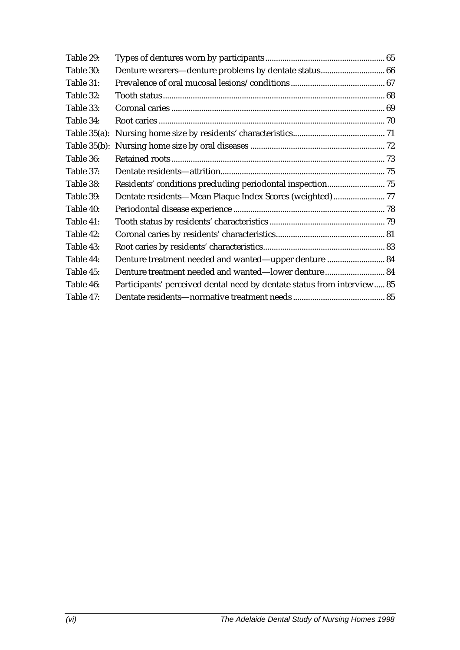| Denture treatment needed and wanted-upper denture  84                   |  |
|-------------------------------------------------------------------------|--|
| Denture treatment needed and wanted-lower denture 84                    |  |
| Participants' perceived dental need by dentate status from interview 85 |  |
|                                                                         |  |
|                                                                         |  |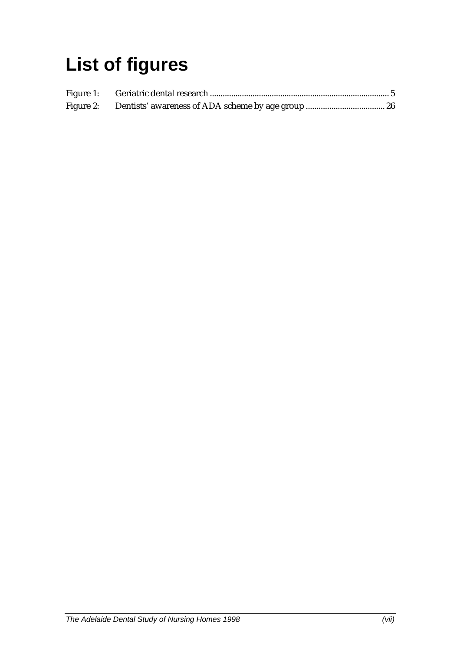# **List of figures**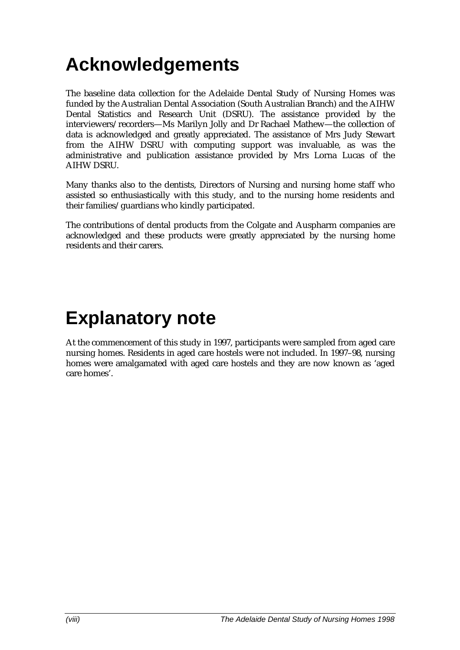# **Acknowledgements**

The baseline data collection for the Adelaide Dental Study of Nursing Homes was funded by the Australian Dental Association (South Australian Branch) and the AIHW Dental Statistics and Research Unit (DSRU). The assistance provided by the interviewers/recorders—Ms Marilyn Jolly and Dr Rachael Mathew—the collection of data is acknowledged and greatly appreciated. The assistance of Mrs Judy Stewart from the AIHW DSRU with computing support was invaluable, as was the administrative and publication assistance provided by Mrs Lorna Lucas of the AIHW DSRU.

Many thanks also to the dentists, Directors of Nursing and nursing home staff who assisted so enthusiastically with this study, and to the nursing home residents and their families/guardians who kindly participated.

The contributions of dental products from the Colgate and Auspharm companies are acknowledged and these products were greatly appreciated by the nursing home residents and their carers.

## **Explanatory note**

At the commencement of this study in 1997, participants were sampled from aged care nursing homes. Residents in aged care hostels were not included. In 1997–98, nursing homes were amalgamated with aged care hostels and they are now known as 'aged care homes'.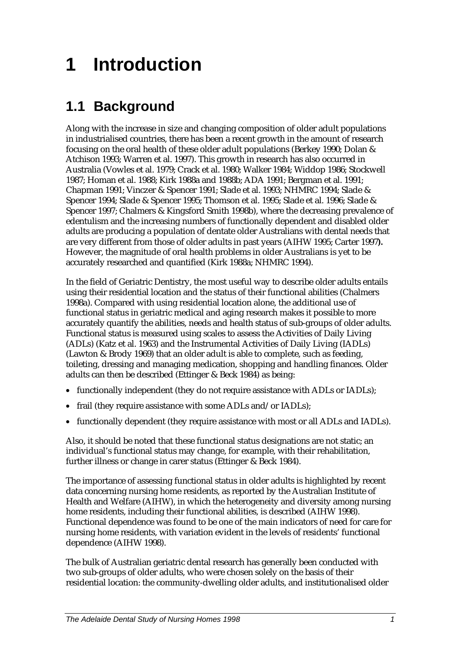# **1 Introduction**

### **1.1 Background**

Along with the increase in size and changing composition of older adult populations in industrialised countries, there has been a recent growth in the amount of research focusing on the oral health of these older adult populations (Berkey 1990; Dolan & Atchison 1993; Warren et al. 1997). This growth in research has also occurred in Australia (Vowles et al. 1979; Crack et al. 1980; Walker 1984; Widdop 1986; Stockwell 1987; Homan et al. 1988; Kirk 1988a and 1988b; ADA 1991; Bergman et al. 1991; Chapman 1991; Vinczer & Spencer 1991; Slade et al. 1993; NHMRC 1994; Slade & Spencer 1994; Slade & Spencer 1995; Thomson et al. 1995; Slade et al. 1996; Slade & Spencer 1997; Chalmers & Kingsford Smith 1998b), where the decreasing prevalence of edentulism and the increasing numbers of functionally dependent and disabled older adults are producing a population of dentate older Australians with dental needs that are very different from those of older adults in past years (AIHW 1995; Carter 1997*).* However, the magnitude of oral health problems in older Australians is yet to be accurately researched and quantified (Kirk 1988a; NHMRC 1994).

In the field of Geriatric Dentistry, the most useful way to describe older adults entails using their residential location and the status of their functional abilities (Chalmers 1998a). Compared with using residential location alone, the additional use of functional status in geriatric medical and aging research makes it possible to more accurately quantify the abilities, needs and health status of sub-groups of older adults. Functional status is measured using scales to assess the Activities of Daily Living (ADLs) (Katz et al. 1963) and the Instrumental Activities of Daily Living (IADLs) (Lawton & Brody 1969) that an older adult is able to complete, such as feeding, toileting, dressing and managing medication, shopping and handling finances. Older adults can then be described (Ettinger & Beck 1984) as being:

- functionally independent (they do not require assistance with ADLs or IADLs);
- frail (they require assistance with some ADLs and/or IADLs);
- functionally dependent (they require assistance with most or all ADLs and IADLs).

Also, it should be noted that these functional status designations are not static; an individual's functional status may change, for example, with their rehabilitation, further illness or change in carer status (Ettinger & Beck 1984).

The importance of assessing functional status in older adults is highlighted by recent data concerning nursing home residents, as reported by the Australian Institute of Health and Welfare (AIHW), in which the heterogeneity and diversity among nursing home residents, including their functional abilities, is described (AIHW 1998). Functional dependence was found to be one of the main indicators of need for care for nursing home residents, with variation evident in the levels of residents' functional dependence (AIHW 1998).

The bulk of Australian geriatric dental research has generally been conducted with two sub-groups of older adults, who were chosen solely on the basis of their residential location: the community-dwelling older adults, and institutionalised older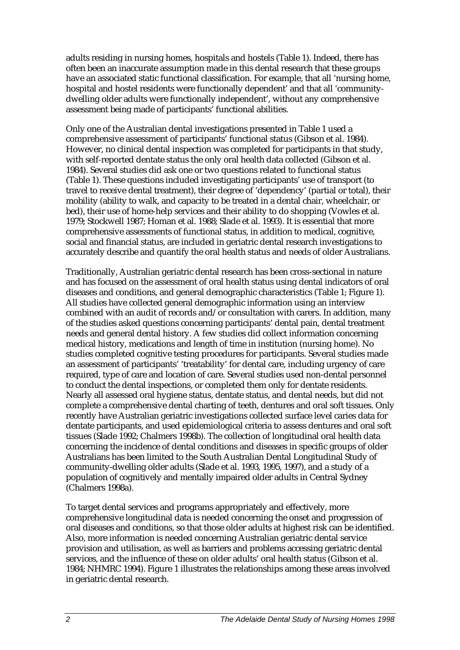adults residing in nursing homes, hospitals and hostels (Table 1). Indeed, there has often been an inaccurate assumption made in this dental research that these groups have an associated static functional classification. For example, that all 'nursing home, hospital and hostel residents were functionally dependent' and that all 'communitydwelling older adults were functionally independent', without any comprehensive assessment being made of participants' functional abilities.

Only one of the Australian dental investigations presented in Table 1 used a comprehensive assessment of participants' functional status (Gibson et al. 1984). However, no clinical dental inspection was completed for participants in that study, with self-reported dentate status the only oral health data collected (Gibson et al. 1984). Several studies did ask one or two questions related to functional status (Table 1). These questions included investigating participants' use of transport (to travel to receive dental treatment), their degree of 'dependency' (partial or total), their mobility (ability to walk, and capacity to be treated in a dental chair, wheelchair, or bed), their use of home-help services and their ability to do shopping (Vowles et al. 1979; Stockwell 1987; Homan et al. 1988; Slade et al. 1993). It is essential that more comprehensive assessments of functional status, in addition to medical, cognitive, social and financial status, are included in geriatric dental research investigations to accurately describe and quantify the oral health status and needs of older Australians.

Traditionally, Australian geriatric dental research has been cross-sectional in nature and has focused on the assessment of oral health status using dental indicators of oral diseases and conditions, and general demographic characteristics (Table 1; Figure 1). All studies have collected general demographic information using an interview combined with an audit of records and/or consultation with carers. In addition, many of the studies asked questions concerning participants' dental pain, dental treatment needs and general dental history. A few studies did collect information concerning medical history, medications and length of time in institution (nursing home). No studies completed cognitive testing procedures for participants. Several studies made an assessment of participants' 'treatability' for dental care, including urgency of care required, type of care and location of care. Several studies used non-dental personnel to conduct the dental inspections, or completed them only for dentate residents. Nearly all assessed oral hygiene status, dentate status, and dental needs, but did not complete a comprehensive dental charting of teeth, dentures and oral soft tissues. Only recently have Australian geriatric investigations collected surface level caries data for dentate participants, and used epidemiological criteria to assess dentures and oral soft tissues (Slade 1992; Chalmers 1998b). The collection of longitudinal oral health data concerning the incidence of dental conditions and diseases in specific groups of older Australians has been limited to the South Australian Dental Longitudinal Study of community-dwelling older adults (Slade et al. 1993, 1995, 1997), and a study of a population of cognitively and mentally impaired older adults in Central Sydney (Chalmers 1998a).

To target dental services and programs appropriately and effectively, more comprehensive longitudinal data is needed concerning the onset and progression of oral diseases and conditions, so that those older adults at highest risk can be identified. Also, more information is needed concerning Australian geriatric dental service provision and utilisation, as well as barriers and problems accessing geriatric dental services, and the influence of these on older adults' oral health status (Gibson et al. 1984; NHMRC 1994). Figure 1 illustrates the relationships among these areas involved in geriatric dental research.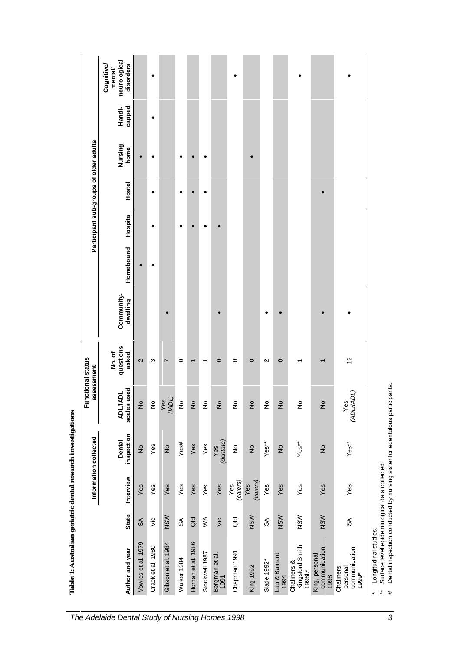|                                                  |                           |                 | Information collected       | <b>Functional status</b><br>assessment |                             |                        |           | Participant sub-groups of older adults |        |                 |                  |                                                   |
|--------------------------------------------------|---------------------------|-----------------|-----------------------------|----------------------------------------|-----------------------------|------------------------|-----------|----------------------------------------|--------|-----------------|------------------|---------------------------------------------------|
| Author and year                                  | <b>State</b>              | Interview       | inspection<br><b>Dental</b> | used<br><b>ADL/IADL</b><br>scales      | questions<br>asked<br>No.of | Community-<br>dwelling | Homebound | Hospital                               | Hostel | Nursing<br>home | capped<br>Handi- | neurological<br>disorders<br>Cognitive/<br>mental |
| Vowles et al. 1979                               | $\mathsf{S} \mathsf{A}$   | Yes             | $\frac{1}{2}$               | $\frac{1}{2}$                          | $\mathbf{\Omega}$           |                        |           |                                        |        |                 |                  |                                                   |
| Crack et al. 1980                                | Vic                       | Yes             | Yes                         | ş                                      | ω                           |                        |           |                                        | ٠      | ٠               | $\bullet$        | ٠                                                 |
| Gibson et al. 1984                               | NSW                       | Yes             | $\frac{1}{2}$               | $\frac{Yes}{(MDL)}$                    | 7                           |                        |           |                                        |        |                 |                  |                                                   |
| Walker 1984                                      | ≲                         | Yes             | Yes#                        | ş                                      | $\circ$                     |                        |           | ٠                                      |        | $\bullet$       |                  |                                                   |
| Homan et al. 1986                                | $\overline{a}$            | Yes             | Yes                         | $\epsilon$                             | $\overline{ }$              |                        |           |                                        |        |                 |                  |                                                   |
| Stockwell 1987                                   | $\leq$                    | Yes             | Yes                         | ş                                      | ᡪ                           |                        |           |                                        |        | c               |                  |                                                   |
| Bergman et al.<br>1991                           | Vic                       | Yes             | (dentate)<br>Yes            | ş                                      | $\circ$                     |                        |           |                                        |        |                 |                  |                                                   |
| Chapman 1991                                     | $\overline{a}$            | (carers)<br>Yes | ş                           | ş                                      | $\circ$                     |                        |           |                                        |        |                 |                  |                                                   |
| <b>King 1992</b>                                 | NSW                       | (carers)<br>Yes | $\frac{1}{2}$               | $\frac{1}{2}$                          | $\circ$                     |                        |           |                                        |        |                 |                  |                                                   |
| Slade 1992*                                      | $\mathbb{S}^{\mathbb{C}}$ | Yes             | Yes**                       | ş                                      | Ν                           |                        |           |                                        |        |                 |                  |                                                   |
| Lau & Barnard<br>1994                            | NSW                       | Yes             | $\frac{\circ}{\mathsf{Z}}$  | $\epsilon$                             | $\circ$                     |                        |           |                                        |        |                 |                  |                                                   |
| Kingsford Smith<br>Chalmers &<br>1998b*          | NSW                       | Yes             | Yes**                       | ş                                      | ᡪ                           |                        |           |                                        |        |                 |                  |                                                   |
| communication,<br>King, personal<br>1998         | NSW                       | Yes             | $\frac{1}{2}$               | $\frac{1}{2}$                          | ٢                           |                        |           |                                        |        |                 |                  |                                                   |
| communication,<br>Chalmers,<br>personal<br>1999* | $\mathfrak{F}$            | Yes             | Yes**                       | Yes<br>(ADL/IADL)                      | 12                          |                        |           |                                        |        |                 |                  |                                                   |

**Table 1: Australian geriatric dental research investigations**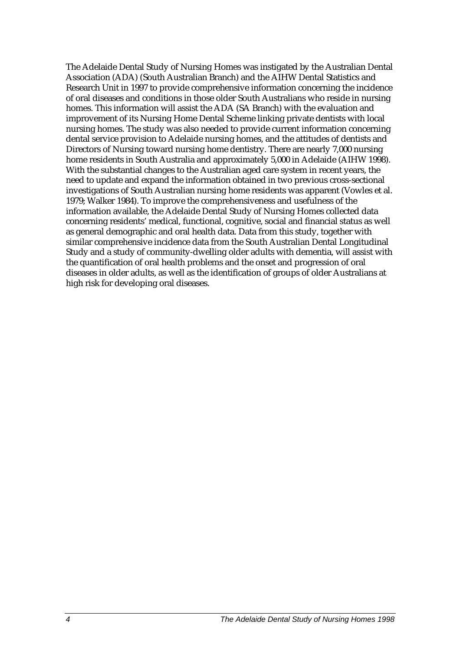The Adelaide Dental Study of Nursing Homes was instigated by the Australian Dental Association (ADA) (South Australian Branch) and the AIHW Dental Statistics and Research Unit in 1997 to provide comprehensive information concerning the incidence of oral diseases and conditions in those older South Australians who reside in nursing homes. This information will assist the ADA (SA Branch) with the evaluation and improvement of its Nursing Home Dental Scheme linking private dentists with local nursing homes. The study was also needed to provide current information concerning dental service provision to Adelaide nursing homes, and the attitudes of dentists and Directors of Nursing toward nursing home dentistry. There are nearly 7,000 nursing home residents in South Australia and approximately 5,000 in Adelaide (AIHW 1998). With the substantial changes to the Australian aged care system in recent years, the need to update and expand the information obtained in two previous cross-sectional investigations of South Australian nursing home residents was apparent (Vowles et al. 1979; Walker 1984). To improve the comprehensiveness and usefulness of the information available, the Adelaide Dental Study of Nursing Homes collected data concerning residents' medical, functional, cognitive, social and financial status as well as general demographic and oral health data. Data from this study, together with similar comprehensive incidence data from the South Australian Dental Longitudinal Study and a study of community-dwelling older adults with dementia, will assist with the quantification of oral health problems and the onset and progression of oral diseases in older adults, as well as the identification of groups of older Australians at high risk for developing oral diseases.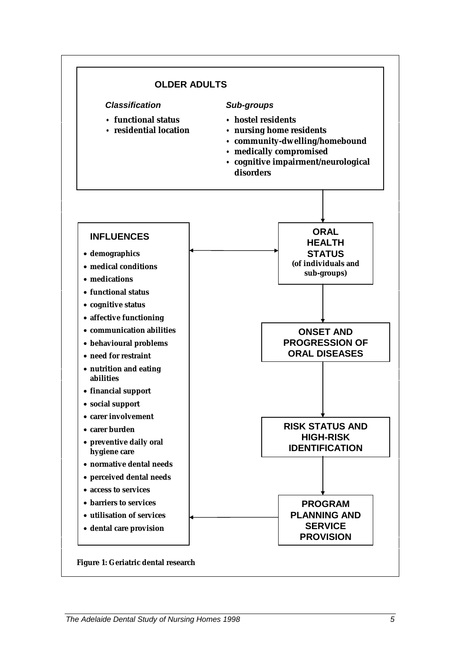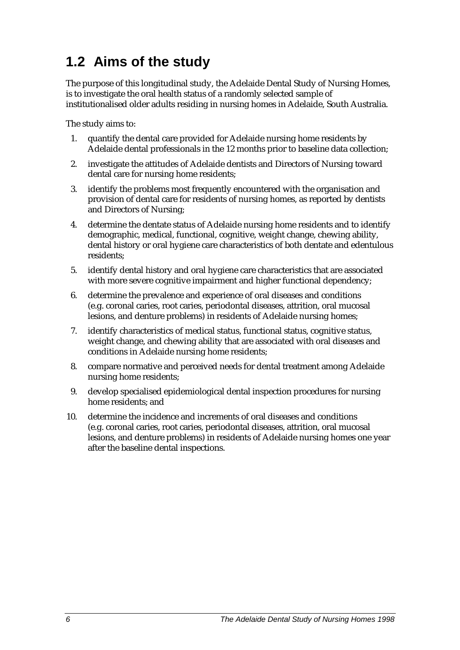### **1.2 Aims of the study**

The purpose of this longitudinal study, the Adelaide Dental Study of Nursing Homes, is to investigate the oral health status of a randomly selected sample of institutionalised older adults residing in nursing homes in Adelaide, South Australia.

The study aims to:

- 1. quantify the dental care provided for Adelaide nursing home residents by Adelaide dental professionals in the 12 months prior to baseline data collection;
- 2. investigate the attitudes of Adelaide dentists and Directors of Nursing toward dental care for nursing home residents;
- 3. identify the problems most frequently encountered with the organisation and provision of dental care for residents of nursing homes, as reported by dentists and Directors of Nursing;
- 4. determine the dentate status of Adelaide nursing home residents and to identify demographic, medical, functional, cognitive, weight change, chewing ability, dental history or oral hygiene care characteristics of both dentate and edentulous residents;
- 5. identify dental history and oral hygiene care characteristics that are associated with more severe cognitive impairment and higher functional dependency;
- 6. determine the prevalence and experience of oral diseases and conditions (e.g. coronal caries, root caries, periodontal diseases, attrition, oral mucosal lesions, and denture problems) in residents of Adelaide nursing homes;
- 7. identify characteristics of medical status, functional status, cognitive status, weight change, and chewing ability that are associated with oral diseases and conditions in Adelaide nursing home residents;
- 8. compare normative and perceived needs for dental treatment among Adelaide nursing home residents;
- 9. develop specialised epidemiological dental inspection procedures for nursing home residents; and
- 10. determine the incidence and increments of oral diseases and conditions (e.g. coronal caries, root caries, periodontal diseases, attrition, oral mucosal lesions, and denture problems) in residents of Adelaide nursing homes one year after the baseline dental inspections.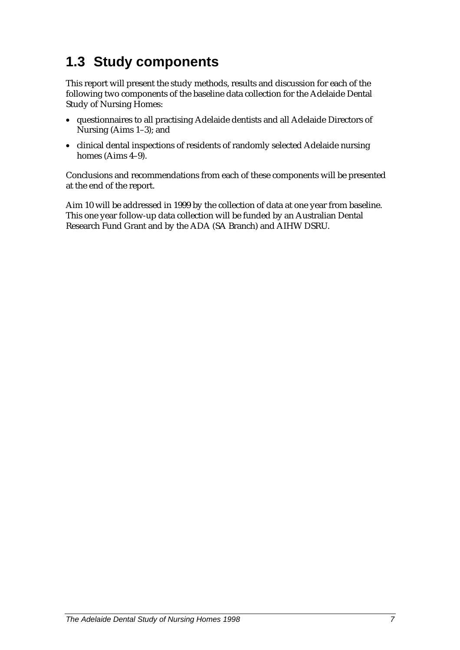### **1.3 Study components**

This report will present the study methods, results and discussion for each of the following two components of the baseline data collection for the Adelaide Dental Study of Nursing Homes:

- questionnaires to all practising Adelaide dentists and all Adelaide Directors of Nursing (Aims 1–3); and
- clinical dental inspections of residents of randomly selected Adelaide nursing homes (Aims 4–9).

Conclusions and recommendations from each of these components will be presented at the end of the report.

Aim 10 will be addressed in 1999 by the collection of data at one year from baseline. This one year follow-up data collection will be funded by an Australian Dental Research Fund Grant and by the ADA (SA Branch) and AIHW DSRU.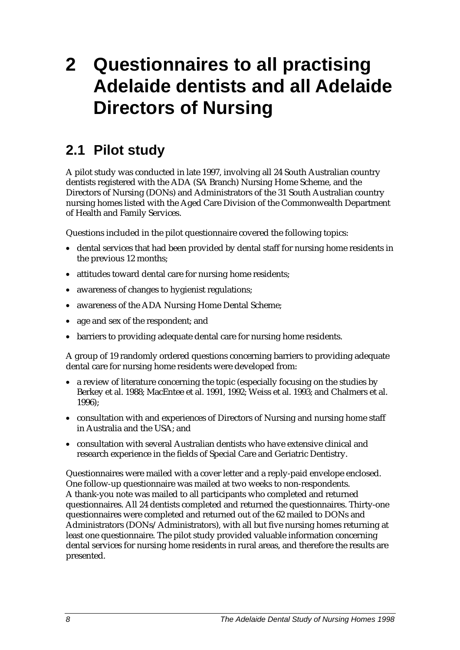# **2 Questionnaires to all practising Adelaide dentists and all Adelaide Directors of Nursing**

### **2.1 Pilot study**

A pilot study was conducted in late 1997, involving all 24 South Australian country dentists registered with the ADA (SA Branch) Nursing Home Scheme, and the Directors of Nursing (DONs) and Administrators of the 31 South Australian country nursing homes listed with the Aged Care Division of the Commonwealth Department of Health and Family Services.

Questions included in the pilot questionnaire covered the following topics:

- dental services that had been provided by dental staff for nursing home residents in the previous 12 months;
- attitudes toward dental care for nursing home residents;
- awareness of changes to hygienist regulations;
- awareness of the ADA Nursing Home Dental Scheme;
- age and sex of the respondent; and
- barriers to providing adequate dental care for nursing home residents.

A group of 19 randomly ordered questions concerning barriers to providing adequate dental care for nursing home residents were developed from:

- a review of literature concerning the topic (especially focusing on the studies by Berkey et al. 1988; MacEntee et al. 1991, 1992; Weiss et al. 1993; and Chalmers et al. 1996);
- consultation with and experiences of Directors of Nursing and nursing home staff in Australia and the USA; and
- consultation with several Australian dentists who have extensive clinical and research experience in the fields of Special Care and Geriatric Dentistry.

Questionnaires were mailed with a cover letter and a reply-paid envelope enclosed. One follow-up questionnaire was mailed at two weeks to non-respondents. A thank-you note was mailed to all participants who completed and returned questionnaires. All 24 dentists completed and returned the questionnaires. Thirty-one questionnaires were completed and returned out of the 62 mailed to DONs and Administrators (DONs/Administrators), with all but five nursing homes returning at least one questionnaire. The pilot study provided valuable information concerning dental services for nursing home residents in rural areas, and therefore the results are presented.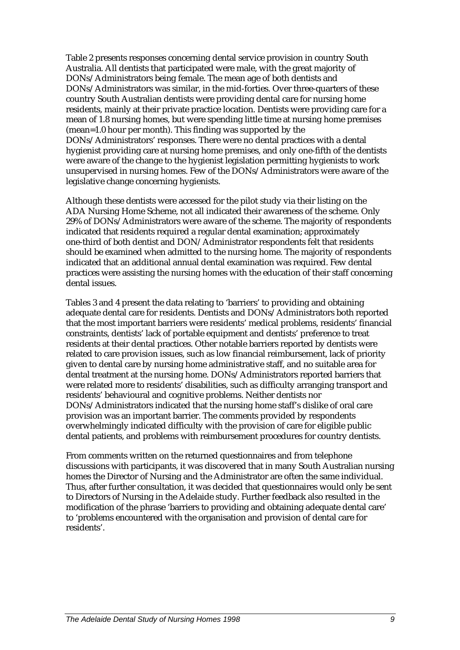Table 2 presents responses concerning dental service provision in country South Australia. All dentists that participated were male, with the great majority of DONs/Administrators being female. The mean age of both dentists and DONs/Administrators was similar, in the mid-forties. Over three-quarters of these country South Australian dentists were providing dental care for nursing home residents, mainly at their private practice location. Dentists were providing care for a mean of 1.8 nursing homes, but were spending little time at nursing home premises (mean=1.0 hour per month). This finding was supported by the DONs/Administrators' responses. There were no dental practices with a dental hygienist providing care at nursing home premises, and only one-fifth of the dentists were aware of the change to the hygienist legislation permitting hygienists to work unsupervised in nursing homes. Few of the DONs/Administrators were aware of the legislative change concerning hygienists.

Although these dentists were accessed for the pilot study via their listing on the ADA Nursing Home Scheme, not all indicated their awareness of the scheme. Only 29% of DONs/Administrators were aware of the scheme. The majority of respondents indicated that residents required a regular dental examination; approximately one-third of both dentist and DON/Administrator respondents felt that residents should be examined when admitted to the nursing home. The majority of respondents indicated that an additional annual dental examination was required. Few dental practices were assisting the nursing homes with the education of their staff concerning dental issues.

Tables 3 and 4 present the data relating to 'barriers' to providing and obtaining adequate dental care for residents. Dentists and DONs/Administrators both reported that the most important barriers were residents' medical problems, residents' financial constraints, dentists' lack of portable equipment and dentists' preference to treat residents at their dental practices. Other notable barriers reported by dentists were related to care provision issues, such as low financial reimbursement, lack of priority given to dental care by nursing home administrative staff, and no suitable area for dental treatment at the nursing home. DONs/Administrators reported barriers that were related more to residents' disabilities, such as difficulty arranging transport and residents' behavioural and cognitive problems. Neither dentists nor DONs/Administrators indicated that the nursing home staff's dislike of oral care provision was an important barrier. The comments provided by respondents overwhelmingly indicated difficulty with the provision of care for eligible public dental patients, and problems with reimbursement procedures for country dentists.

From comments written on the returned questionnaires and from telephone discussions with participants, it was discovered that in many South Australian nursing homes the Director of Nursing and the Administrator are often the same individual. Thus, after further consultation, it was decided that questionnaires would only be sent to Directors of Nursing in the Adelaide study. Further feedback also resulted in the modification of the phrase 'barriers to providing and obtaining adequate dental care' to 'problems encountered with the organisation and provision of dental care for residents'.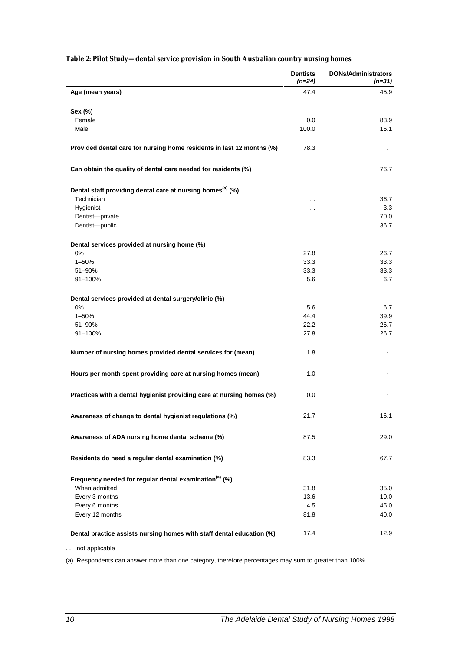|                                                                        | <b>Dentists</b><br>(n=24) | <b>DONs/Administrators</b><br>$(n=31)$ |
|------------------------------------------------------------------------|---------------------------|----------------------------------------|
| Age (mean years)                                                       | 47.4                      | 45.9                                   |
| Sex (%)                                                                |                           |                                        |
| Female                                                                 | 0.0                       | 83.9                                   |
| Male                                                                   | 100.0                     | 16.1                                   |
| Provided dental care for nursing home residents in last 12 months (%)  | 78.3                      | $\sim$ $\sim$                          |
| Can obtain the quality of dental care needed for residents (%)         | $\ddot{\phantom{0}}$      | 76.7                                   |
| Dental staff providing dental care at nursing homes <sup>(a)</sup> (%) |                           |                                        |
| Technician                                                             | . .                       | 36.7                                   |
| Hygienist                                                              | $\ddot{\phantom{0}}$      | 3.3                                    |
| Dentist-private                                                        | . .                       | 70.0                                   |
| Dentist-public                                                         | $\ddot{\phantom{0}}$      | 36.7                                   |
| Dental services provided at nursing home (%)                           |                           |                                        |
| 0%                                                                     | 27.8                      | 26.7                                   |
| $1 - 50%$                                                              | 33.3                      | 33.3                                   |
| 51-90%                                                                 | 33.3                      | 33.3                                   |
| 91-100%                                                                | 5.6                       | 6.7                                    |
| Dental services provided at dental surgery/clinic (%)                  |                           |                                        |
| 0%                                                                     | 5.6                       | 6.7                                    |
| $1 - 50%$                                                              | 44.4                      | 39.9                                   |
| 51-90%                                                                 | 22.2                      | 26.7                                   |
| 91-100%                                                                | 27.8                      | 26.7                                   |
| Number of nursing homes provided dental services for (mean)            | 1.8                       | $\ddotsc$                              |
| Hours per month spent providing care at nursing homes (mean)           | 1.0                       | $\ddot{\phantom{0}}$                   |
| Practices with a dental hygienist providing care at nursing homes (%)  | 0.0                       | . .                                    |
| Awareness of change to dental hygienist regulations (%)                | 21.7                      | 16.1                                   |
| Awareness of ADA nursing home dental scheme (%)                        | 87.5                      | 29.0                                   |
| Residents do need a regular dental examination (%)                     | 83.3                      | 67.7                                   |
| Frequency needed for regular dental examination <sup>(a)</sup> (%)     |                           |                                        |
| When admitted                                                          | 31.8                      | 35.0                                   |
| Every 3 months                                                         | 13.6                      | 10.0                                   |
| Every 6 months                                                         | 4.5                       | 45.0                                   |
| Every 12 months                                                        | 81.8                      | 40.0                                   |
| Dental practice assists nursing homes with staff dental education (%)  | 17.4                      | 12.9                                   |

#### **Table 2: Pilot Study—dental service provision in South Australian country nursing homes**

. . not applicable

(a) Respondents can answer more than one category, therefore percentages may sum to greater than 100%.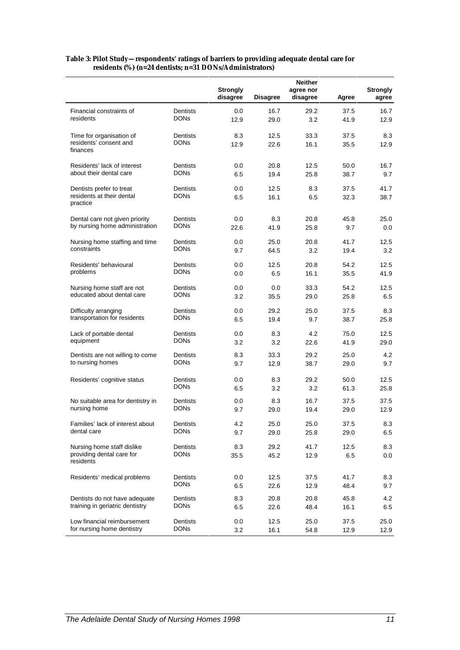|                                        |                 | <b>Strongly</b> |          | <b>Neither</b><br>agree nor |       | <b>Strongly</b> |
|----------------------------------------|-----------------|-----------------|----------|-----------------------------|-------|-----------------|
|                                        |                 | disagree        | Disagree | disagree                    | Agree | agree           |
| Financial constraints of               | <b>Dentists</b> | 0.0             | 16.7     | 29.2                        | 37.5  | 16.7            |
| residents                              | DONs            | 12.9            | 29.0     | 3.2                         | 41.9  | 12.9            |
| Time for organisation of               | Dentists        | 8.3             | 12.5     | 33.3                        | 37.5  | 8.3             |
| residents' consent and<br>finances     | <b>DONs</b>     | 12.9            | 22.6     | 16.1                        | 35.5  | 12.9            |
| Residents' lack of interest            | Dentists        | 0.0             | 20.8     | 12.5                        | 50.0  | 16.7            |
| about their dental care                | <b>DONs</b>     | 6.5             | 19.4     | 25.8                        | 38.7  | 9.7             |
| Dentists prefer to treat               | Dentists        | 0.0             | 12.5     | 8.3                         | 37.5  | 41.7            |
| residents at their dental<br>practice  | <b>DONs</b>     | 6.5             | 16.1     | 6.5                         | 32.3  | 38.7            |
| Dental care not given priority         | Dentists        | 0.0             | 8.3      | 20.8                        | 45.8  | 25.0            |
| by nursing home administration         | DONs            | 22.6            | 41.9     | 25.8                        | 9.7   | 0.0             |
| Nursing home staffing and time         | Dentists        | 0.0             | 25.0     | 20.8                        | 41.7  | 12.5            |
| constraints                            | <b>DONs</b>     | 9.7             | 64.5     | 3.2                         | 19.4  | 3.2             |
| Residents' behavioural                 | Dentists        | 0.0             | 12.5     | 20.8                        | 54.2  | 12.5            |
| problems                               | <b>DONs</b>     | 0.0             | 6.5      | 16.1                        | 35.5  | 41.9            |
| Nursing home staff are not             | Dentists        | 0.0             | 0.0      | 33.3                        | 54.2  | 12.5            |
| educated about dental care             | DONs            | 3.2             | 35.5     | 29.0                        | 25.8  | 6.5             |
| Difficulty arranging                   | Dentists        | 0.0             | 29.2     | 25.0                        | 37.5  | 8.3             |
| transportation for residents           | DONs            | 6.5             | 19.4     | 9.7                         | 38.7  | 25.8            |
| Lack of portable dental                | Dentists        | 0.0             | 8.3      | 4.2                         | 75.0  | 12.5            |
| equipment                              | DONs            | 3.2             | 3.2      | 22.6                        | 41.9  | 29.0            |
| Dentists are not willing to come       | Dentists        | 8.3             | 33.3     | 29.2                        | 25.0  | 4.2             |
| to nursing homes                       | <b>DONs</b>     | 9.7             | 12.9     | 38.7                        | 29.0  | 9.7             |
| Residents' cognitive status            | Dentists        | 0.0             | 8.3      | 29.2                        | 50.0  | 12.5            |
|                                        | DONs            | 6.5             | 3.2      | 3.2                         | 61.3  | 25.8            |
| No suitable area for dentistry in      | Dentists        | 0.0             | 8.3      | 16.7                        | 37.5  | 37.5            |
| nursing home                           | DONs            | 9.7             | 29.0     | 19.4                        | 29.0  | 12.9            |
| Families' lack of interest about       | Dentists        | 4.2             | 25.0     | 25.0                        | 37.5  | 8.3             |
| dental care                            | <b>DONs</b>     | 9.7             | 29.0     | 25.8                        | 29.0  | 6.5             |
| Nursing home staff dislike             | Dentists        | 8.3             | 29.2     | 41.7                        | 12.5  | 8.3             |
| providing dental care for<br>residents | <b>DONs</b>     | 35.5            | 45.2     | 12.9                        | 6.5   | 0.0             |
| Residents' medical problems            | Dentists        | 0.0             | 12.5     | 37.5                        | 41.7  | 8.3             |
|                                        | <b>DONs</b>     | 6.5             | 22.6     | 12.9                        | 48.4  | 9.7             |
| Dentists do not have adequate          | Dentists        | 8.3             | 20.8     | 20.8                        | 45.8  | 4.2             |
| training in geriatric dentistry        | DONs            | 6.5             | 22.6     | 48.4                        | 16.1  | 6.5             |
| Low financial reimbursement            | Dentists        | 0.0             | 12.5     | 25.0                        | 37.5  | 25.0            |
| for nursing home dentistry             | DONs            | 3.2             | 16.1     | 54.8                        | 12.9  | 12.9            |

#### **Table 3: Pilot Study—respondents' ratings of barriers to providing adequate dental care for residents (%) (n=24 dentists; n=31 DONs/Administrators)**

 $\ddot{\phantom{a}}$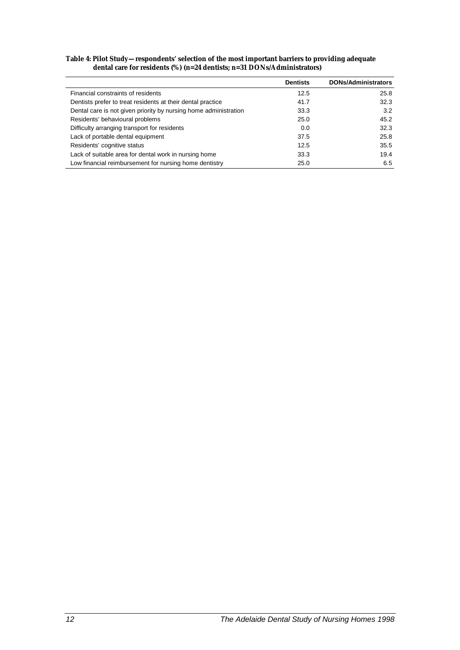| Table 4: Pilot Study—respondents' selection of the most important barriers to providing adequate |  |
|--------------------------------------------------------------------------------------------------|--|
| dental care for residents $(\%)$ (n=24 dentists; n=31 DONs/Administrators)                       |  |

|                                                                  | <b>Dentists</b> | <b>DONs/Administrators</b> |
|------------------------------------------------------------------|-----------------|----------------------------|
| Financial constraints of residents                               | 12.5            | 25.8                       |
| Dentists prefer to treat residents at their dental practice      | 41.7            | 32.3                       |
| Dental care is not given priority by nursing home administration | 33.3            | 3.2                        |
| Residents' behavioural problems                                  | 25.0            | 45.2                       |
| Difficulty arranging transport for residents                     | 0.0             | 32.3                       |
| Lack of portable dental equipment                                | 37.5            | 25.8                       |
| Residents' cognitive status                                      | 12.5            | 35.5                       |
| Lack of suitable area for dental work in nursing home            | 33.3            | 19.4                       |
| Low financial reimbursement for nursing home dentistry           | 25.0            | 6.5                        |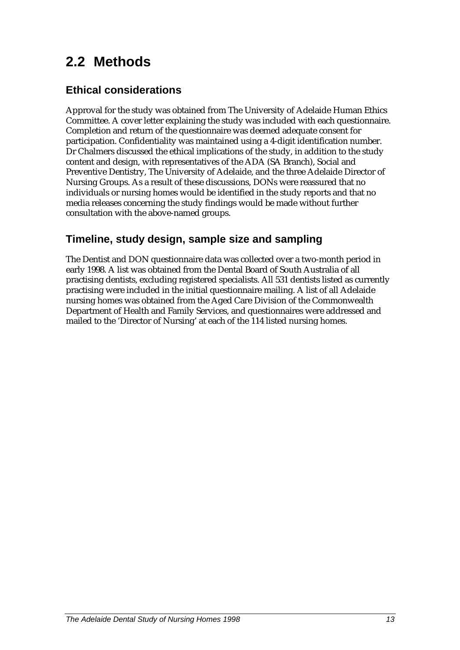### **2.2 Methods**

### **Ethical considerations**

Approval for the study was obtained from The University of Adelaide Human Ethics Committee. A cover letter explaining the study was included with each questionnaire. Completion and return of the questionnaire was deemed adequate consent for participation. Confidentiality was maintained using a 4-digit identification number. Dr Chalmers discussed the ethical implications of the study, in addition to the study content and design, with representatives of the ADA (SA Branch), Social and Preventive Dentistry, The University of Adelaide, and the three Adelaide Director of Nursing Groups. As a result of these discussions, DONs were reassured that no individuals or nursing homes would be identified in the study reports and that no media releases concerning the study findings would be made without further consultation with the above-named groups.

### **Timeline, study design, sample size and sampling**

The Dentist and DON questionnaire data was collected over a two-month period in early 1998. A list was obtained from the Dental Board of South Australia of all practising dentists, excluding registered specialists. All 531 dentists listed as currently practising were included in the initial questionnaire mailing. A list of all Adelaide nursing homes was obtained from the Aged Care Division of the Commonwealth Department of Health and Family Services, and questionnaires were addressed and mailed to the 'Director of Nursing' at each of the 114 listed nursing homes.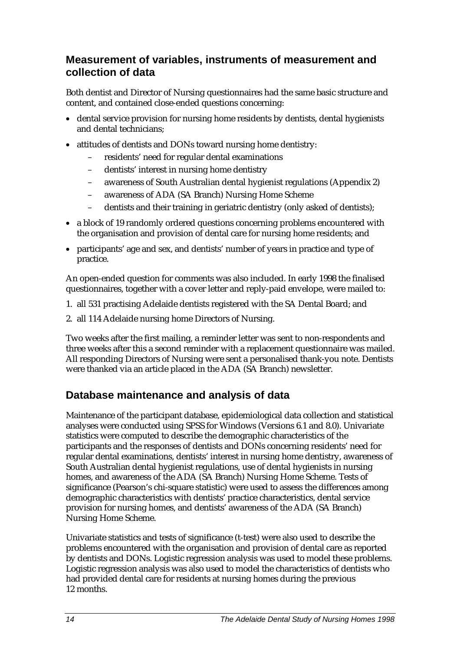### **Measurement of variables, instruments of measurement and collection of data**

Both dentist and Director of Nursing questionnaires had the same basic structure and content, and contained close-ended questions concerning:

- dental service provision for nursing home residents by dentists, dental hygienists and dental technicians;
- attitudes of dentists and DONs toward nursing home dentistry:
	- residents' need for regular dental examinations
	- dentists' interest in nursing home dentistry
	- awareness of South Australian dental hygienist regulations (Appendix 2)
	- awareness of ADA (SA Branch) Nursing Home Scheme
	- dentists and their training in geriatric dentistry (only asked of dentists);
- a block of 19 randomly ordered questions concerning problems encountered with the organisation and provision of dental care for nursing home residents; and
- participants' age and sex, and dentists' number of years in practice and type of practice.

An open-ended question for comments was also included. In early 1998 the finalised questionnaires, together with a cover letter and reply-paid envelope, were mailed to:

- 1. all 531 practising Adelaide dentists registered with the SA Dental Board; and
- 2. all 114 Adelaide nursing home Directors of Nursing.

Two weeks after the first mailing, a reminder letter was sent to non-respondents and three weeks after this a second reminder with a replacement questionnaire was mailed. All responding Directors of Nursing were sent a personalised thank-you note. Dentists were thanked via an article placed in the ADA (SA Branch) newsletter.

### **Database maintenance and analysis of data**

Maintenance of the participant database, epidemiological data collection and statistical analyses were conducted using SPSS for Windows (Versions 6.1 and 8.0). Univariate statistics were computed to describe the demographic characteristics of the participants and the responses of dentists and DONs concerning residents' need for regular dental examinations, dentists' interest in nursing home dentistry, awareness of South Australian dental hygienist regulations, use of dental hygienists in nursing homes, and awareness of the ADA (SA Branch) Nursing Home Scheme. Tests of significance (Pearson's chi-square statistic) were used to assess the differences among demographic characteristics with dentists' practice characteristics, dental service provision for nursing homes, and dentists' awareness of the ADA (SA Branch) Nursing Home Scheme.

Univariate statistics and tests of significance (t-test) were also used to describe the problems encountered with the organisation and provision of dental care as reported by dentists and DONs. Logistic regression analysis was used to model these problems. Logistic regression analysis was also used to model the characteristics of dentists who had provided dental care for residents at nursing homes during the previous 12 months.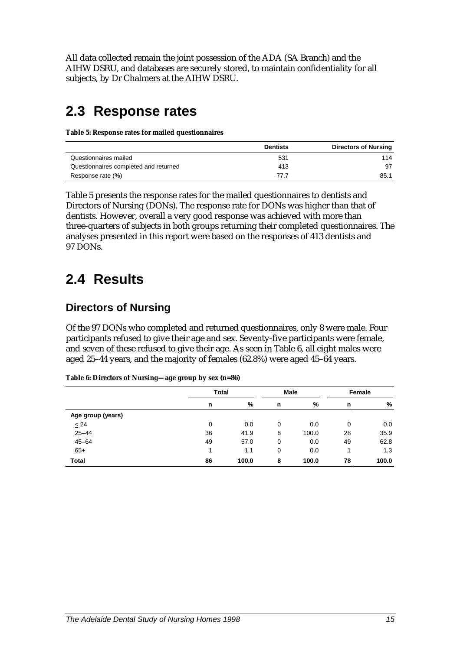All data collected remain the joint possession of the ADA (SA Branch) and the AIHW DSRU, and databases are securely stored, to maintain confidentiality for all subjects, by Dr Chalmers at the AIHW DSRU.

### **2.3 Response rates**

**Table 5: Response rates for mailed questionnaires**

|                                       | <b>Dentists</b> | <b>Directors of Nursing</b> |
|---------------------------------------|-----------------|-----------------------------|
| Questionnaires mailed                 | 531             | 114                         |
| Questionnaires completed and returned | 413             | 97                          |
| Response rate (%)                     | 77 7            | 85.1                        |

Table 5 presents the response rates for the mailed questionnaires to dentists and Directors of Nursing (DONs). The response rate for DONs was higher than that of dentists. However, overall a very good response was achieved with more than three-quarters of subjects in both groups returning their completed questionnaires. The analyses presented in this report were based on the responses of 413 dentists and 97 DONs.

### **2.4 Results**

### **Directors of Nursing**

Of the 97 DONs who completed and returned questionnaires, only 8 were male. Four participants refused to give their age and sex. Seventy-five participants were female, and seven of these refused to give their age. As seen in Table 6, all eight males were aged 25–44 years, and the majority of females (62.8%) were aged 45–64 years.

|                   | <b>Total</b> |       | <b>Male</b> |       | Female |       |
|-------------------|--------------|-------|-------------|-------|--------|-------|
|                   | n            | %     | n           | %     | n      | %     |
| Age group (years) |              |       |             |       |        |       |
| $\leq$ 24         | 0            | 0.0   | 0           | 0.0   | 0      | 0.0   |
| $25 - 44$         | 36           | 41.9  | 8           | 100.0 | 28     | 35.9  |
| $45 - 64$         | 49           | 57.0  | 0           | 0.0   | 49     | 62.8  |
| $65+$             | 4            | 1.1   | 0           | 0.0   |        | 1.3   |
| <b>Total</b>      | 86           | 100.0 | 8           | 100.0 | 78     | 100.0 |

**Table 6: Directors of Nursing—age group by sex (n=86)**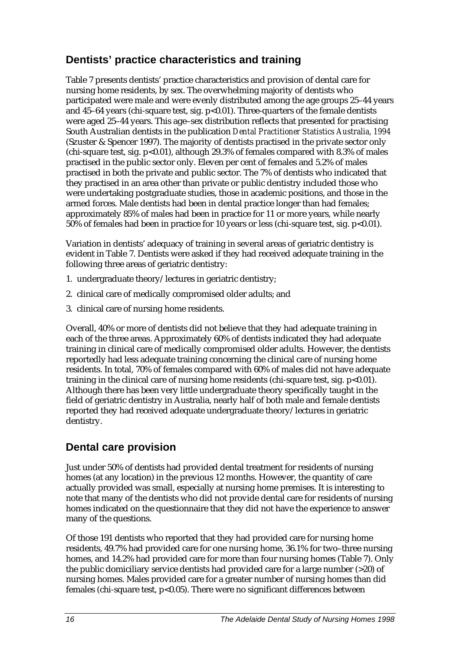### **Dentists' practice characteristics and training**

Table 7 presents dentists' practice characteristics and provision of dental care for nursing home residents, by sex. The overwhelming majority of dentists who participated were male and were evenly distributed among the age groups 25–44 years and  $45-64$  years (chi-square test, sig.  $p<0.01$ ). Three-quarters of the female dentists were aged 25–44 years. This age–sex distribution reflects that presented for practising South Australian dentists in the publication *Dental Practitioner Statistics Australia, 1994* (Szuster & Spencer 1997). The majority of dentists practised in the private sector only  $\alpha$  (chi-square test, sig. p<0.01), although 29.3% of females compared with 8.3% of males practised in the public sector only. Eleven per cent of females and 5.2% of males practised in both the private and public sector. The 7% of dentists who indicated that they practised in an area other than private or public dentistry included those who were undertaking postgraduate studies, those in academic positions, and those in the armed forces. Male dentists had been in dental practice longer than had females; approximately 85% of males had been in practice for 11 or more years, while nearly  $50\%$  of females had been in practice for 10 years or less (chi-square test, sig. p<0.01).

Variation in dentists' adequacy of training in several areas of geriatric dentistry is evident in Table 7. Dentists were asked if they had received adequate training in the following three areas of geriatric dentistry:

- 1. undergraduate theory/lectures in geriatric dentistry;
- 2. clinical care of medically compromised older adults; and
- 3. clinical care of nursing home residents.

Overall, 40% or more of dentists did not believe that they had adequate training in each of the three areas. Approximately 60% of dentists indicated they had adequate training in clinical care of medically compromised older adults. However, the dentists reportedly had less adequate training concerning the clinical care of nursing home residents. In total, 70% of females compared with 60% of males did not have adequate training in the clinical care of nursing home residents (chi-square test, sig.  $p<0.01$ ). Although there has been very little undergraduate theory specifically taught in the field of geriatric dentistry in Australia, nearly half of both male and female dentists reported they had received adequate undergraduate theory/lectures in geriatric dentistry.

### **Dental care provision**

Just under 50% of dentists had provided dental treatment for residents of nursing homes (at any location) in the previous 12 months. However, the quantity of care actually provided was small, especially at nursing home premises. It is interesting to note that many of the dentists who did not provide dental care for residents of nursing homes indicated on the questionnaire that they did not have the experience to answer many of the questions.

Of those 191 dentists who reported that they had provided care for nursing home residents, 49.7% had provided care for one nursing home, 36.1% for two–three nursing homes, and 14.2% had provided care for more than four nursing homes (Table 7). Only the public domiciliary service dentists had provided care for a large number (>20) of nursing homes. Males provided care for a greater number of nursing homes than did females (chi-square test, p<0.05). There were no significant differences between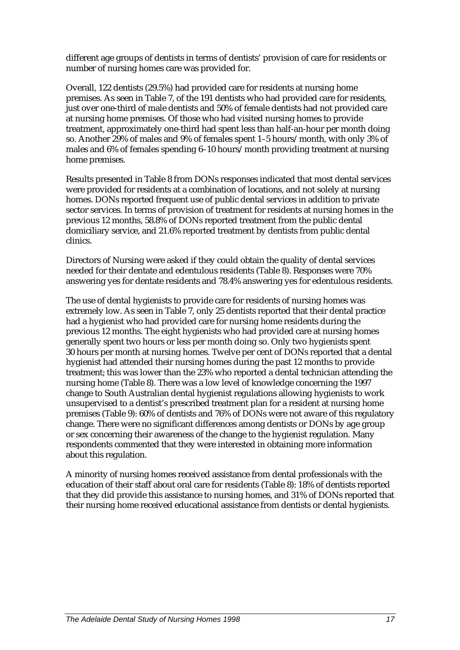different age groups of dentists in terms of dentists' provision of care for residents or number of nursing homes care was provided for.

Overall, 122 dentists (29.5%) had provided care for residents at nursing home premises. As seen in Table 7, of the 191 dentists who had provided care for residents, just over one-third of male dentists and 50% of female dentists had not provided care at nursing home premises. Of those who had visited nursing homes to provide treatment, approximately one-third had spent less than half-an-hour per month doing so. Another 29% of males and 9% of females spent 1–5 hours/month, with only 3% of males and 6% of females spending 6–10 hours/month providing treatment at nursing home premises.

Results presented in Table 8 from DONs responses indicated that most dental services were provided for residents at a combination of locations, and not solely at nursing homes. DONs reported frequent use of public dental services in addition to private sector services. In terms of provision of treatment for residents at nursing homes in the previous 12 months, 58.8% of DONs reported treatment from the public dental domiciliary service, and 21.6% reported treatment by dentists from public dental clinics.

Directors of Nursing were asked if they could obtain the quality of dental services needed for their dentate and edentulous residents (Table 8). Responses were 70% answering yes for dentate residents and 78.4% answering yes for edentulous residents.

The use of dental hygienists to provide care for residents of nursing homes was extremely low. As seen in Table 7, only 25 dentists reported that their dental practice had a hygienist who had provided care for nursing home residents during the previous 12 months. The eight hygienists who had provided care at nursing homes generally spent two hours or less per month doing so. Only two hygienists spent 30 hours per month at nursing homes. Twelve per cent of DONs reported that a dental hygienist had attended their nursing homes during the past 12 months to provide treatment; this was lower than the 23% who reported a dental technician attending the nursing home (Table 8). There was a low level of knowledge concerning the 1997 change to South Australian dental hygienist regulations allowing hygienists to work unsupervised to a dentist's prescribed treatment plan for a resident at nursing home premises (Table 9): 60% of dentists and 76% of DONs were not aware of this regulatory change. There were no significant differences among dentists or DONs by age group or sex concerning their awareness of the change to the hygienist regulation. Many respondents commented that they were interested in obtaining more information about this regulation.

A minority of nursing homes received assistance from dental professionals with the education of their staff about oral care for residents (Table 8): 18% of dentists reported that they did provide this assistance to nursing homes, and 31% of DONs reported that their nursing home received educational assistance from dentists or dental hygienists.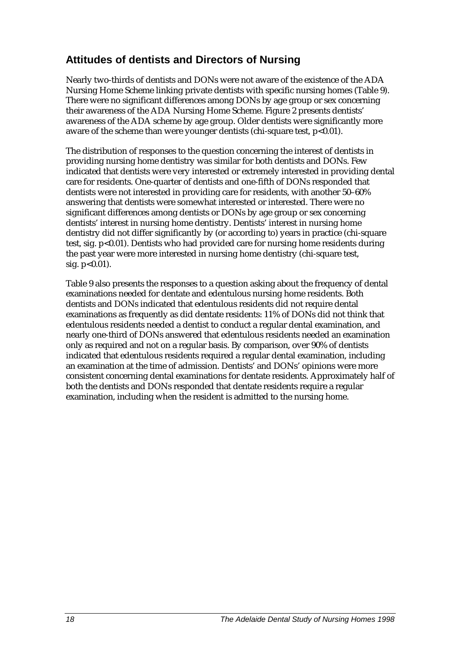### **Attitudes of dentists and Directors of Nursing**

Nearly two-thirds of dentists and DONs were not aware of the existence of the ADA Nursing Home Scheme linking private dentists with specific nursing homes (Table 9). There were no significant differences among DONs by age group or sex concerning their awareness of the ADA Nursing Home Scheme. Figure 2 presents dentists' awareness of the ADA scheme by age group. Older dentists were significantly more aware of the scheme than were younger dentists (chi-square test,  $p<0.01$ ).

The distribution of responses to the question concerning the interest of dentists in providing nursing home dentistry was similar for both dentists and DONs. Few indicated that dentists were very interested or extremely interested in providing dental care for residents. One-quarter of dentists and one-fifth of DONs responded that dentists were not interested in providing care for residents, with another 50–60% answering that dentists were somewhat interested or interested. There were no significant differences among dentists or DONs by age group or sex concerning dentists' interest in nursing home dentistry. Dentists' interest in nursing home dentistry did not differ significantly by (or according to) years in practice (chi-square test, sig. p<0.01). Dentists who had provided care for nursing home residents during the past year were more interested in nursing home dentistry (chi-square test, sig. p<0.01).

Table 9 also presents the responses to a question asking about the frequency of dental examinations needed for dentate and edentulous nursing home residents. Both dentists and DONs indicated that edentulous residents did not require dental examinations as frequently as did dentate residents: 11% of DONs did not think that edentulous residents needed a dentist to conduct a regular dental examination, and nearly one-third of DONs answered that edentulous residents needed an examination only as required and not on a regular basis. By comparison, over 90% of dentists indicated that edentulous residents required a regular dental examination, including an examination at the time of admission. Dentists' and DONs' opinions were more consistent concerning dental examinations for dentate residents. Approximately half of both the dentists and DONs responded that dentate residents require a regular examination, including when the resident is admitted to the nursing home.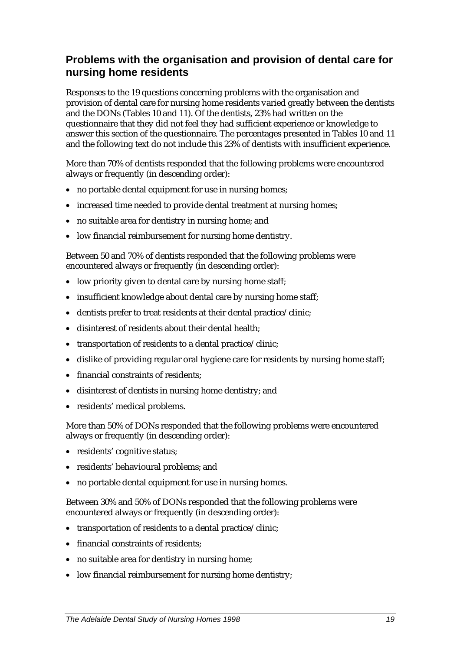### **Problems with the organisation and provision of dental care for nursing home residents**

Responses to the 19 questions concerning problems with the organisation and provision of dental care for nursing home residents varied greatly between the dentists and the DONs (Tables 10 and 11). Of the dentists, 23% had written on the questionnaire that they did not feel they had sufficient experience or knowledge to answer this section of the questionnaire. The percentages presented in Tables 10 and 11 and the following text do not include this 23% of dentists with insufficient experience.

More than 70% of dentists responded that the following problems were encountered always or frequently (in descending order):

- no portable dental equipment for use in nursing homes;
- increased time needed to provide dental treatment at nursing homes;
- no suitable area for dentistry in nursing home; and
- low financial reimbursement for nursing home dentistry.

Between 50 and 70% of dentists responded that the following problems were encountered always or frequently (in descending order):

- low priority given to dental care by nursing home staff;
- insufficient knowledge about dental care by nursing home staff;
- dentists prefer to treat residents at their dental practice/clinic;
- disinterest of residents about their dental health:
- transportation of residents to a dental practice/clinic;
- dislike of providing regular oral hygiene care for residents by nursing home staff;
- financial constraints of residents;
- disinterest of dentists in nursing home dentistry; and
- residents' medical problems.

More than 50% of DONs responded that the following problems were encountered always or frequently (in descending order):

- residents' cognitive status;
- residents' behavioural problems; and
- no portable dental equipment for use in nursing homes.

Between 30% and 50% of DONs responded that the following problems were encountered always or frequently (in descending order):

- transportation of residents to a dental practice/clinic:
- financial constraints of residents:
- no suitable area for dentistry in nursing home;
- low financial reimbursement for nursing home dentistry;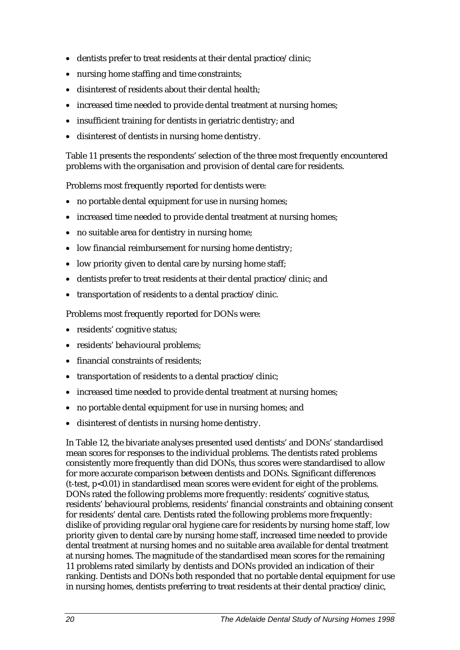- dentists prefer to treat residents at their dental practice/clinic:
- nursing home staffing and time constraints;
- disinterest of residents about their dental health;
- increased time needed to provide dental treatment at nursing homes;
- insufficient training for dentists in geriatric dentistry; and
- disinterest of dentists in nursing home dentistry.

Table 11 presents the respondents' selection of the three most frequently encountered problems with the organisation and provision of dental care for residents.

Problems most frequently reported for dentists were:

- no portable dental equipment for use in nursing homes;
- increased time needed to provide dental treatment at nursing homes;
- no suitable area for dentistry in nursing home;
- low financial reimbursement for nursing home dentistry;
- low priority given to dental care by nursing home staff;
- dentists prefer to treat residents at their dental practice/clinic; and
- transportation of residents to a dental practice/clinic.

Problems most frequently reported for DONs were:

- residents' cognitive status;
- residents' behavioural problems;
- financial constraints of residents:
- transportation of residents to a dental practice/clinic;
- increased time needed to provide dental treatment at nursing homes;
- no portable dental equipment for use in nursing homes; and
- disinterest of dentists in nursing home dentistry.

In Table 12, the bivariate analyses presented used dentists' and DONs' standardised mean scores for responses to the individual problems. The dentists rated problems consistently more frequently than did DONs, thus scores were standardised to allow for more accurate comparison between dentists and DONs. Significant differences (t-test, p<0.01) in standardised mean scores were evident for eight of the problems. DONs rated the following problems more frequently: residents' cognitive status, residents' behavioural problems, residents' financial constraints and obtaining consent for residents' dental care. Dentists rated the following problems more frequently: dislike of providing regular oral hygiene care for residents by nursing home staff, low priority given to dental care by nursing home staff, increased time needed to provide dental treatment at nursing homes and no suitable area available for dental treatment at nursing homes. The magnitude of the standardised mean scores for the remaining 11 problems rated similarly by dentists and DONs provided an indication of their ranking. Dentists and DONs both responded that no portable dental equipment for use in nursing homes, dentists preferring to treat residents at their dental practice/clinic,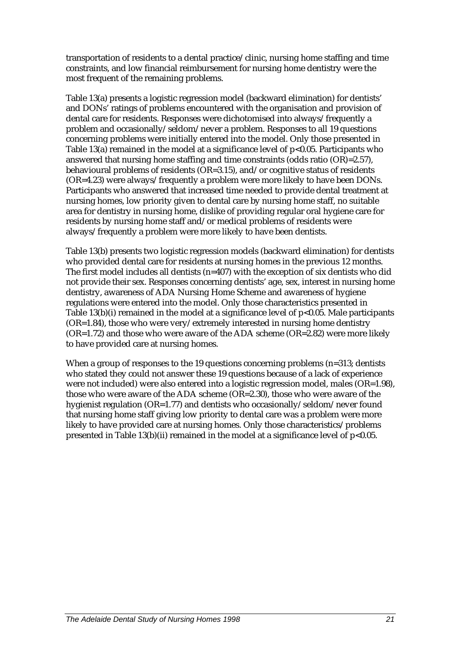transportation of residents to a dental practice/clinic, nursing home staffing and time constraints, and low financial reimbursement for nursing home dentistry were the most frequent of the remaining problems.

Table 13(a) presents a logistic regression model (backward elimination) for dentists' and DONs' ratings of problems encountered with the organisation and provision of dental care for residents. Responses were dichotomised into always/frequently a problem and occasionally/seldom/never a problem. Responses to all 19 questions concerning problems were initially entered into the model. Only those presented in Table 13(a) remained in the model at a significance level of  $p<0.05$ . Participants who answered that nursing home staffing and time constraints (odds ratio (OR)=2.57), behavioural problems of residents ( $OR=3.15$ ), and/or cognitive status of residents (OR=4.23) were always/frequently a problem were more likely to have been DONs. Participants who answered that increased time needed to provide dental treatment at nursing homes, low priority given to dental care by nursing home staff, no suitable area for dentistry in nursing home, dislike of providing regular oral hygiene care for residents by nursing home staff and/or medical problems of residents were always/frequently a problem were more likely to have been dentists.

Table 13(b) presents two logistic regression models (backward elimination) for dentists who provided dental care for residents at nursing homes in the previous 12 months. The first model includes all dentists (n=407) with the exception of six dentists who did not provide their sex. Responses concerning dentists' age, sex, interest in nursing home dentistry, awareness of ADA Nursing Home Scheme and awareness of hygiene regulations were entered into the model. Only those characteristics presented in Table 13(b)(i) remained in the model at a significance level of p<0.05. Male participants (OR=1.84), those who were very/extremely interested in nursing home dentistry  $(OR=1.72)$  and those who were aware of the ADA scheme  $(OR=2.82)$  were more likely to have provided care at nursing homes.

When a group of responses to the 19 questions concerning problems (n=313; dentists who stated they could not answer these 19 questions because of a lack of experience were not included) were also entered into a logistic regression model, males (OR=1.98), those who were aware of the ADA scheme (OR=2.30), those who were aware of the hygienist regulation (OR=1.77) and dentists who occasionally/seldom/never found that nursing home staff giving low priority to dental care was a problem were more likely to have provided care at nursing homes. Only those characteristics/problems presented in Table 13(b)(ii) remained in the model at a significance level of  $p<0.05$ .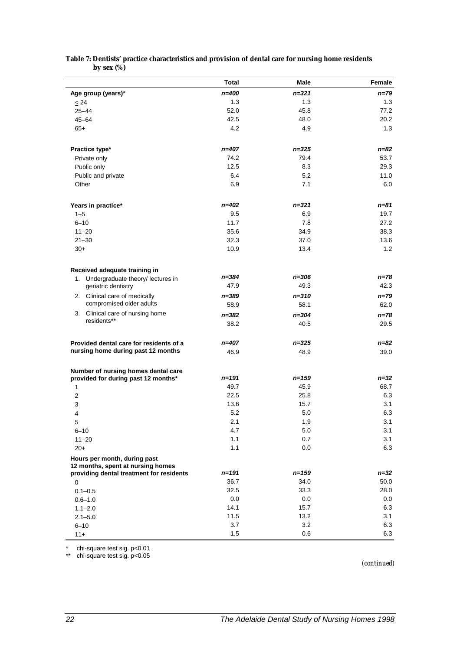|                                          | Total     | Male      | Female   |
|------------------------------------------|-----------|-----------|----------|
| Age group (years)*                       | $n = 400$ | $n = 321$ | n=79     |
| < 24                                     | 1.3       | 1.3       | 1.3      |
| $25 - 44$                                | 52.0      | 45.8      | 77.2     |
| $45 - 64$                                | 42.5      | 48.0      | 20.2     |
| $65+$                                    | 4.2       | 4.9       | 1.3      |
|                                          |           |           |          |
| Practice type*                           | n=407     | $n = 325$ | n=82     |
| Private only                             | 74.2      | 79.4      | 53.7     |
| Public only                              | 12.5      | 8.3       | 29.3     |
| Public and private                       | 6.4       | 5.2       | 11.0     |
| Other                                    | 6.9       | 7.1       | 6.0      |
| Years in practice*                       | $n = 402$ | $n = 321$ | n=81     |
| $1 - 5$                                  | 9.5       | 6.9       | 19.7     |
| $6 - 10$                                 | 11.7      | 7.8       | 27.2     |
| $11 - 20$                                | 35.6      | 34.9      | 38.3     |
| $21 - 30$                                | 32.3      | 37.0      | 13.6     |
| $30+$                                    | 10.9      | 13.4      | 1.2      |
|                                          |           |           |          |
| Received adequate training in            |           |           |          |
| 1. Undergraduate theory/ lectures in     | n=384     | $n = 306$ | n=78     |
| geriatric dentistry                      | 47.9      | 49.3      | 42.3     |
| 2. Clinical care of medically            | $n = 389$ | $n = 310$ | n=79     |
| compromised older adults                 | 58.9      | 58.1      | 62.0     |
| 3. Clinical care of nursing home         | $n = 382$ | $n = 304$ | n=78     |
| residents**                              | 38.2      | 40.5      | 29.5     |
|                                          |           |           |          |
| Provided dental care for residents of a  | $n = 407$ | $n = 325$ | n=82     |
| nursing home during past 12 months       | 46.9      | 48.9      | 39.0     |
| Number of nursing homes dental care      |           |           |          |
| provided for during past 12 months*      | n=191     | $n = 159$ | $n = 32$ |
| $\mathbf{1}$                             | 49.7      | 45.9      | 68.7     |
| $\overline{2}$                           | 22.5      | 25.8      | 6.3      |
| 3                                        | 13.6      | 15.7      | 3.1      |
| 4                                        | 5.2       | 5.0       | 6.3      |
| 5                                        | 2.1       | 1.9       | 3.1      |
| $6 - 10$                                 | 4.7       | 5.0       | 3.1      |
| $11 - 20$                                | 1.1       | 0.7       | 3.1      |
| $20+$                                    | 1.1       | 0.0       | 6.3      |
| Hours per month, during past             |           |           |          |
| 12 months, spent at nursing homes        |           |           |          |
| providing dental treatment for residents | n=191     | $n = 159$ | $n = 32$ |
| 0                                        | 36.7      | 34.0      | 50.0     |
| $0.1 - 0.5$                              | 32.5      | 33.3      | 28.0     |
| $0.6 - 1.0$                              | 0.0       | 0.0       | 0.0      |
| $1.1 - 2.0$                              | 14.1      | 15.7      | 6.3      |
| $2.1 - 5.0$                              | 11.5      | 13.2      | 3.1      |
| $6 - 10$                                 | 3.7       | 3.2       | 6.3      |
| $11 +$                                   | 1.5       | 0.6       | 6.3      |

#### **Table 7: Dentists' practice characteristics and provision of dental care for nursing home residents by sex (%)**

\* chi-square test sig. p<0.01

\*\* chi-square test sig. p<0.05

*(continued)*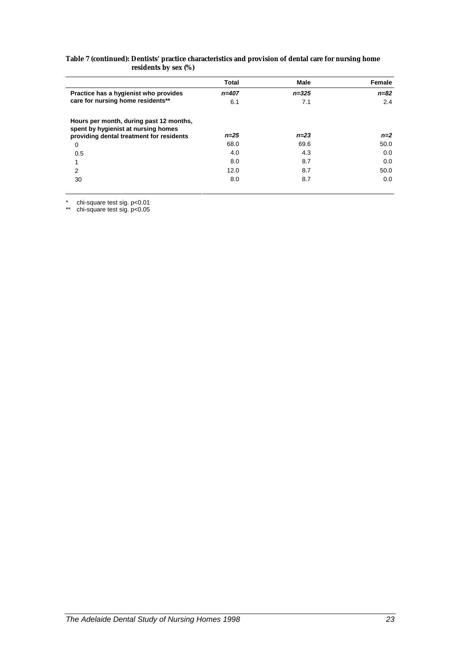| Table 7 (continued): Dentists' practice characteristics and provision of dental care for nursing home |
|-------------------------------------------------------------------------------------------------------|
| residents by sex (%)                                                                                  |

|                                                                                                                            | Total     | Male      | Female   |
|----------------------------------------------------------------------------------------------------------------------------|-----------|-----------|----------|
| Practice has a hygienist who provides                                                                                      | $n = 407$ | $n = 325$ | $n = 82$ |
| care for nursing home residents**                                                                                          | 6.1       | 7.1       | 2.4      |
| Hours per month, during past 12 months,<br>spent by hygienist at nursing homes<br>providing dental treatment for residents | $n = 25$  | $n = 23$  | $n=2$    |
| 0                                                                                                                          | 68.0      | 69.6      | 50.0     |
| 0.5                                                                                                                        | 4.0       | 4.3       | 0.0      |
| 1                                                                                                                          | 8.0       | 8.7       | 0.0      |
| 2                                                                                                                          | 12.0      | 8.7       | 50.0     |
| 30                                                                                                                         | 8.0       | 8.7       | 0.0      |

\* chi-square test sig. p<0.01

\*\* chi-square test sig. p<0.05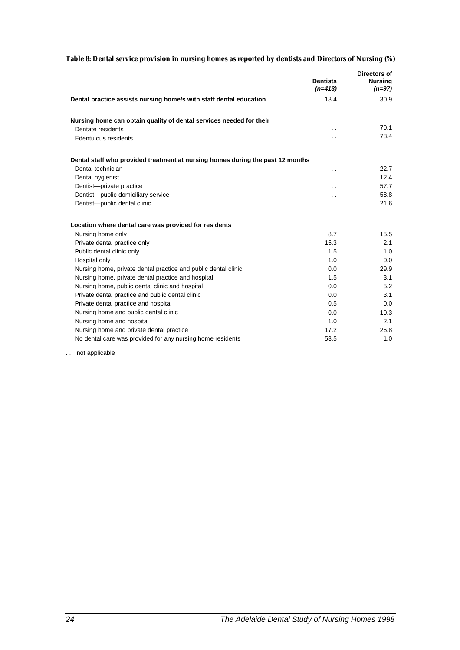|                                                                                | <b>Dentists</b><br>$(n=413)$ | Directors of<br><b>Nursing</b><br>$(n=97)$ |
|--------------------------------------------------------------------------------|------------------------------|--------------------------------------------|
| Dental practice assists nursing home/s with staff dental education             | 18.4                         | 30.9                                       |
|                                                                                |                              |                                            |
| Nursing home can obtain quality of dental services needed for their            |                              |                                            |
| Dentate residents                                                              | . .                          | 70.1                                       |
| Edentulous residents                                                           | . .                          | 78.4                                       |
| Dental staff who provided treatment at nursing homes during the past 12 months |                              |                                            |
| Dental technician                                                              | . .                          | 22.7                                       |
| Dental hygienist                                                               | $\ddot{\phantom{0}}$         | 12.4                                       |
| Dentist-private practice                                                       | $\ddot{\phantom{0}}$         | 57.7                                       |
| Dentist-public domiciliary service                                             | $\overline{\phantom{a}}$     | 58.8                                       |
| Dentist-public dental clinic                                                   | . .                          | 21.6                                       |
| Location where dental care was provided for residents                          |                              |                                            |
| Nursing home only                                                              | 8.7                          | 15.5                                       |
| Private dental practice only                                                   | 15.3                         | 2.1                                        |
| Public dental clinic only                                                      | 1.5                          | 1.0                                        |
| Hospital only                                                                  | 1.0                          | 0.0                                        |
| Nursing home, private dental practice and public dental clinic                 | 0.0                          | 29.9                                       |
| Nursing home, private dental practice and hospital                             | 1.5                          | 3.1                                        |
| Nursing home, public dental clinic and hospital                                | 0.0                          | 5.2                                        |
| Private dental practice and public dental clinic                               | 0.0                          | 3.1                                        |
| Private dental practice and hospital                                           | 0.5                          | 0.0                                        |
| Nursing home and public dental clinic                                          | 0.0                          | 10.3                                       |
| Nursing home and hospital                                                      | 1.0                          | 2.1                                        |
| Nursing home and private dental practice                                       | 17.2                         | 26.8                                       |
| No dental care was provided for any nursing home residents                     | 53.5                         | 1.0                                        |

#### **Table 8: Dental service provision in nursing homes as reported by dentists and Directors of Nursing (%)**

. . not applicable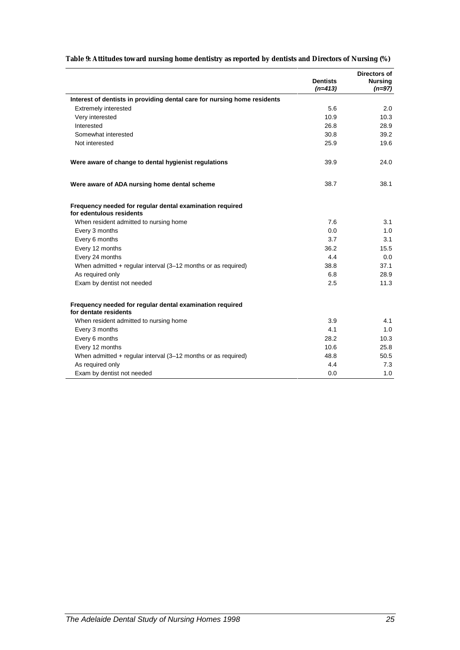|                                                                                      | <b>Dentists</b><br>$(n=413)$ | Directors of<br><b>Nursing</b><br>$(n=97)$ |
|--------------------------------------------------------------------------------------|------------------------------|--------------------------------------------|
| Interest of dentists in providing dental care for nursing home residents             |                              |                                            |
| <b>Extremely interested</b>                                                          | 5.6                          | 2.0                                        |
| Very interested                                                                      | 10.9                         | 10.3                                       |
| Interested                                                                           | 26.8                         | 28.9                                       |
| Somewhat interested                                                                  | 30.8                         | 39.2                                       |
| Not interested                                                                       | 25.9                         | 19.6                                       |
| Were aware of change to dental hygienist regulations                                 | 39.9                         | 24.0                                       |
| Were aware of ADA nursing home dental scheme                                         | 38.7                         | 38.1                                       |
| Frequency needed for regular dental examination required<br>for edentulous residents |                              |                                            |
| When resident admitted to nursing home                                               | 7.6                          | 3.1                                        |
| Every 3 months                                                                       | 0.0                          | 1.0                                        |
| Every 6 months                                                                       | 3.7                          | 3.1                                        |
| Every 12 months                                                                      | 36.2                         | 15.5                                       |
| Every 24 months                                                                      | 4.4                          | 0.0                                        |
| When admitted $+$ regular interval (3-12 months or as required)                      | 38.8                         | 37.1                                       |
| As required only                                                                     | 6.8                          | 28.9                                       |
| Exam by dentist not needed                                                           | 2.5                          | 11.3                                       |
| Frequency needed for regular dental examination required<br>for dentate residents    |                              |                                            |
| When resident admitted to nursing home                                               | 3.9                          | 4.1                                        |
| Every 3 months                                                                       | 4.1                          | 1.0                                        |
| Every 6 months                                                                       | 28.2                         | 10.3                                       |
| Every 12 months                                                                      | 10.6                         | 25.8                                       |
| When admitted + regular interval (3-12 months or as required)                        | 48.8                         | 50.5                                       |
| As required only                                                                     | 4.4                          | 7.3                                        |
| Exam by dentist not needed                                                           | 0.0                          | 1.0                                        |

### **Table 9: Attitudes toward nursing home dentistry as reported by dentists and Directors of Nursing (%)**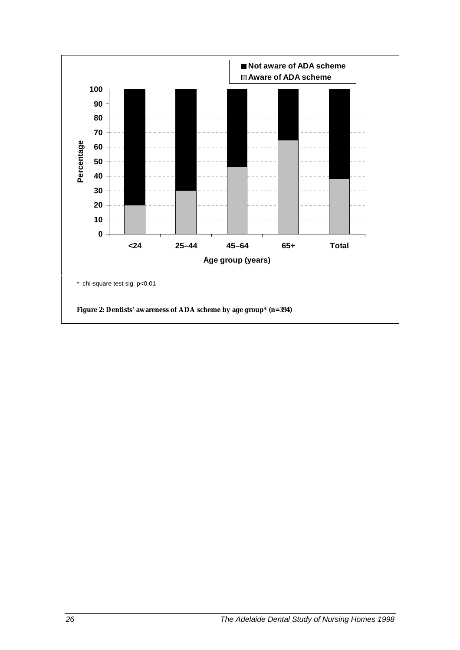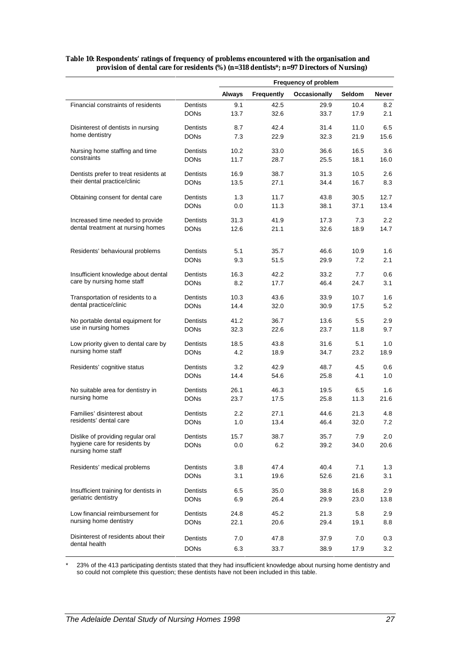|                                                                   |                                | <b>Frequency of problem</b> |              |                     |              |               |
|-------------------------------------------------------------------|--------------------------------|-----------------------------|--------------|---------------------|--------------|---------------|
|                                                                   |                                | <b>Always</b>               | Frequently   | <b>Occasionally</b> | Seldom       | Never         |
| Financial constraints of residents                                | Dentists                       | 9.1                         | 42.5         | 29.9                | 10.4         | 8.2           |
|                                                                   | <b>DONs</b>                    | 13.7                        | 32.6         | 33.7                | 17.9         | 2.1           |
| Disinterest of dentists in nursing                                | Dentists                       | 8.7                         | 42.4         | 31.4                | 11.0         | 6.5           |
| home dentistry                                                    | <b>DONs</b>                    | 7.3                         | 22.9         | 32.3                | 21.9         | 15.6          |
| Nursing home staffing and time                                    | Dentists                       | 10.2                        | 33.0         | 36.6                | 16.5         | 3.6           |
| constraints                                                       | <b>DONs</b>                    | 11.7                        | 28.7         | 25.5                | 18.1         | 16.0          |
| Dentists prefer to treat residents at                             | Dentists                       | 16.9                        | 38.7         | 31.3                | 10.5         | 2.6           |
| their dental practice/clinic                                      | <b>DONs</b>                    | 13.5                        | 27.1         | 34.4                | 16.7         | 8.3           |
|                                                                   |                                |                             |              |                     |              |               |
| Obtaining consent for dental care                                 | <b>Dentists</b><br><b>DONs</b> | 1.3<br>0.0                  | 11.7<br>11.3 | 43.8<br>38.1        | 30.5<br>37.1 | 12.7<br>13.4  |
|                                                                   |                                |                             |              |                     |              |               |
| Increased time needed to provide                                  | Dentists                       | 31.3                        | 41.9         | 17.3                | 7.3          | $2.2\,$       |
| dental treatment at nursing homes                                 | <b>DONs</b>                    | 12.6                        | 21.1         | 32.6                | 18.9         | 14.7          |
| Residents' behavioural problems                                   | Dentists                       | 5.1                         | 35.7         | 46.6                | 10.9         | 1.6           |
|                                                                   | <b>DONs</b>                    | 9.3                         | 51.5         | 29.9                | 7.2          | 2.1           |
|                                                                   |                                |                             |              |                     |              |               |
| Insufficient knowledge about dental<br>care by nursing home staff | Dentists                       | 16.3<br>8.2                 | 42.2         | 33.2                | 7.7          | 0.6           |
|                                                                   | <b>DONs</b>                    |                             | 17.7         | 46.4                | 24.7         | 3.1           |
| Transportation of residents to a                                  | Dentists                       | 10.3                        | 43.6         | 33.9                | 10.7         | 1.6           |
| dental practice/clinic                                            | <b>DONs</b>                    | 14.4                        | 32.0         | 30.9                | 17.5         | 5.2           |
| No portable dental equipment for                                  | Dentists                       | 41.2                        | 36.7         | 13.6                | 5.5          | 2.9           |
| use in nursing homes                                              | <b>DONs</b>                    | 32.3                        | 22.6         | 23.7                | 11.8         | 9.7           |
| Low priority given to dental care by                              | Dentists                       | 18.5                        | 43.8         | 31.6                | 5.1          | 1.0           |
| nursing home staff                                                | <b>DONs</b>                    | 4.2                         | 18.9         | 34.7                | 23.2         | 18.9          |
| Residents' cognitive status                                       | Dentists                       | 3.2                         | 42.9         | 48.7                | 4.5          | 0.6           |
|                                                                   | <b>DONs</b>                    | 14.4                        | 54.6         | 25.8                | 4.1          | 1.0           |
| No suitable area for dentistry in                                 | Dentists                       | 26.1                        | 46.3         | 19.5                | 6.5          | 1.6           |
| nursing home                                                      | <b>DONs</b>                    | 23.7                        | 17.5         | 25.8                | 11.3         | 21.6          |
|                                                                   |                                |                             |              |                     |              |               |
| Families' disinterest about<br>residents' dental care             | Dentists<br><b>DONs</b>        | 2.2                         | 27.1<br>13.4 | 44.6                | 21.3         | 4.8           |
|                                                                   |                                | 1.0                         |              | 46.4                | 32.0         | $\frac{1}{2}$ |
| Dislike of providing regular oral                                 | <b>Dentists</b>                | 15.7                        | 38.7         | 35.7                | 7.9          | 2.0           |
| hygiene care for residents by<br>nursing home staff               | <b>DONs</b>                    | 0.0                         | 6.2          | 39.2                | 34.0         | 20.6          |
| Residents' medical problems                                       | Dentists                       | 3.8                         | 47.4         | 40.4                | 7.1          | 1.3           |
|                                                                   | <b>DONs</b>                    | 3.1                         | 19.6         | 52.6                | 21.6         | 3.1           |
|                                                                   |                                |                             |              |                     |              |               |
| Insufficient training for dentists in<br>geriatric dentistry      | Dentists                       | 6.5                         | 35.0         | 38.8                | 16.8         | 2.9           |
|                                                                   | <b>DONs</b>                    | 6.9                         | 26.4         | 29.9                | 23.0         | 13.8          |
| Low financial reimbursement for                                   | Dentists                       | 24.8                        | 45.2         | 21.3                | 5.8          | 2.9           |
| nursing home dentistry                                            | <b>DONs</b>                    | 22.1                        | 20.6         | 29.4                | 19.1         | 8.8           |
| Disinterest of residents about their                              | Dentists                       | 7.0                         | 47.8         | 37.9                | 7.0          | 0.3           |
| dental health                                                     | <b>DONs</b>                    | 6.3                         | 33.7         | 38.9                | 17.9         | 3.2           |

#### **Table 10: Respondents' ratings of frequency of problems encountered with the organisation and provision of dental care for residents (%) (n=318 dentists\*; n=97 Directors of Nursing)**

\* 23% of the 413 participating dentists stated that they had insufficient knowledge about nursing home dentistry and so could not complete this question; these dentists have not been included in this table.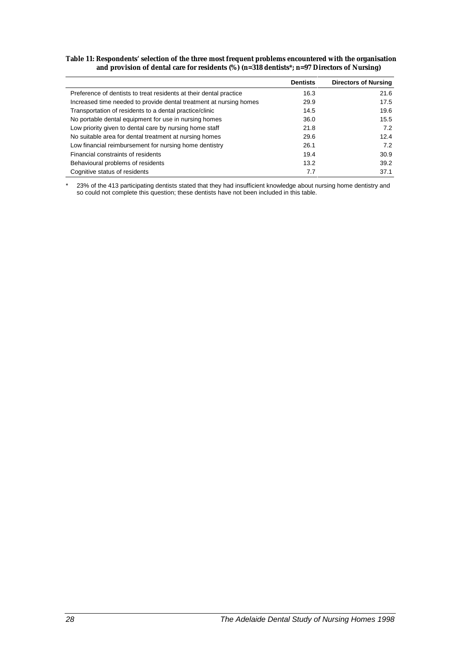#### **Table 11: Respondents' selection of the three most frequent problems encountered with the organisation and provision of dental care for residents (%) (n=318 dentists\*; n=97 Directors of Nursing)**

|                                                                    | <b>Dentists</b> | <b>Directors of Nursing</b> |
|--------------------------------------------------------------------|-----------------|-----------------------------|
| Preference of dentists to treat residents at their dental practice | 16.3            | 21.6                        |
| Increased time needed to provide dental treatment at nursing homes | 29.9            | 17.5                        |
| Transportation of residents to a dental practice/clinic            | 14.5            | 19.6                        |
| No portable dental equipment for use in nursing homes              | 36.0            | 15.5                        |
| Low priority given to dental care by nursing home staff            | 21.8            | 7.2                         |
| No suitable area for dental treatment at nursing homes             | 29.6            | 12.4                        |
| Low financial reimbursement for nursing home dentistry             | 26.1            | 7.2                         |
| Financial constraints of residents                                 | 19.4            | 30.9                        |
| Behavioural problems of residents                                  | 13.2            | 39.2                        |
| Cognitive status of residents                                      | 7.7             | 37.1                        |

\* 23% of the 413 participating dentists stated that they had insufficient knowledge about nursing home dentistry and so could not complete this question; these dentists have not been included in this table.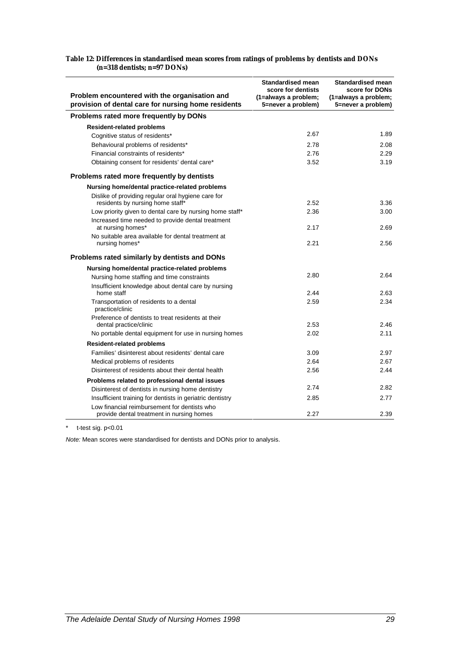| Problem encountered with the organisation and<br>provision of dental care for nursing home residents | <b>Standardised mean</b><br>score for dentists<br>(1=always a problem;<br>5=never a problem) | <b>Standardised mean</b><br>score for DONs<br>(1=always a problem;<br>5=never a problem) |
|------------------------------------------------------------------------------------------------------|----------------------------------------------------------------------------------------------|------------------------------------------------------------------------------------------|
| Problems rated more frequently by DONs                                                               |                                                                                              |                                                                                          |
| <b>Resident-related problems</b>                                                                     |                                                                                              |                                                                                          |
| Cognitive status of residents*                                                                       | 2.67                                                                                         | 1.89                                                                                     |
| Behavioural problems of residents*                                                                   | 2.78                                                                                         | 2.08                                                                                     |
| Financial constraints of residents*                                                                  | 2.76                                                                                         | 2.29                                                                                     |
| Obtaining consent for residents' dental care*                                                        | 3.52                                                                                         | 3.19                                                                                     |
| Problems rated more frequently by dentists                                                           |                                                                                              |                                                                                          |
| Nursing home/dental practice-related problems                                                        |                                                                                              |                                                                                          |
| Dislike of providing regular oral hygiene care for<br>residents by nursing home staff*               | 2.52                                                                                         | 3.36                                                                                     |
| Low priority given to dental care by nursing home staff*                                             | 2.36                                                                                         | 3.00                                                                                     |
| Increased time needed to provide dental treatment<br>at nursing homes*                               | 2.17                                                                                         | 2.69                                                                                     |
| No suitable area available for dental treatment at<br>nursing homes*                                 | 2.21                                                                                         | 2.56                                                                                     |
| Problems rated similarly by dentists and DONs                                                        |                                                                                              |                                                                                          |
| Nursing home/dental practice-related problems                                                        |                                                                                              |                                                                                          |
| Nursing home staffing and time constraints                                                           | 2.80                                                                                         | 2.64                                                                                     |
| Insufficient knowledge about dental care by nursing<br>home staff                                    | 2.44                                                                                         | 2.63                                                                                     |
| Transportation of residents to a dental<br>practice/clinic                                           | 2.59                                                                                         | 2.34                                                                                     |
| Preference of dentists to treat residents at their                                                   |                                                                                              |                                                                                          |
| dental practice/clinic                                                                               | 2.53                                                                                         | 2.46                                                                                     |
| No portable dental equipment for use in nursing homes                                                | 2.02                                                                                         | 2.11                                                                                     |
| <b>Resident-related problems</b>                                                                     |                                                                                              |                                                                                          |
| Families' disinterest about residents' dental care                                                   | 3.09                                                                                         | 2.97                                                                                     |
| Medical problems of residents                                                                        | 2.64                                                                                         | 2.67                                                                                     |
| Disinterest of residents about their dental health                                                   | 2.56                                                                                         | 2.44                                                                                     |
| Problems related to professional dental issues                                                       |                                                                                              |                                                                                          |
| Disinterest of dentists in nursing home dentistry                                                    | 2.74                                                                                         | 2.82                                                                                     |
| Insufficient training for dentists in geriatric dentistry                                            | 2.85                                                                                         | 2.77                                                                                     |
| Low financial reimbursement for dentists who<br>provide dental treatment in nursing homes            | 2.27                                                                                         | 2.39                                                                                     |

#### **Table 12: Differences in standardised mean scores from ratings of problems by dentists and DONs (n=318 dentists; n=97 DONs)**

\* t-test sig. p<0.01

*Note:* Mean scores were standardised for dentists and DONs prior to analysis.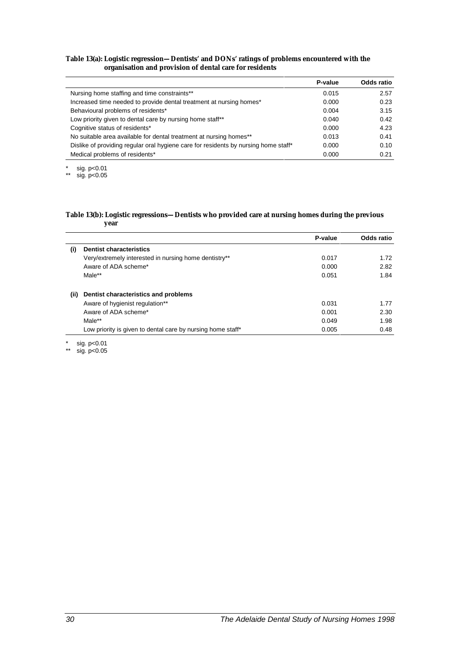#### **Table 13(a): Logistic regression—Dentists' and DONs' ratings of problems encountered with the organisation and provision of dental care for residents**

|                                                                                     | P-value | Odds ratio |
|-------------------------------------------------------------------------------------|---------|------------|
| Nursing home staffing and time constraints**                                        | 0.015   | 2.57       |
| Increased time needed to provide dental treatment at nursing homes*                 | 0.000   | 0.23       |
| Behavioural problems of residents*                                                  | 0.004   | 3.15       |
| Low priority given to dental care by nursing home staff**                           | 0.040   | 0.42       |
| Cognitive status of residents*                                                      | 0.000   | 4.23       |
| No suitable area available for dental treatment at nursing homes**                  | 0.013   | 0.41       |
| Dislike of providing regular oral hygiene care for residents by nursing home staff* | 0.000   | 0.10       |
| Medical problems of residents*                                                      | 0.000   | 0.21       |

 $*$  sig. p<0.01

\*\* sig.  $p < 0.05$ 

 $\overline{a}$ 

#### **Table 13(b): Logistic regressions—Dentists who provided care at nursing homes during the previous year**

|                   |                                                             | P-value | Odds ratio |
|-------------------|-------------------------------------------------------------|---------|------------|
| $\left( 1\right)$ | <b>Dentist characteristics</b>                              |         |            |
|                   | Very/extremely interested in nursing home dentistry**       | 0.017   | 1.72       |
|                   | Aware of ADA scheme*                                        | 0.000   | 2.82       |
|                   | Male**                                                      | 0.051   | 1.84       |
| (ii)              | Dentist characteristics and problems                        |         |            |
|                   | Aware of hygienist regulation**                             | 0.031   | 1.77       |
|                   | Aware of ADA scheme*                                        | 0.001   | 2.30       |
|                   | Male**                                                      | 0.049   | 1.98       |
|                   | Low priority is given to dental care by nursing home staff* | 0.005   | 0.48       |

\* sig. p<0.01

\*\* sig. p<0.05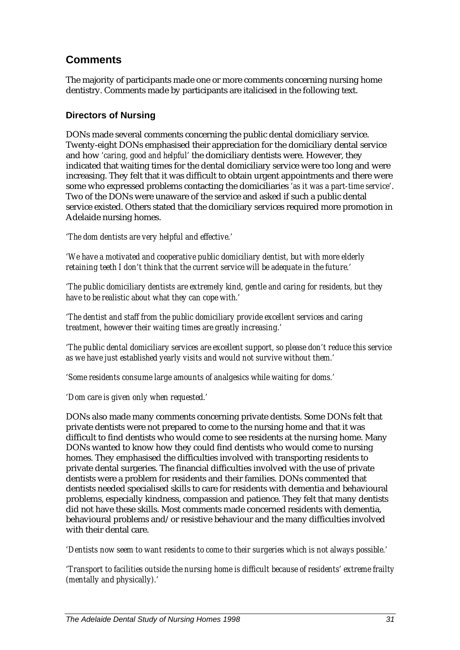## **Comments**

The majority of participants made one or more comments concerning nursing home dentistry. Comments made by participants are italicised in the following text.

### **Directors of Nursing**

DONs made several comments concerning the public dental domiciliary service. Twenty-eight DONs emphasised their appreciation for the domiciliary dental service and how *'caring, good and helpful'* the domiciliary dentists were. However, they indicated that waiting times for the dental domiciliary service were too long and were increasing. They felt that it was difficult to obtain urgent appointments and there were some who expressed problems contacting the domiciliaries *'as it was a part-time service'*. Two of the DONs were unaware of the service and asked if such a public dental service existed. Others stated that the domiciliary services required more promotion in Adelaide nursing homes.

*'The dom dentists are very helpful and effective.'*

*'We have a motivated and cooperative public domiciliary dentist, but with more elderly retaining teeth I don't think that the current service will be adequate in the future.'*

*'The public domiciliary dentists are extremely kind, gentle and caring for residents, but they have to be realistic about what they can cope with.'*

*'The dentist and staff from the public domiciliary provide excellent services and caring treatment, however their waiting times are greatly increasing.'*

*'The public dental domiciliary services are excellent support, so please don't reduce this service as we have just established yearly visits and would not survive without them.'*

*'Some residents consume large amounts of analgesics while waiting for doms.'*

*'Dom care is given only when requested.'*

DONs also made many comments concerning private dentists. Some DONs felt that private dentists were not prepared to come to the nursing home and that it was difficult to find dentists who would come to see residents at the nursing home. Many DONs wanted to know how they could find dentists who would come to nursing homes. They emphasised the difficulties involved with transporting residents to private dental surgeries. The financial difficulties involved with the use of private dentists were a problem for residents and their families. DONs commented that dentists needed specialised skills to care for residents with dementia and behavioural problems, especially kindness, compassion and patience. They felt that many dentists did not have these skills. Most comments made concerned residents with dementia, behavioural problems and/or resistive behaviour and the many difficulties involved with their dental care.

*'Dentists now seem to want residents to come to their surgeries which is not always possible.'*

*'Transport to facilities outside the nursing home is difficult because of residents' extreme frailty (mentally and physically).'*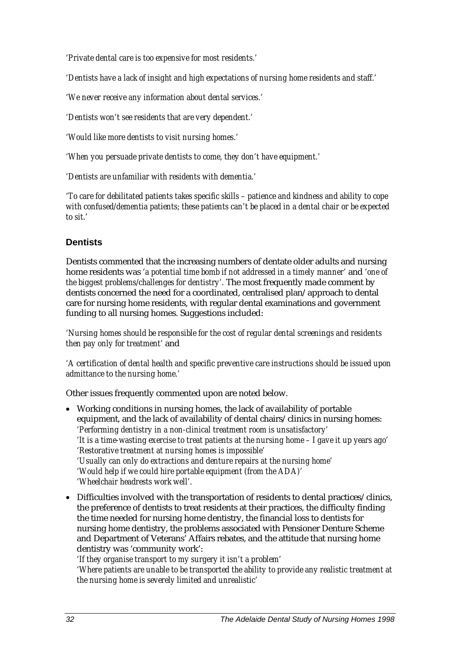*'Private dental care is too expensive for most residents.'*

*'Dentists have a lack of insight and high expectations of nursing home residents and staff.'*

*'We never receive any information about dental services.'*

*'Dentists won't see residents that are very dependent.'*

*'Would like more dentists to visit nursing homes.'*

*'When you persuade private dentists to come, they don't have equipment.'*

*'Dentists are unfamiliar with residents with dementia.'*

*'To care for debilitated patients takes specific skills – patience and kindness and ability to cope with confused/dementia patients; these patients can't be placed in a dental chair or be expected to sit.'*

### **Dentists**

Dentists commented that the increasing numbers of dentate older adults and nursing home residents was *'a potential time bomb if not addressed in a timely manner'* and *'one of the biggest problems/challenges for dentistry'.* The most frequently made comment by dentists concerned the need for a coordinated, centralised plan/approach to dental care for nursing home residents, with regular dental examinations and government funding to all nursing homes. Suggestions included:

*'Nursing homes should be responsible for the cost of regular dental screenings and residents then pay only for treatment'* and

*'A certification of dental health and specific preventive care instructions should be issued upon admittance to the nursing home.'*

Other issues frequently commented upon are noted below.

- Working conditions in nursing homes, the lack of availability of portable equipment, and the lack of availability of dental chairs/clinics in nursing homes: *'Performing dentistry in a non-clinical treatment room is unsatisfactory' 'It is a time-wasting exercise to treat patients at the nursing home – I gave it up years ago' 'Restorative treatment at nursing homes is impossible' 'Usually can only do extractions and denture repairs at the nursing home' 'Would help if we could hire portable equipment (from the ADA)' 'Wheelchair headrests work well'.*
- Difficulties involved with the transportation of residents to dental practices/clinics, the preference of dentists to treat residents at their practices, the difficulty finding the time needed for nursing home dentistry, the financial loss to dentists for nursing home dentistry, the problems associated with Pensioner Denture Scheme and Department of Veterans' Affairs rebates, and the attitude that nursing home dentistry was 'community work':

*'If they organise transport to my surgery it isn't a problem'*

*'Where patients are unable to be transported the ability to provide any realistic treatment at the nursing home is severely limited and unrealistic'*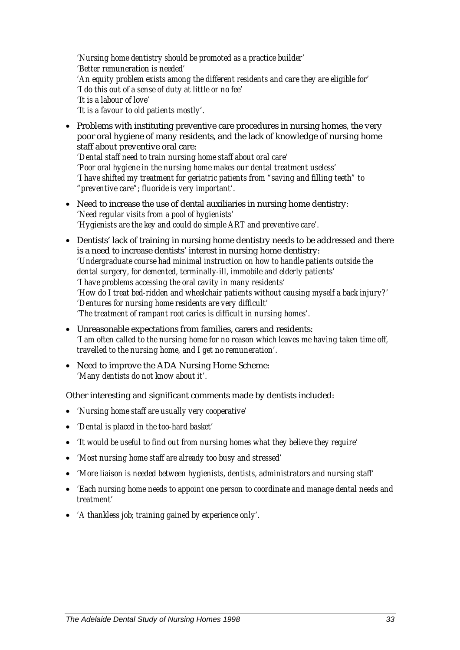*'Nursing home dentistry should be promoted as a practice builder' 'Better remuneration is needed' 'An equity problem exists among the different residents and care they are eligible for' 'I do this out of a sense of duty at little or no fee' 'It is a labour of love' 'It is a favour to old patients mostly'.*

- Problems with instituting preventive care procedures in nursing homes, the very poor oral hygiene of many residents, and the lack of knowledge of nursing home staff about preventive oral care: *'Dental staff need to train nursing home staff about oral care' 'Poor oral hygiene in the nursing home makes our dental treatment useless' 'I have shifted my treatment for geriatric patients from "saving and filling teeth" to "preventive care"; fluoride is very important'.*
- Need to increase the use of dental auxiliaries in nursing home dentistry: *'Need regular visits from a pool of hygienists' 'Hygienists are the key and could do simple ART and preventive care'.*
- Dentists' lack of training in nursing home dentistry needs to be addressed and there is a need to increase dentists' interest in nursing home dentistry: *'Undergraduate course had minimal instruction on how to handle patients outside the dental surgery, for demented, terminally-ill, immobile and elderly patients' 'I have problems accessing the oral cavity in many residents' 'How do I treat bed-ridden and wheelchair patients without causing myself a back injury?' 'Dentures for nursing home residents are very difficult' 'The treatment of rampant root caries is difficult in nursing homes'.*
- Unreasonable expectations from families, carers and residents: *'I am often called to the nursing home for no reason which leaves me having taken time off, travelled to the nursing home, and I get no remuneration'.*
- Need to improve the ADA Nursing Home Scheme: *'Many dentists do not know about it'.*

Other interesting and significant comments made by dentists included:

- *'Nursing home staff are usually very cooperative'*
- *'Dental is placed in the too-hard basket'*
- *'It would be useful to find out from nursing homes what they believe they require'*
- *'Most nursing home staff are already too busy and stressed'*
- *'More liaison is needed between hygienists, dentists, administrators and nursing staff'*
- *'Each nursing home needs to appoint one person to coordinate and manage dental needs and treatment'*
- *'A thankless job; training gained by experience only'.*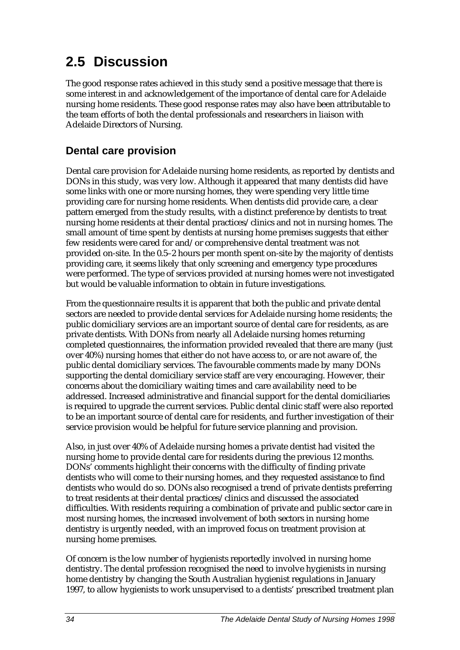## **2.5 Discussion**

The good response rates achieved in this study send a positive message that there is some interest in and acknowledgement of the importance of dental care for Adelaide nursing home residents. These good response rates may also have been attributable to the team efforts of both the dental professionals and researchers in liaison with Adelaide Directors of Nursing.

## **Dental care provision**

Dental care provision for Adelaide nursing home residents, as reported by dentists and DONs in this study, was very low. Although it appeared that many dentists did have some links with one or more nursing homes, they were spending very little time providing care for nursing home residents. When dentists did provide care, a clear pattern emerged from the study results, with a distinct preference by dentists to treat nursing home residents at their dental practices/clinics and not in nursing homes. The small amount of time spent by dentists at nursing home premises suggests that either few residents were cared for and/or comprehensive dental treatment was not provided on-site. In the 0.5–2 hours per month spent on-site by the majority of dentists providing care, it seems likely that only screening and emergency type procedures were performed. The type of services provided at nursing homes were not investigated but would be valuable information to obtain in future investigations.

From the questionnaire results it is apparent that both the public and private dental sectors are needed to provide dental services for Adelaide nursing home residents; the public domiciliary services are an important source of dental care for residents, as are private dentists. With DONs from nearly all Adelaide nursing homes returning completed questionnaires, the information provided revealed that there are many (just over 40%) nursing homes that either do not have access to, or are not aware of, the public dental domiciliary services. The favourable comments made by many DONs supporting the dental domiciliary service staff are very encouraging. However, their concerns about the domiciliary waiting times and care availability need to be addressed. Increased administrative and financial support for the dental domiciliaries is required to upgrade the current services. Public dental clinic staff were also reported to be an important source of dental care for residents, and further investigation of their service provision would be helpful for future service planning and provision.

Also, in just over 40% of Adelaide nursing homes a private dentist had visited the nursing home to provide dental care for residents during the previous 12 months. DONs' comments highlight their concerns with the difficulty of finding private dentists who will come to their nursing homes, and they requested assistance to find dentists who would do so. DONs also recognised a trend of private dentists preferring to treat residents at their dental practices/clinics and discussed the associated difficulties. With residents requiring a combination of private and public sector care in most nursing homes, the increased involvement of both sectors in nursing home dentistry is urgently needed, with an improved focus on treatment provision at nursing home premises.

Of concern is the low number of hygienists reportedly involved in nursing home dentistry. The dental profession recognised the need to involve hygienists in nursing home dentistry by changing the South Australian hygienist regulations in January 1997, to allow hygienists to work unsupervised to a dentists' prescribed treatment plan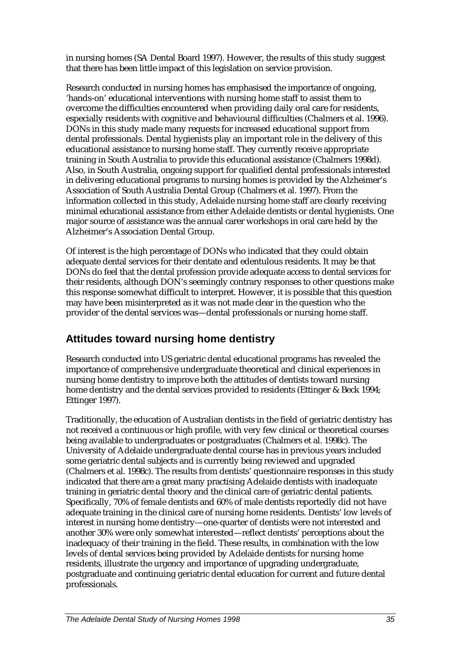in nursing homes (SA Dental Board 1997). However, the results of this study suggest that there has been little impact of this legislation on service provision.

Research conducted in nursing homes has emphasised the importance of ongoing, 'hands-on' educational interventions with nursing home staff to assist them to overcome the difficulties encountered when providing daily oral care for residents, especially residents with cognitive and behavioural difficulties (Chalmers et al. 1996). DONs in this study made many requests for increased educational support from dental professionals. Dental hygienists play an important role in the delivery of this educational assistance to nursing home staff. They currently receive appropriate training in South Australia to provide this educational assistance (Chalmers 1998d). Also, in South Australia, ongoing support for qualified dental professionals interested in delivering educational programs to nursing homes is provided by the Alzheimer's Association of South Australia Dental Group (Chalmers et al. 1997). From the information collected in this study, Adelaide nursing home staff are clearly receiving minimal educational assistance from either Adelaide dentists or dental hygienists. One major source of assistance was the annual carer workshops in oral care held by the Alzheimer's Association Dental Group.

Of interest is the high percentage of DONs who indicated that they could obtain adequate dental services for their dentate and edentulous residents. It may be that DONs do feel that the dental profession provide adequate access to dental services for their residents, although DON's seemingly contrary responses to other questions make this response somewhat difficult to interpret. However, it is possible that this question may have been misinterpreted as it was not made clear in the question who the provider of the dental services was—dental professionals or nursing home staff.

## **Attitudes toward nursing home dentistry**

Research conducted into US geriatric dental educational programs has revealed the importance of comprehensive undergraduate theoretical and clinical experiences in nursing home dentistry to improve both the attitudes of dentists toward nursing home dentistry and the dental services provided to residents (Ettinger & Beck 1994; Ettinger 1997).

Traditionally, the education of Australian dentists in the field of geriatric dentistry has not received a continuous or high profile, with very few clinical or theoretical courses being available to undergraduates or postgraduates (Chalmers et al. 1998c). The University of Adelaide undergraduate dental course has in previous years included some geriatric dental subjects and is currently being reviewed and upgraded (Chalmers et al. 1998c). The results from dentists' questionnaire responses in this study indicated that there are a great many practising Adelaide dentists with inadequate training in geriatric dental theory and the clinical care of geriatric dental patients. Specifically, 70% of female dentists and 60% of male dentists reportedly did not have adequate training in the clinical care of nursing home residents. Dentists' low levels of interest in nursing home dentistry—one-quarter of dentists were not interested and another 30% were only somewhat interested—reflect dentists' perceptions about the inadequacy of their training in the field. These results, in combination with the low levels of dental services being provided by Adelaide dentists for nursing home residents, illustrate the urgency and importance of upgrading undergraduate, postgraduate and continuing geriatric dental education for current and future dental professionals.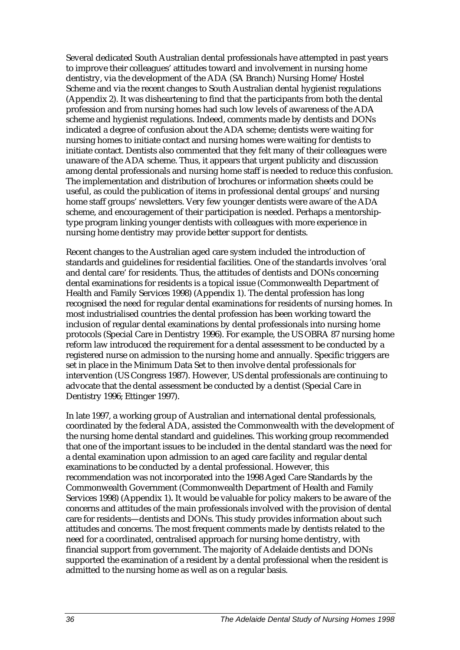Several dedicated South Australian dental professionals have attempted in past years to improve their colleagues' attitudes toward and involvement in nursing home dentistry, via the development of the ADA (SA Branch) Nursing Home/Hostel Scheme and via the recent changes to South Australian dental hygienist regulations (Appendix 2). It was disheartening to find that the participants from both the dental profession and from nursing homes had such low levels of awareness of the ADA scheme and hygienist regulations. Indeed, comments made by dentists and DONs indicated a degree of confusion about the ADA scheme; dentists were waiting for nursing homes to initiate contact and nursing homes were waiting for dentists to initiate contact. Dentists also commented that they felt many of their colleagues were unaware of the ADA scheme. Thus, it appears that urgent publicity and discussion among dental professionals and nursing home staff is needed to reduce this confusion. The implementation and distribution of brochures or information sheets could be useful, as could the publication of items in professional dental groups' and nursing home staff groups' newsletters. Very few younger dentists were aware of the ADA scheme, and encouragement of their participation is needed. Perhaps a mentorshiptype program linking younger dentists with colleagues with more experience in nursing home dentistry may provide better support for dentists.

Recent changes to the Australian aged care system included the introduction of standards and guidelines for residential facilities. One of the standards involves 'oral and dental care' for residents. Thus, the attitudes of dentists and DONs concerning dental examinations for residents is a topical issue (Commonwealth Department of Health and Family Services 1998) (Appendix 1). The dental profession has long recognised the need for regular dental examinations for residents of nursing homes. In most industrialised countries the dental profession has been working toward the inclusion of regular dental examinations by dental professionals into nursing home protocols (Special Care in Dentistry 1996). For example, the US OBRA 87 nursing home reform law introduced the requirement for a dental assessment to be conducted by a registered nurse on admission to the nursing home and annually. Specific triggers are set in place in the Minimum Data Set to then involve dental professionals for intervention (US Congress 1987). However, US dental professionals are continuing to advocate that the dental assessment be conducted by a dentist (Special Care in Dentistry 1996; Ettinger 1997).

In late 1997, a working group of Australian and international dental professionals, coordinated by the federal ADA, assisted the Commonwealth with the development of the nursing home dental standard and guidelines. This working group recommended that one of the important issues to be included in the dental standard was the need for a dental examination upon admission to an aged care facility and regular dental examinations to be conducted by a dental professional. However, this recommendation was not incorporated into the 1998 Aged Care Standards by the Commonwealth Government (Commonwealth Department of Health and Family Services 1998) (Appendix 1)*.* It would be valuable for policy makers to be aware of the concerns and attitudes of the main professionals involved with the provision of dental care for residents—dentists and DONs. This study provides information about such attitudes and concerns. The most frequent comments made by dentists related to the need for a coordinated, centralised approach for nursing home dentistry, with financial support from government. The majority of Adelaide dentists and DONs supported the examination of a resident by a dental professional when the resident is admitted to the nursing home as well as on a regular basis.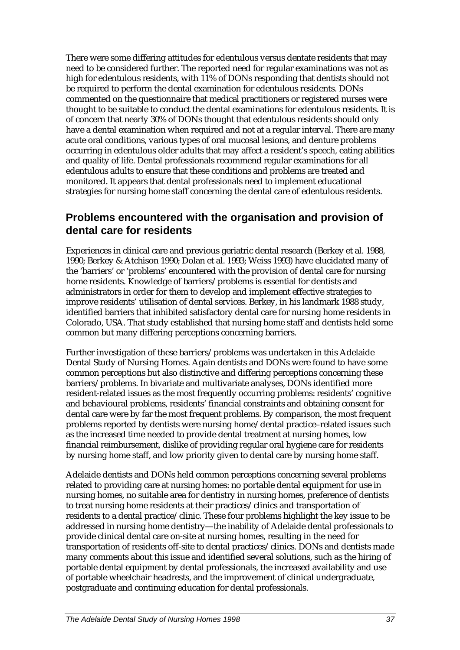There were some differing attitudes for edentulous versus dentate residents that may need to be considered further. The reported need for regular examinations was not as high for edentulous residents, with 11% of DONs responding that dentists should not be required to perform the dental examination for edentulous residents. DONs commented on the questionnaire that medical practitioners or registered nurses were thought to be suitable to conduct the dental examinations for edentulous residents. It is of concern that nearly 30% of DONs thought that edentulous residents should only have a dental examination when required and not at a regular interval. There are many acute oral conditions, various types of oral mucosal lesions, and denture problems occurring in edentulous older adults that may affect a resident's speech, eating abilities and quality of life. Dental professionals recommend regular examinations for all edentulous adults to ensure that these conditions and problems are treated and monitored. It appears that dental professionals need to implement educational strategies for nursing home staff concerning the dental care of edentulous residents.

## **Problems encountered with the organisation and provision of dental care for residents**

Experiences in clinical care and previous geriatric dental research (Berkey et al. 1988, 1990; Berkey & Atchison 1990; Dolan et al. 1993; Weiss 1993) have elucidated many of the 'barriers' or 'problems' encountered with the provision of dental care for nursing home residents. Knowledge of barriers/problems is essential for dentists and administrators in order for them to develop and implement effective strategies to improve residents' utilisation of dental services. Berkey, in his landmark 1988 study, identified barriers that inhibited satisfactory dental care for nursing home residents in Colorado, USA. That study established that nursing home staff and dentists held some common but many differing perceptions concerning barriers.

Further investigation of these barriers/problems was undertaken in this Adelaide Dental Study of Nursing Homes. Again dentists and DONs were found to have some common perceptions but also distinctive and differing perceptions concerning these barriers/problems. In bivariate and multivariate analyses, DONs identified more resident-related issues as the most frequently occurring problems: residents' cognitive and behavioural problems, residents' financial constraints and obtaining consent for dental care were by far the most frequent problems. By comparison, the most frequent problems reported by dentists were nursing home/dental practice–related issues such as the increased time needed to provide dental treatment at nursing homes, low financial reimbursement, dislike of providing regular oral hygiene care for residents by nursing home staff, and low priority given to dental care by nursing home staff.

Adelaide dentists and DONs held common perceptions concerning several problems related to providing care at nursing homes: no portable dental equipment for use in nursing homes, no suitable area for dentistry in nursing homes, preference of dentists to treat nursing home residents at their practices/clinics and transportation of residents to a dental practice/clinic. These four problems highlight the key issue to be addressed in nursing home dentistry—the inability of Adelaide dental professionals to provide clinical dental care on-site at nursing homes, resulting in the need for transportation of residents off-site to dental practices/clinics. DONs and dentists made many comments about this issue and identified several solutions, such as the hiring of portable dental equipment by dental professionals, the increased availability and use of portable wheelchair headrests, and the improvement of clinical undergraduate, postgraduate and continuing education for dental professionals.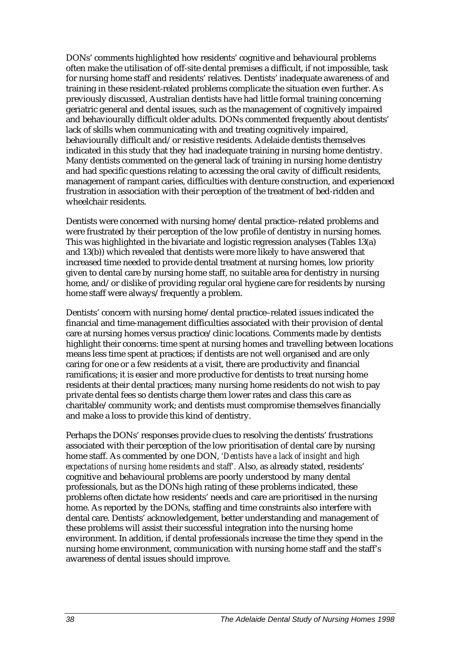DONs' comments highlighted how residents' cognitive and behavioural problems often make the utilisation of off-site dental premises a difficult, if not impossible, task for nursing home staff and residents' relatives. Dentists' inadequate awareness of and training in these resident-related problems complicate the situation even further. As previously discussed, Australian dentists have had little formal training concerning geriatric general and dental issues, such as the management of cognitively impaired and behaviourally difficult older adults. DONs commented frequently about dentists' lack of skills when communicating with and treating cognitively impaired, behaviourally difficult and/or resistive residents. Adelaide dentists themselves indicated in this study that they had inadequate training in nursing home dentistry. Many dentists commented on the general lack of training in nursing home dentistry and had specific questions relating to accessing the oral cavity of difficult residents, management of rampant caries, difficulties with denture construction, and experienced frustration in association with their perception of the treatment of bed-ridden and wheelchair residents.

Dentists were concerned with nursing home/dental practice–related problems and were frustrated by their perception of the low profile of dentistry in nursing homes. This was highlighted in the bivariate and logistic regression analyses (Tables 13(a) and 13(b)) which revealed that dentists were more likely to have answered that increased time needed to provide dental treatment at nursing homes, low priority given to dental care by nursing home staff, no suitable area for dentistry in nursing home, and/or dislike of providing regular oral hygiene care for residents by nursing home staff were always/frequently a problem.

Dentists' concern with nursing home/dental practice–related issues indicated the financial and time-management difficulties associated with their provision of dental care at nursing homes versus practice/clinic locations. Comments made by dentists highlight their concerns: time spent at nursing homes and travelling between locations means less time spent at practices; if dentists are not well organised and are only caring for one or a few residents at a visit, there are productivity and financial ramifications; it is easier and more productive for dentists to treat nursing home residents at their dental practices; many nursing home residents do not wish to pay private dental fees so dentists charge them lower rates and class this care as charitable/community work; and dentists must compromise themselves financially and make a loss to provide this kind of dentistry.

Perhaps the DONs' responses provide clues to resolving the dentists' frustrations associated with their perception of the low prioritisation of dental care by nursing home staff. As commented by one DON, *'Dentists have a lack of insight and high expectations of nursing home residents and staff'.* Also, as already stated, residents' cognitive and behavioural problems are poorly understood by many dental professionals, but as the DONs high rating of these problems indicated, these problems often dictate how residents' needs and care are prioritised in the nursing home. As reported by the DONs, staffing and time constraints also interfere with dental care. Dentists' acknowledgement, better understanding and management of these problems will assist their successful integration into the nursing home environment. In addition, if dental professionals increase the time they spend in the nursing home environment, communication with nursing home staff and the staff's awareness of dental issues should improve.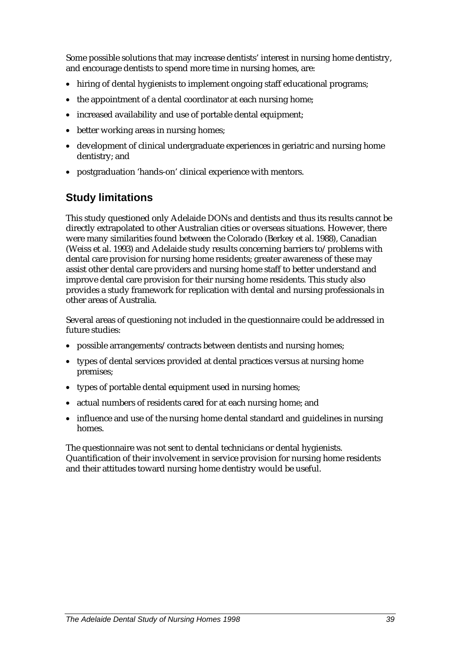Some possible solutions that may increase dentists' interest in nursing home dentistry, and encourage dentists to spend more time in nursing homes, are:

- hiring of dental hygienists to implement ongoing staff educational programs;
- the appointment of a dental coordinator at each nursing home;
- increased availability and use of portable dental equipment;
- better working areas in nursing homes;
- development of clinical undergraduate experiences in geriatric and nursing home dentistry; and
- postgraduation 'hands-on' clinical experience with mentors.

## **Study limitations**

This study questioned only Adelaide DONs and dentists and thus its results cannot be directly extrapolated to other Australian cities or overseas situations. However, there were many similarities found between the Colorado (Berkey et al. 1988), Canadian (Weiss et al. 1993) and Adelaide study results concerning barriers to/problems with dental care provision for nursing home residents; greater awareness of these may assist other dental care providers and nursing home staff to better understand and improve dental care provision for their nursing home residents. This study also provides a study framework for replication with dental and nursing professionals in other areas of Australia.

Several areas of questioning not included in the questionnaire could be addressed in future studies:

- possible arrangements/contracts between dentists and nursing homes;
- types of dental services provided at dental practices versus at nursing home premises;
- types of portable dental equipment used in nursing homes;
- actual numbers of residents cared for at each nursing home; and
- influence and use of the nursing home dental standard and guidelines in nursing homes.

The questionnaire was not sent to dental technicians or dental hygienists. Quantification of their involvement in service provision for nursing home residents and their attitudes toward nursing home dentistry would be useful.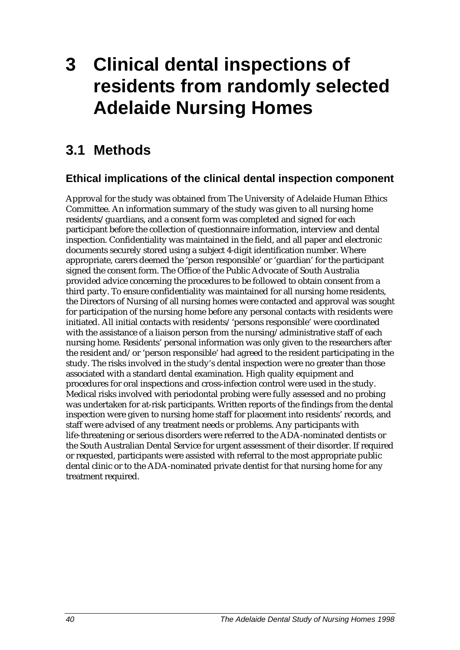# **3 Clinical dental inspections of residents from randomly selected Adelaide Nursing Homes**

## **3.1 Methods**

## **Ethical implications of the clinical dental inspection component**

Approval for the study was obtained from The University of Adelaide Human Ethics Committee. An information summary of the study was given to all nursing home residents/guardians, and a consent form was completed and signed for each participant before the collection of questionnaire information, interview and dental inspection. Confidentiality was maintained in the field, and all paper and electronic documents securely stored using a subject 4-digit identification number. Where appropriate, carers deemed the 'person responsible' or 'guardian' for the participant signed the consent form. The Office of the Public Advocate of South Australia provided advice concerning the procedures to be followed to obtain consent from a third party. To ensure confidentiality was maintained for all nursing home residents, the Directors of Nursing of all nursing homes were contacted and approval was sought for participation of the nursing home before any personal contacts with residents were initiated. All initial contacts with residents/'persons responsible' were coordinated with the assistance of a liaison person from the nursing/administrative staff of each nursing home. Residents' personal information was only given to the researchers after the resident and/or 'person responsible' had agreed to the resident participating in the study. The risks involved in the study's dental inspection were no greater than those associated with a standard dental examination. High quality equipment and procedures for oral inspections and cross-infection control were used in the study. Medical risks involved with periodontal probing were fully assessed and no probing was undertaken for at-risk participants. Written reports of the findings from the dental inspection were given to nursing home staff for placement into residents' records, and staff were advised of any treatment needs or problems. Any participants with life-threatening or serious disorders were referred to the ADA-nominated dentists or the South Australian Dental Service for urgent assessment of their disorder. If required or requested, participants were assisted with referral to the most appropriate public dental clinic or to the ADA-nominated private dentist for that nursing home for any treatment required.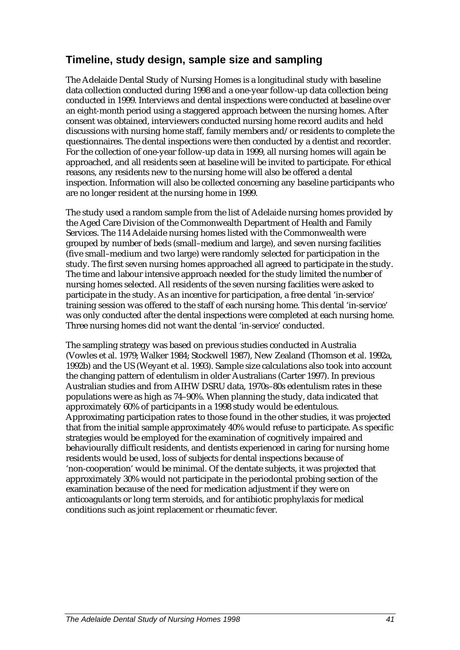## **Timeline, study design, sample size and sampling**

The Adelaide Dental Study of Nursing Homes is a longitudinal study with baseline data collection conducted during 1998 and a one-year follow-up data collection being conducted in 1999. Interviews and dental inspections were conducted at baseline over an eight-month period using a staggered approach between the nursing homes. After consent was obtained, interviewers conducted nursing home record audits and held discussions with nursing home staff, family members and/or residents to complete the questionnaires. The dental inspections were then conducted by a dentist and recorder. For the collection of one-year follow-up data in 1999, all nursing homes will again be approached, and all residents seen at baseline will be invited to participate. For ethical reasons, any residents new to the nursing home will also be offered a dental inspection. Information will also be collected concerning any baseline participants who are no longer resident at the nursing home in 1999.

The study used a random sample from the list of Adelaide nursing homes provided by the Aged Care Division of the Commonwealth Department of Health and Family Services. The 114 Adelaide nursing homes listed with the Commonwealth were grouped by number of beds (small–medium and large), and seven nursing facilities (five small–medium and two large) were randomly selected for participation in the study. The first seven nursing homes approached all agreed to participate in the study. The time and labour intensive approach needed for the study limited the number of nursing homes selected. All residents of the seven nursing facilities were asked to participate in the study. As an incentive for participation, a free dental 'in-service' training session was offered to the staff of each nursing home. This dental 'in-service' was only conducted after the dental inspections were completed at each nursing home. Three nursing homes did not want the dental 'in-service' conducted.

The sampling strategy was based on previous studies conducted in Australia (Vowles et al. 1979; Walker 1984; Stockwell 1987), New Zealand (Thomson et al. 1992a, 1992b) and the US (Weyant et al. 1993). Sample size calculations also took into account the changing pattern of edentulism in older Australians (Carter 1997). In previous Australian studies and from AIHW DSRU data, 1970s–80s edentulism rates in these populations were as high as 74–90%. When planning the study, data indicated that approximately 60% of participants in a 1998 study would be edentulous. Approximating participation rates to those found in the other studies, it was projected that from the initial sample approximately 40% would refuse to participate. As specific strategies would be employed for the examination of cognitively impaired and behaviourally difficult residents, and dentists experienced in caring for nursing home residents would be used, loss of subjects for dental inspections because of 'non-cooperation' would be minimal. Of the dentate subjects, it was projected that approximately 30% would not participate in the periodontal probing section of the examination because of the need for medication adjustment if they were on anticoagulants or long term steroids, and for antibiotic prophylaxis for medical conditions such as joint replacement or rheumatic fever.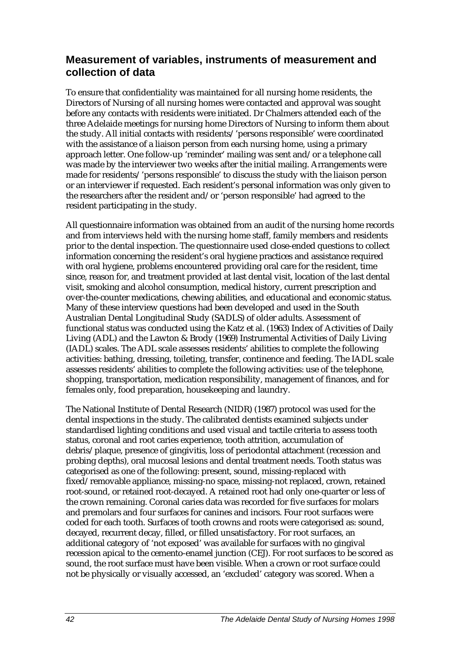## **Measurement of variables, instruments of measurement and collection of data**

To ensure that confidentiality was maintained for all nursing home residents, the Directors of Nursing of all nursing homes were contacted and approval was sought before any contacts with residents were initiated. Dr Chalmers attended each of the three Adelaide meetings for nursing home Directors of Nursing to inform them about the study. All initial contacts with residents/'persons responsible' were coordinated with the assistance of a liaison person from each nursing home, using a primary approach letter. One follow-up 'reminder' mailing was sent and/or a telephone call was made by the interviewer two weeks after the initial mailing. Arrangements were made for residents/'persons responsible' to discuss the study with the liaison person or an interviewer if requested. Each resident's personal information was only given to the researchers after the resident and/or 'person responsible' had agreed to the resident participating in the study.

All questionnaire information was obtained from an audit of the nursing home records and from interviews held with the nursing home staff, family members and residents prior to the dental inspection. The questionnaire used close-ended questions to collect information concerning the resident's oral hygiene practices and assistance required with oral hygiene, problems encountered providing oral care for the resident, time since, reason for, and treatment provided at last dental visit, location of the last dental visit, smoking and alcohol consumption, medical history, current prescription and over-the-counter medications, chewing abilities, and educational and economic status. Many of these interview questions had been developed and used in the South Australian Dental Longitudinal Study (SADLS) of older adults. Assessment of functional status was conducted using the Katz et al. (1963) Index of Activities of Daily Living (ADL) and the Lawton & Brody (1969) Instrumental Activities of Daily Living (IADL) scales. The ADL scale assesses residents' abilities to complete the following activities: bathing, dressing, toileting, transfer, continence and feeding. The IADL scale assesses residents' abilities to complete the following activities: use of the telephone, shopping, transportation, medication responsibility, management of finances, and for females only, food preparation, housekeeping and laundry.

The National Institute of Dental Research (NIDR) (1987) protocol was used for the dental inspections in the study. The calibrated dentists examined subjects under standardised lighting conditions and used visual and tactile criteria to assess tooth status, coronal and root caries experience, tooth attrition, accumulation of debris/plaque, presence of gingivitis, loss of periodontal attachment (recession and probing depths), oral mucosal lesions and dental treatment needs. Tooth status was categorised as one of the following: present, sound, missing-replaced with fixed/removable appliance, missing-no space, missing-not replaced, crown, retained root-sound, or retained root-decayed. A retained root had only one-quarter or less of the crown remaining. Coronal caries data was recorded for five surfaces for molars and premolars and four surfaces for canines and incisors. Four root surfaces were coded for each tooth. Surfaces of tooth crowns and roots were categorised as: sound, decayed, recurrent decay, filled, or filled unsatisfactory. For root surfaces, an additional category of 'not exposed' was available for surfaces with no gingival recession apical to the cemento-enamel junction (CEJ). For root surfaces to be scored as sound, the root surface must have been visible. When a crown or root surface could not be physically or visually accessed, an 'excluded' category was scored. When a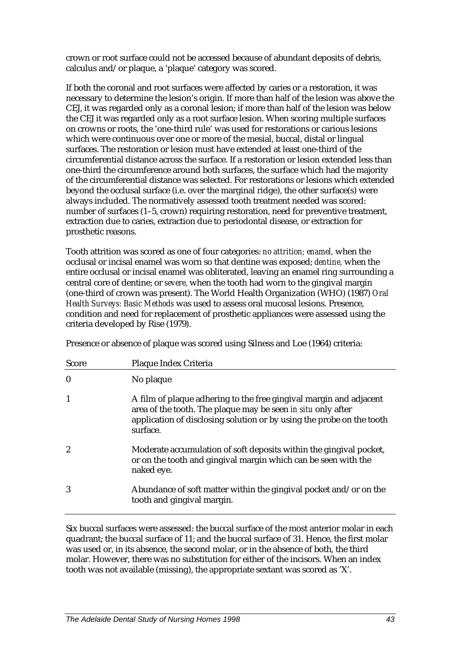crown or root surface could not be accessed because of abundant deposits of debris, calculus and/or plaque, a 'plaque' category was scored.

If both the coronal and root surfaces were affected by caries or a restoration, it was necessary to determine the lesion's origin. If more than half of the lesion was above the CEJ, it was regarded only as a coronal lesion; if more than half of the lesion was below the CEJ it was regarded only as a root surface lesion. When scoring multiple surfaces on crowns or roots, the 'one-third rule' was used for restorations or carious lesions which were continuous over one or more of the mesial, buccal, distal or lingual surfaces. The restoration or lesion must have extended at least one-third of the circumferential distance across the surface. If a restoration or lesion extended less than one-third the circumference around both surfaces, the surface which had the majority of the circumferential distance was selected. For restorations or lesions which extended beyond the occlusal surface (i.e. over the marginal ridge), the other surface(s) were always included. The normatively assessed tooth treatment needed was scored: number of surfaces (1–5, crown) requiring restoration, need for preventive treatment, extraction due to caries, extraction due to periodontal disease, or extraction for prosthetic reasons.

Tooth attrition was scored as one of four categories: *no attrition; enamel,* when the occlusal or incisal enamel was worn so that dentine was exposed; *dentine,* when the entire occlusal or incisal enamel was obliterated, leaving an enamel ring surrounding a central core of dentine; or *severe,* when the tooth had worn to the gingival margin (one-third of crown was present). The World Health Organization (WHO) (1987) *Oral Health Surveys: Basic Methods* was used to assess oral mucosal lesions. Presence, condition and need for replacement of prosthetic appliances were assessed using the criteria developed by Rise (1979).

Presence or absence of plaque was scored using Silness and Loe (1964) criteria:

| Score            | Plaque Index Criteria                                                                                                                                                                                                   |
|------------------|-------------------------------------------------------------------------------------------------------------------------------------------------------------------------------------------------------------------------|
| $\boldsymbol{0}$ | No plaque                                                                                                                                                                                                               |
| 1                | A film of plaque adhering to the free gingival margin and adjacent<br>area of the tooth. The plaque may be seen in situ only after<br>application of disclosing solution or by using the probe on the tooth<br>surface. |
| $\boldsymbol{2}$ | Moderate accumulation of soft deposits within the gingival pocket,<br>or on the tooth and gingival margin which can be seen with the<br>naked eye.                                                                      |
| 3                | Abundance of soft matter within the gingival pocket and/or on the<br>tooth and gingival margin.                                                                                                                         |

Six buccal surfaces were assessed: the buccal surface of the most anterior molar in each quadrant; the buccal surface of 11; and the buccal surface of 31. Hence, the first molar was used or, in its absence, the second molar, or in the absence of both, the third molar. However, there was no substitution for either of the incisors. When an index tooth was not available (missing), the appropriate sextant was scored as 'X'.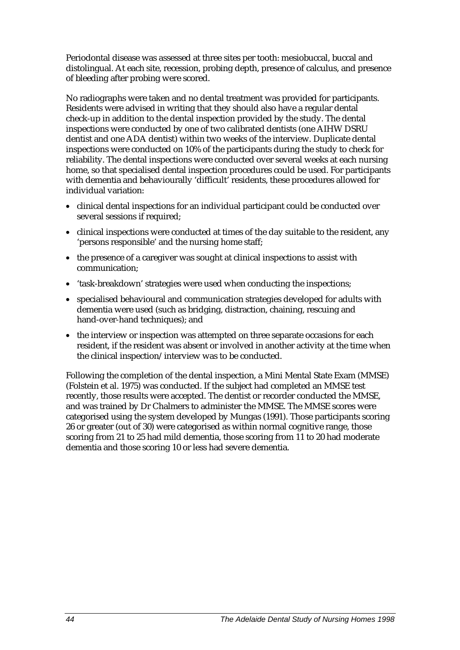Periodontal disease was assessed at three sites per tooth: mesiobuccal, buccal and distolingual. At each site, recession, probing depth, presence of calculus, and presence of bleeding after probing were scored.

No radiographs were taken and no dental treatment was provided for participants. Residents were advised in writing that they should also have a regular dental check-up in addition to the dental inspection provided by the study. The dental inspections were conducted by one of two calibrated dentists (one AIHW DSRU dentist and one ADA dentist) within two weeks of the interview. Duplicate dental inspections were conducted on 10% of the participants during the study to check for reliability. The dental inspections were conducted over several weeks at each nursing home, so that specialised dental inspection procedures could be used. For participants with dementia and behaviourally 'difficult' residents, these procedures allowed for individual variation:

- clinical dental inspections for an individual participant could be conducted over several sessions if required;
- clinical inspections were conducted at times of the day suitable to the resident, any 'persons responsible' and the nursing home staff;
- the presence of a caregiver was sought at clinical inspections to assist with communication;
- 'task-breakdown' strategies were used when conducting the inspections;
- specialised behavioural and communication strategies developed for adults with dementia were used (such as bridging, distraction, chaining, rescuing and hand-over-hand techniques); and
- the interview or inspection was attempted on three separate occasions for each resident, if the resident was absent or involved in another activity at the time when the clinical inspection/interview was to be conducted.

Following the completion of the dental inspection, a Mini Mental State Exam (MMSE) (Folstein et al. 1975) was conducted. If the subject had completed an MMSE test recently, those results were accepted. The dentist or recorder conducted the MMSE, and was trained by Dr Chalmers to administer the MMSE. The MMSE scores were categorised using the system developed by Mungas (1991). Those participants scoring 26 or greater (out of 30) were categorised as within normal cognitive range, those scoring from 21 to 25 had mild dementia, those scoring from 11 to 20 had moderate dementia and those scoring 10 or less had severe dementia.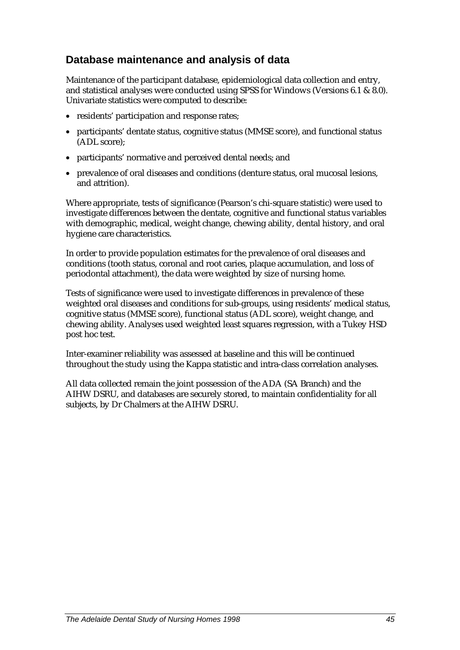## **Database maintenance and analysis of data**

Maintenance of the participant database, epidemiological data collection and entry, and statistical analyses were conducted using SPSS for Windows (Versions 6.1 & 8.0). Univariate statistics were computed to describe:

- residents' participation and response rates;
- participants' dentate status, cognitive status (MMSE score), and functional status (ADL score);
- participants' normative and perceived dental needs; and
- prevalence of oral diseases and conditions (denture status, oral mucosal lesions, and attrition).

Where appropriate, tests of significance (Pearson's chi-square statistic) were used to investigate differences between the dentate, cognitive and functional status variables with demographic, medical, weight change, chewing ability, dental history, and oral hygiene care characteristics.

In order to provide population estimates for the prevalence of oral diseases and conditions (tooth status, coronal and root caries, plaque accumulation, and loss of periodontal attachment), the data were weighted by size of nursing home.

Tests of significance were used to investigate differences in prevalence of these weighted oral diseases and conditions for sub-groups, using residents' medical status, cognitive status (MMSE score), functional status (ADL score), weight change, and chewing ability. Analyses used weighted least squares regression, with a Tukey HSD post hoc test.

Inter-examiner reliability was assessed at baseline and this will be continued throughout the study using the Kappa statistic and intra-class correlation analyses.

All data collected remain the joint possession of the ADA (SA Branch) and the AIHW DSRU, and databases are securely stored, to maintain confidentiality for all subjects, by Dr Chalmers at the AIHW DSRU.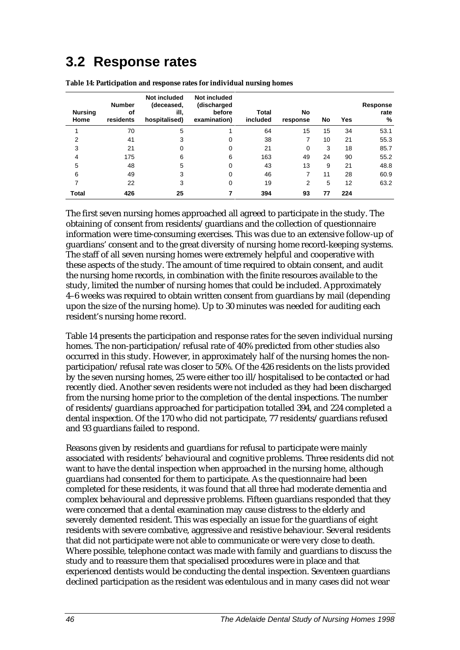## **3.2 Response rates**

| <b>Nursing</b><br>Home | <b>Number</b><br>of<br>residents | Not included<br>(deceased,<br>ill.<br>hospitalised) | Not included<br>(discharged<br>before<br>examination) | <b>Total</b><br>included | No<br>response | No | Yes | Response<br>rate<br>% |
|------------------------|----------------------------------|-----------------------------------------------------|-------------------------------------------------------|--------------------------|----------------|----|-----|-----------------------|
|                        | 70                               | 5                                                   |                                                       | 64                       | 15             | 15 | 34  | 53.1                  |
| 2                      | 41                               | 3                                                   | 0                                                     | 38                       |                | 10 | 21  | 55.3                  |
| 3                      | 21                               | 0                                                   | 0                                                     | 21                       | 0              | 3  | 18  | 85.7                  |
| 4                      | 175                              | 6                                                   | 6                                                     | 163                      | 49             | 24 | 90  | 55.2                  |
| 5                      | 48                               | 5                                                   | 0                                                     | 43                       | 13             | 9  | 21  | 48.8                  |
| 6                      | 49                               | 3                                                   | 0                                                     | 46                       |                | 11 | 28  | 60.9                  |
| 7                      | 22                               | 3                                                   | 0                                                     | 19                       | 2              | 5  | 12  | 63.2                  |
| Total                  | 426                              | 25                                                  |                                                       | 394                      | 93             | 77 | 224 |                       |

**Table 14: Participation and response rates for individual nursing homes**

The first seven nursing homes approached all agreed to participate in the study. The obtaining of consent from residents/guardians and the collection of questionnaire information were time-consuming exercises. This was due to an extensive follow-up of guardians' consent and to the great diversity of nursing home record-keeping systems. The staff of all seven nursing homes were extremely helpful and cooperative with these aspects of the study. The amount of time required to obtain consent, and audit the nursing home records, in combination with the finite resources available to the study, limited the number of nursing homes that could be included. Approximately 4–6 weeks was required to obtain written consent from guardians by mail (depending upon the size of the nursing home). Up to 30 minutes was needed for auditing each resident's nursing home record.

Table 14 presents the participation and response rates for the seven individual nursing homes. The non-participation/refusal rate of 40% predicted from other studies also occurred in this study. However, in approximately half of the nursing homes the nonparticipation/refusal rate was closer to 50%. Of the 426 residents on the lists provided by the seven nursing homes, 25 were either too ill/hospitalised to be contacted or had recently died. Another seven residents were not included as they had been discharged from the nursing home prior to the completion of the dental inspections. The number of residents/guardians approached for participation totalled 394, and 224 completed a dental inspection. Of the 170 who did not participate, 77 residents/guardians refused and 93 guardians failed to respond.

Reasons given by residents and guardians for refusal to participate were mainly associated with residents' behavioural and cognitive problems. Three residents did not want to have the dental inspection when approached in the nursing home, although guardians had consented for them to participate. As the questionnaire had been completed for these residents, it was found that all three had moderate dementia and complex behavioural and depressive problems. Fifteen guardians responded that they were concerned that a dental examination may cause distress to the elderly and severely demented resident. This was especially an issue for the guardians of eight residents with severe combative, aggressive and resistive behaviour. Several residents that did not participate were not able to communicate or were very close to death. Where possible, telephone contact was made with family and guardians to discuss the study and to reassure them that specialised procedures were in place and that experienced dentists would be conducting the dental inspection. Seventeen guardians declined participation as the resident was edentulous and in many cases did not wear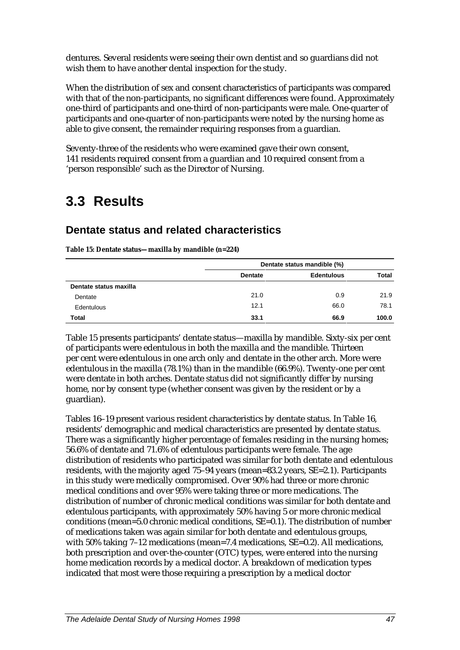dentures. Several residents were seeing their own dentist and so guardians did not wish them to have another dental inspection for the study.

When the distribution of sex and consent characteristics of participants was compared with that of the non-participants, no significant differences were found. Approximately one-third of participants and one-third of non-participants were male. One-quarter of participants and one-quarter of non-participants were noted by the nursing home as able to give consent, the remainder requiring responses from a guardian.

Seventy-three of the residents who were examined gave their own consent, 141 residents required consent from a guardian and 10 required consent from a 'person responsible' such as the Director of Nursing.

## **3.3 Results**

## **Dentate status and related characteristics**

|                        | Dentate status mandible (%) |                   |       |
|------------------------|-----------------------------|-------------------|-------|
|                        | <b>Dentate</b>              | <b>Edentulous</b> | Total |
| Dentate status maxilla |                             |                   |       |
| Dentate                | 21.0                        | 0.9               | 21.9  |
| Edentulous             | 12.1                        | 66.0              | 78.1  |
| Total                  | 33.1                        | 66.9              | 100.0 |

**Table 15: Dentate status—maxilla by mandible (n=224)**

Table 15 presents participants' dentate status—maxilla by mandible. Sixty-six per cent of participants were edentulous in both the maxilla and the mandible. Thirteen per cent were edentulous in one arch only and dentate in the other arch. More were edentulous in the maxilla (78.1%) than in the mandible (66.9%). Twenty-one per cent were dentate in both arches. Dentate status did not significantly differ by nursing home, nor by consent type (whether consent was given by the resident or by a guardian).

Tables 16–19 present various resident characteristics by dentate status. In Table 16, residents' demographic and medical characteristics are presented by dentate status. There was a significantly higher percentage of females residing in the nursing homes; 56.6% of dentate and 71.6% of edentulous participants were female. The age distribution of residents who participated was similar for both dentate and edentulous residents, with the majority aged 75–94 years (mean=83.2 years, SE=2.1). Participants in this study were medically compromised. Over 90% had three or more chronic medical conditions and over 95% were taking three or more medications. The distribution of number of chronic medical conditions was similar for both dentate and edentulous participants, with approximately 50% having 5 or more chronic medical conditions (mean=5.0 chronic medical conditions, SE=0.1). The distribution of number of medications taken was again similar for both dentate and edentulous groups, with 50% taking 7-12 medications (mean=7.4 medications, SE=0.2). All medications, both prescription and over-the-counter (OTC) types, were entered into the nursing home medication records by a medical doctor. A breakdown of medication types indicated that most were those requiring a prescription by a medical doctor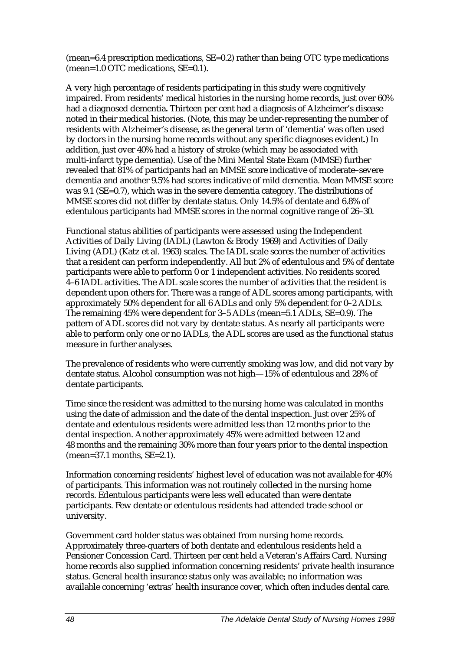$(mean=6.4$  prescription medications,  $SE=0.2$ ) rather than being OTC type medications (mean=1.0 OTC medications, SE=0.1).

A very high percentage of residents participating in this study were cognitively impaired. From residents' medical histories in the nursing home records, just over 60% had a diagnosed dementia**.** Thirteen per cent had a diagnosis of Alzheimer's disease noted in their medical histories. (Note, this may be under-representing the number of residents with Alzheimer's disease, as the general term of 'dementia' was often used by doctors in the nursing home records without any specific diagnoses evident.) In addition, just over 40% had a history of stroke (which may be associated with multi-infarct type dementia). Use of the Mini Mental State Exam (MMSE) further revealed that 81% of participants had an MMSE score indicative of moderate–severe dementia and another 9.5% had scores indicative of mild dementia. Mean MMSE score was 9.1 (SE=0.7), which was in the severe dementia category. The distributions of MMSE scores did not differ by dentate status. Only 14.5% of dentate and 6.8% of edentulous participants had MMSE scores in the normal cognitive range of 26–30.

Functional status abilities of participants were assessed using the Independent Activities of Daily Living (IADL) (Lawton & Brody 1969) and Activities of Daily Living (ADL) (Katz et al. 1963) scales. The IADL scale scores the number of activities that a resident can perform independently. All but 2% of edentulous and 5% of dentate participants were able to perform 0 or 1 independent activities. No residents scored 4–6 IADL activities. The ADL scale scores the number of activities that the resident is dependent upon others for. There was a range of ADL scores among participants, with approximately 50% dependent for all 6 ADLs and only 5% dependent for 0–2 ADLs. The remaining 45% were dependent for 3–5 ADLs (mean=5.1 ADLs, SE=0.9). The pattern of ADL scores did not vary by dentate status. As nearly all participants were able to perform only one or no IADLs, the ADL scores are used as the functional status measure in further analyses.

The prevalence of residents who were currently smoking was low, and did not vary by dentate status. Alcohol consumption was not high—15% of edentulous and 28% of dentate participants.

Time since the resident was admitted to the nursing home was calculated in months using the date of admission and the date of the dental inspection. Just over 25% of dentate and edentulous residents were admitted less than 12 months prior to the dental inspection. Another approximately 45% were admitted between 12 and 48 months and the remaining 30% more than four years prior to the dental inspection (mean=37.1 months, SE=2.1).

Information concerning residents' highest level of education was not available for 40% of participants. This information was not routinely collected in the nursing home records. Edentulous participants were less well educated than were dentate participants. Few dentate or edentulous residents had attended trade school or university.

Government card holder status was obtained from nursing home records. Approximately three-quarters of both dentate and edentulous residents held a Pensioner Concession Card. Thirteen per cent held a Veteran's Affairs Card. Nursing home records also supplied information concerning residents' private health insurance status. General health insurance status only was available; no information was available concerning 'extras' health insurance cover, which often includes dental care.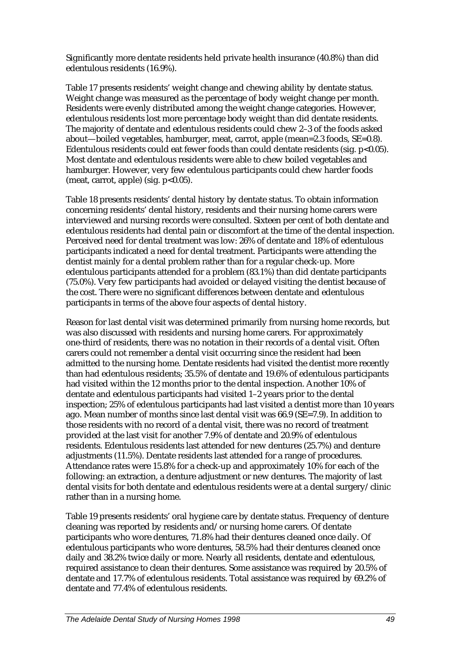Significantly more dentate residents held private health insurance (40.8%) than did edentulous residents (16.9%).

Table 17 presents residents' weight change and chewing ability by dentate status. Weight change was measured as the percentage of body weight change per month. Residents were evenly distributed among the weight change categories. However, edentulous residents lost more percentage body weight than did dentate residents. The majority of dentate and edentulous residents could chew 2–3 of the foods asked about—boiled vegetables, hamburger, meat, carrot, apple (mean=2.3 foods, SE=0.8). Edentulous residents could eat fewer foods than could dentate residents (sig.  $p<0.05$ ). Most dentate and edentulous residents were able to chew boiled vegetables and hamburger. However, very few edentulous participants could chew harder foods (meat, carrot, apple) (sig.  $p<0.05$ ).

Table 18 presents residents' dental history by dentate status. To obtain information concerning residents' dental history, residents and their nursing home carers were interviewed and nursing records were consulted. Sixteen per cent of both dentate and edentulous residents had dental pain or discomfort at the time of the dental inspection. Perceived need for dental treatment was low: 26% of dentate and 18% of edentulous participants indicated a need for dental treatment. Participants were attending the dentist mainly for a dental problem rather than for a regular check-up. More edentulous participants attended for a problem (83.1%) than did dentate participants (75.0%). Very few participants had avoided or delayed visiting the dentist because of the cost. There were no significant differences between dentate and edentulous participants in terms of the above four aspects of dental history.

Reason for last dental visit was determined primarily from nursing home records, but was also discussed with residents and nursing home carers. For approximately one-third of residents, there was no notation in their records of a dental visit. Often carers could not remember a dental visit occurring since the resident had been admitted to the nursing home. Dentate residents had visited the dentist more recently than had edentulous residents; 35.5% of dentate and 19.6% of edentulous participants had visited within the 12 months prior to the dental inspection. Another 10% of dentate and edentulous participants had visited 1–2 years prior to the dental inspection; 25% of edentulous participants had last visited a dentist more than 10 years ago. Mean number of months since last dental visit was 66.9 (SE=7.9). In addition to those residents with no record of a dental visit, there was no record of treatment provided at the last visit for another 7.9% of dentate and 20.9% of edentulous residents. Edentulous residents last attended for new dentures (25.7%) and denture adjustments (11.5%). Dentate residents last attended for a range of procedures. Attendance rates were 15.8% for a check-up and approximately 10% for each of the following: an extraction, a denture adjustment or new dentures. The majority of last dental visits for both dentate and edentulous residents were at a dental surgery/clinic rather than in a nursing home.

Table 19 presents residents' oral hygiene care by dentate status. Frequency of denture cleaning was reported by residents and/or nursing home carers. Of dentate participants who wore dentures, 71.8% had their dentures cleaned once daily. Of edentulous participants who wore dentures, 58.5% had their dentures cleaned once daily and 38.2% twice daily or more. Nearly all residents, dentate and edentulous, required assistance to clean their dentures. Some assistance was required by 20.5% of dentate and 17.7% of edentulous residents. Total assistance was required by 69.2% of dentate and 77.4% of edentulous residents.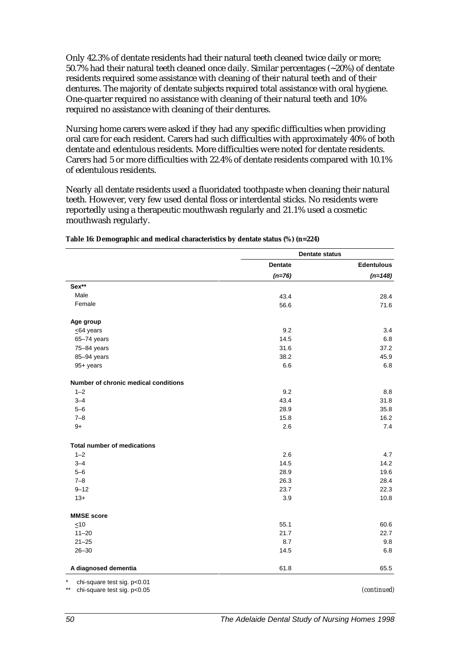Only 42.3% of dentate residents had their natural teeth cleaned twice daily or more; 50.7% had their natural teeth cleaned once daily. Similar percentages (~20%) of dentate residents required some assistance with cleaning of their natural teeth and of their dentures. The majority of dentate subjects required total assistance with oral hygiene. One-quarter required no assistance with cleaning of their natural teeth and 10% required no assistance with cleaning of their dentures.

Nursing home carers were asked if they had any specific difficulties when providing oral care for each resident. Carers had such difficulties with approximately 40% of both dentate and edentulous residents. More difficulties were noted for dentate residents. Carers had 5 or more difficulties with 22.4% of dentate residents compared with 10.1% of edentulous residents.

Nearly all dentate residents used a fluoridated toothpaste when cleaning their natural teeth. However, very few used dental floss or interdental sticks. No residents were reportedly using a therapeutic mouthwash regularly and 21.1% used a cosmetic mouthwash regularly.

|                                      | <b>Dentate status</b> |                   |  |
|--------------------------------------|-----------------------|-------------------|--|
|                                      | <b>Dentate</b>        | <b>Edentulous</b> |  |
|                                      | $(n=76)$              | $(n=148)$         |  |
| Sex**                                |                       |                   |  |
| Male                                 | 43.4                  | 28.4              |  |
| Female                               | 56.6                  | 71.6              |  |
| Age group                            |                       |                   |  |
| $\leq$ 64 years                      | 9.2                   | 3.4               |  |
| 65-74 years                          | 14.5                  | 6.8               |  |
| 75-84 years                          | 31.6                  | 37.2              |  |
| 85-94 years                          | 38.2                  | 45.9              |  |
| 95+ years                            | 6.6                   | 6.8               |  |
| Number of chronic medical conditions |                       |                   |  |
| $1 - 2$                              | 9.2                   | 8.8               |  |
| $3 - 4$                              | 43.4                  | 31.8              |  |
| $5 - 6$                              | 28.9                  | 35.8              |  |
| $7 - 8$                              | 15.8                  | 16.2              |  |
| $9+$                                 | 2.6                   | 7.4               |  |
| <b>Total number of medications</b>   |                       |                   |  |
| $1 - 2$                              | 2.6                   | 4.7               |  |
| $3 - 4$                              | 14.5                  | 14.2              |  |
| $5 - 6$                              | 28.9                  | 19.6              |  |
| $7 - 8$                              | 26.3                  | 28.4              |  |
| $9 - 12$                             | 23.7                  | 22.3              |  |
| $13+$                                | 3.9                   | 10.8              |  |
| <b>MMSE</b> score                    |                       |                   |  |
| $\leq 10$                            | 55.1                  | 60.6              |  |
| $11 - 20$                            | 21.7                  | 22.7              |  |
| $21 - 25$                            | 8.7                   | 9.8               |  |
| $26 - 30$                            | 14.5                  | 6.8               |  |
| A diagnosed dementia                 | 61.8                  | 65.5              |  |

| Table 16: Demographic and medical characteristics by dentate status (%) (n=224) |  |  |
|---------------------------------------------------------------------------------|--|--|
|---------------------------------------------------------------------------------|--|--|

chi-square test sig. p<0.01

\*\* chi-square test sig. p<0.05 *(continued)*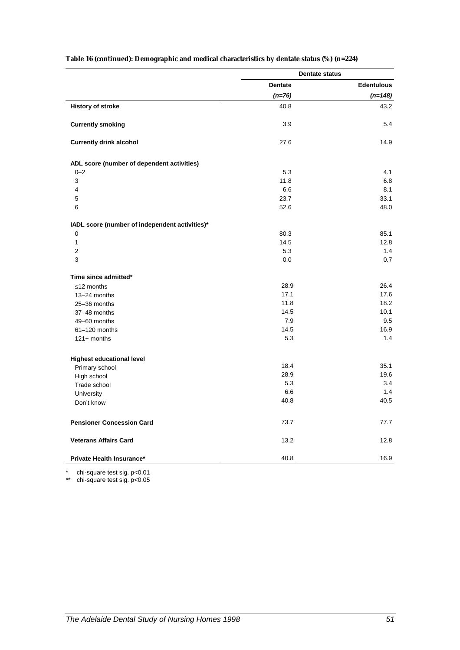|                                                | <b>Dentate status</b> |                   |
|------------------------------------------------|-----------------------|-------------------|
|                                                | <b>Dentate</b>        | <b>Edentulous</b> |
|                                                | $(n=76)$              | $(n=148)$         |
| <b>History of stroke</b>                       | 40.8                  | 43.2              |
| <b>Currently smoking</b>                       | 3.9                   | 5.4               |
| <b>Currently drink alcohol</b>                 | 27.6                  | 14.9              |
| ADL score (number of dependent activities)     |                       |                   |
| $0 - 2$                                        | 5.3                   | 4.1               |
| 3                                              | 11.8                  | 6.8               |
| $\overline{4}$                                 | 6.6                   | 8.1               |
| 5                                              | 23.7                  | 33.1              |
| 6                                              | 52.6                  | 48.0              |
| IADL score (number of independent activities)* |                       |                   |
| 0                                              | 80.3                  | 85.1              |
| $\mathbf{1}$                                   | 14.5                  | 12.8              |
| $\overline{2}$                                 | 5.3                   | 1.4               |
| 3                                              | 0.0                   | 0.7               |
| Time since admitted*                           |                       |                   |
| $\leq$ 12 months                               | 28.9                  | 26.4              |
| 13-24 months                                   | 17.1                  | 17.6              |
| 25-36 months                                   | 11.8                  | 18.2              |
| 37-48 months                                   | 14.5                  | 10.1              |
| 49-60 months                                   | 7.9                   | 9.5               |
| 61-120 months                                  | 14.5                  | 16.9              |
| $121+$ months                                  | 5.3                   | 1.4               |
|                                                |                       |                   |
| <b>Highest educational level</b>               | 18.4                  | 35.1              |
| Primary school                                 | 28.9                  | 19.6              |
| High school                                    | 5.3                   | 3.4               |
| Trade school<br>University                     | 6.6                   | 1.4               |
|                                                | 40.8                  | 40.5              |
| Don't know                                     |                       |                   |
| <b>Pensioner Concession Card</b>               | 73.7                  | 77.7              |
| <b>Veterans Affairs Card</b>                   | 13.2                  | 12.8              |
| Private Health Insurance*                      | 40.8                  | 16.9              |

#### **Table 16 (continued): Demographic and medical characteristics by dentate status (%) (n=224)**

\* chi-square test sig. p<0.01

\*\* chi-square test sig. p<0.05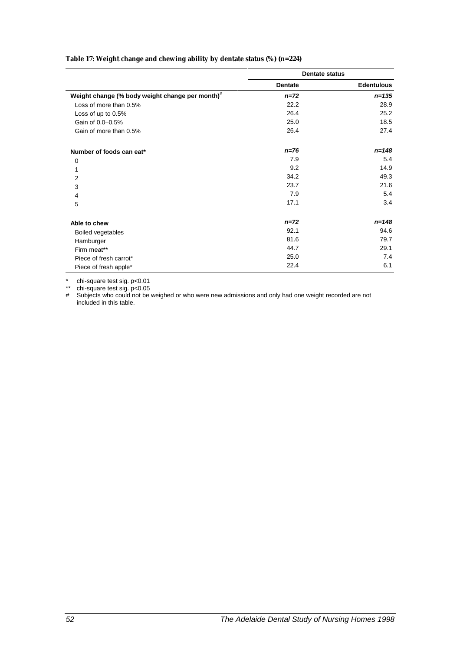#### **Table 17: Weight change and chewing ability by dentate status (%) (n=224)**

|                                                             | <b>Dentate status</b> |                   |  |
|-------------------------------------------------------------|-----------------------|-------------------|--|
|                                                             | <b>Dentate</b>        | <b>Edentulous</b> |  |
| Weight change (% body weight change per month) <sup>#</sup> | $n = 72$              | $n = 135$         |  |
| Loss of more than 0.5%                                      | 22.2                  | 28.9              |  |
| Loss of up to 0.5%                                          | 26.4                  | 25.2              |  |
| Gain of 0.0-0.5%                                            | 25.0                  | 18.5              |  |
| Gain of more than 0.5%                                      | 26.4                  | 27.4              |  |
| Number of foods can eat*                                    | $n = 76$              | $n = 148$         |  |
| $\mathbf 0$                                                 | 7.9                   | 5.4               |  |
| 1                                                           | 9.2                   | 14.9              |  |
| $\overline{2}$                                              | 34.2                  | 49.3              |  |
| 3                                                           | 23.7                  | 21.6              |  |
| 4                                                           | 7.9                   | 5.4               |  |
| 5                                                           | 17.1                  | 3.4               |  |
| Able to chew                                                | $n = 72$              | n=148             |  |
| <b>Boiled vegetables</b>                                    | 92.1                  | 94.6              |  |
| Hamburger                                                   | 81.6                  | 79.7              |  |
| Firm meat**                                                 | 44.7                  | 29.1              |  |
| Piece of fresh carrot*                                      | 25.0                  | 7.4               |  |
| Piece of fresh apple*                                       | 22.4                  | 6.1               |  |

\* chi-square test sig. p<0.01

\*\* chi-square test sig. p<0.05

# Subjects who could not be weighed or who were new admissions and only had one weight recorded are not included in this table.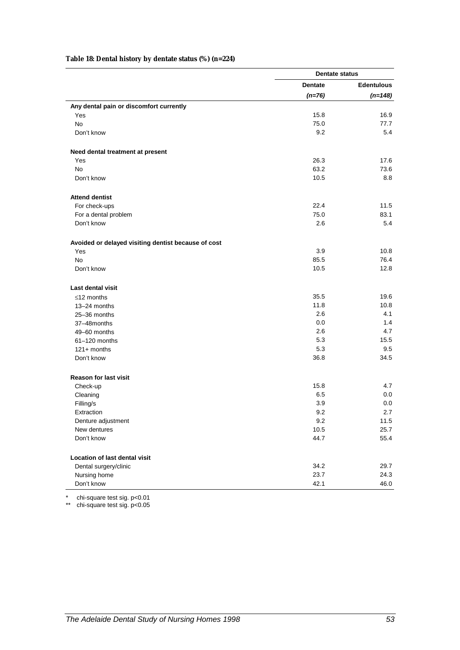#### **Table 18: Dental history by dentate status (%) (n=224)**

|                                                     | <b>Dentate status</b> |                   |
|-----------------------------------------------------|-----------------------|-------------------|
|                                                     | <b>Dentate</b>        | <b>Edentulous</b> |
|                                                     | $(n=76)$              | $(n=148)$         |
| Any dental pain or discomfort currently             |                       |                   |
| Yes                                                 | 15.8                  | 16.9              |
| <b>No</b>                                           | 75.0                  | 77.7              |
| Don't know                                          | 9.2                   | 5.4               |
| Need dental treatment at present                    |                       |                   |
| Yes                                                 | 26.3                  | 17.6              |
| <b>No</b>                                           | 63.2                  | 73.6              |
| Don't know                                          | 10.5                  | 8.8               |
| <b>Attend dentist</b>                               |                       |                   |
| For check-ups                                       | 22.4                  | 11.5              |
| For a dental problem                                | 75.0                  | 83.1              |
| Don't know                                          | 2.6                   | 5.4               |
| Avoided or delayed visiting dentist because of cost |                       |                   |
| Yes                                                 | 3.9                   | 10.8              |
| <b>No</b>                                           | 85.5                  | 76.4              |
| Don't know                                          | 10.5                  | 12.8              |
| <b>Last dental visit</b>                            |                       |                   |
| $\leq$ 12 months                                    | 35.5                  | 19.6              |
| 13-24 months                                        | 11.8                  | 10.8              |
| 25-36 months                                        | 2.6                   | 4.1               |
| 37-48months                                         | 0.0                   | 1.4               |
| 49-60 months                                        | 2.6                   | 4.7               |
| 61-120 months                                       | 5.3                   | 15.5              |
| $121+$ months                                       | 5.3                   | 9.5               |
| Don't know                                          | 36.8                  | 34.5              |
| <b>Reason for last visit</b>                        |                       |                   |
| Check-up                                            | 15.8                  | 4.7               |
| Cleaning                                            | 6.5                   | 0.0               |
| Filling/s                                           | 3.9                   | 0.0               |
| Extraction                                          | 9.2                   | 2.7               |
| Denture adjustment                                  | 9.2                   | 11.5              |
| New dentures                                        | 10.5                  | 25.7              |
| Don't know                                          | 44.7                  | 55.4              |
| <b>Location of last dental visit</b>                |                       |                   |
| Dental surgery/clinic                               | 34.2                  | 29.7              |
| Nursing home                                        | 23.7                  | 24.3              |
| Don't know                                          | 42.1                  | 46.0              |

\* chi-square test sig. p<0.01

\*\* chi-square test sig. p<0.05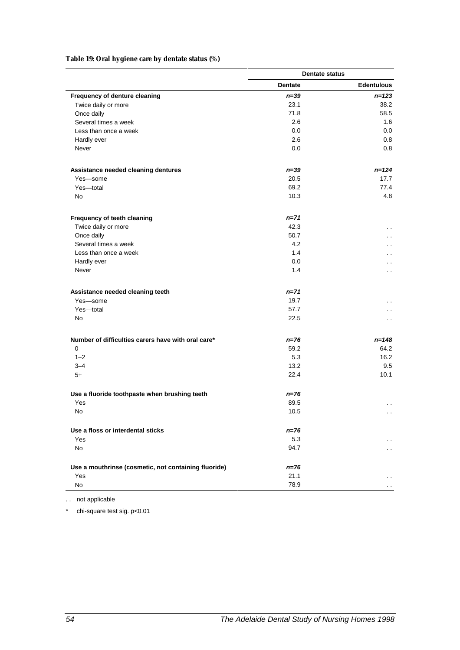#### **Table 19: Oral hygiene care by dentate status (%)**

|                                                      | <b>Dentate status</b> |                      |
|------------------------------------------------------|-----------------------|----------------------|
|                                                      | <b>Dentate</b>        | <b>Edentulous</b>    |
| Frequency of denture cleaning                        | $n = 39$              | $n = 123$            |
| Twice daily or more                                  | 23.1                  | 38.2                 |
| Once daily                                           | 71.8                  | 58.5                 |
| Several times a week                                 | 2.6                   | 1.6                  |
| Less than once a week                                | 0.0                   | $0.0\,$              |
| Hardly ever                                          | 2.6                   | 0.8                  |
| Never                                                | 0.0                   | 0.8                  |
| Assistance needed cleaning dentures                  | $n = 39$              | $n = 124$            |
| Yes-some                                             | 20.5                  | 17.7                 |
| Yes-total                                            | 69.2                  | 77.4                 |
| No                                                   | 10.3                  | 4.8                  |
| Frequency of teeth cleaning                          | $n = 71$              |                      |
| Twice daily or more                                  | 42.3                  | $\ddot{\phantom{0}}$ |
| Once daily                                           | 50.7                  | $\ddot{\phantom{0}}$ |
| Several times a week                                 | 4.2                   | $\ddot{\phantom{0}}$ |
| Less than once a week                                | 1.4                   | $\ddot{\phantom{0}}$ |
| Hardly ever                                          | 0.0                   | . .                  |
| Never                                                | 1.4                   | $\ddot{\phantom{0}}$ |
| Assistance needed cleaning teeth                     | $n = 71$              |                      |
| Yes-some                                             | 19.7                  | . .                  |
| Yes-total                                            | 57.7                  | $\ddotsc$            |
| No                                                   | 22.5                  | $\sim$ $\sim$        |
| Number of difficulties carers have with oral care*   | n=76                  | $n = 148$            |
| $\mathbf 0$                                          | 59.2                  | 64.2                 |
| $1 - 2$                                              | 5.3                   | 16.2                 |
| $3 - 4$                                              | 13.2                  | 9.5                  |
| $5+$                                                 | 22.4                  | 10.1                 |
| Use a fluoride toothpaste when brushing teeth        | n=76                  |                      |
| Yes                                                  | 89.5                  | $\sim$               |
| No                                                   | 10.5                  |                      |
| Use a floss or interdental sticks                    | $n = 76$              |                      |
| Yes                                                  | 5.3                   |                      |
| No                                                   | 94.7                  |                      |
| Use a mouthrinse (cosmetic, not containing fluoride) | n=76                  |                      |
| Yes                                                  | 21.1                  |                      |
| No                                                   | 78.9                  |                      |

. . not applicable

\* chi-square test sig. p<0.01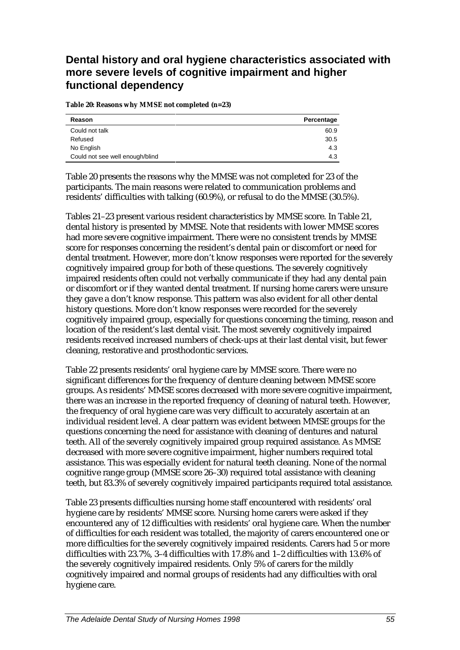## **Dental history and oral hygiene characteristics associated with more severe levels of cognitive impairment and higher functional dependency**

**Table 20: Reasons why MMSE not completed (n=23)**

| Reason                          | Percentage |
|---------------------------------|------------|
| Could not talk                  | 60.9       |
| Refused                         | 30.5       |
| No English                      | 4.3        |
| Could not see well enough/blind | 4.3        |

Table 20 presents the reasons why the MMSE was not completed for 23 of the participants. The main reasons were related to communication problems and residents' difficulties with talking (60.9%), or refusal to do the MMSE (30.5%).

Tables 21–23 present various resident characteristics by MMSE score. In Table 21, dental history is presented by MMSE. Note that residents with lower MMSE scores had more severe cognitive impairment. There were no consistent trends by MMSE score for responses concerning the resident's dental pain or discomfort or need for dental treatment. However, more don't know responses were reported for the severely cognitively impaired group for both of these questions. The severely cognitively impaired residents often could not verbally communicate if they had any dental pain or discomfort or if they wanted dental treatment. If nursing home carers were unsure they gave a don't know response. This pattern was also evident for all other dental history questions. More don't know responses were recorded for the severely cognitively impaired group, especially for questions concerning the timing, reason and location of the resident's last dental visit. The most severely cognitively impaired residents received increased numbers of check-ups at their last dental visit, but fewer cleaning, restorative and prosthodontic services.

Table 22 presents residents' oral hygiene care by MMSE score. There were no significant differences for the frequency of denture cleaning between MMSE score groups. As residents' MMSE scores decreased with more severe cognitive impairment, there was an increase in the reported frequency of cleaning of natural teeth. However, the frequency of oral hygiene care was very difficult to accurately ascertain at an individual resident level. A clear pattern was evident between MMSE groups for the questions concerning the need for assistance with cleaning of dentures and natural teeth. All of the severely cognitively impaired group required assistance. As MMSE decreased with more severe cognitive impairment, higher numbers required total assistance. This was especially evident for natural teeth cleaning. None of the normal cognitive range group (MMSE score 26–30) required total assistance with cleaning teeth, but 83.3% of severely cognitively impaired participants required total assistance.

Table 23 presents difficulties nursing home staff encountered with residents' oral hygiene care by residents' MMSE score. Nursing home carers were asked if they encountered any of 12 difficulties with residents' oral hygiene care. When the number of difficulties for each resident was totalled, the majority of carers encountered one or more difficulties for the severely cognitively impaired residents. Carers had 5 or more difficulties with 23.7%, 3–4 difficulties with 17.8% and 1–2 difficulties with 13.6% of the severely cognitively impaired residents. Only 5% of carers for the mildly cognitively impaired and normal groups of residents had any difficulties with oral hygiene care.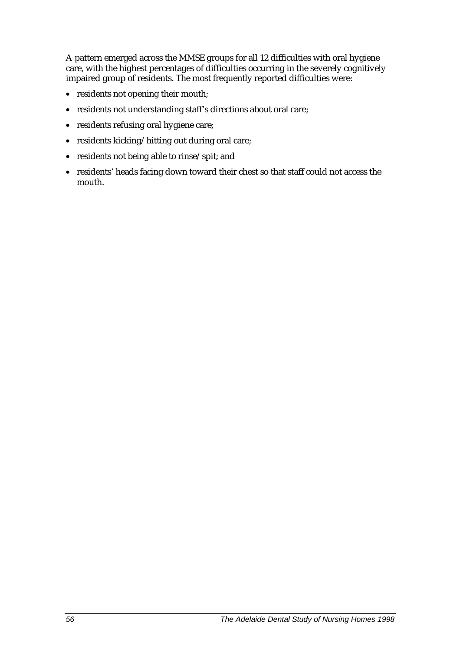A pattern emerged across the MMSE groups for all 12 difficulties with oral hygiene care, with the highest percentages of difficulties occurring in the severely cognitively impaired group of residents. The most frequently reported difficulties were:

- residents not opening their mouth;
- residents not understanding staff's directions about oral care;
- residents refusing oral hygiene care;
- residents kicking/hitting out during oral care;
- residents not being able to rinse/spit; and
- residents' heads facing down toward their chest so that staff could not access the mouth.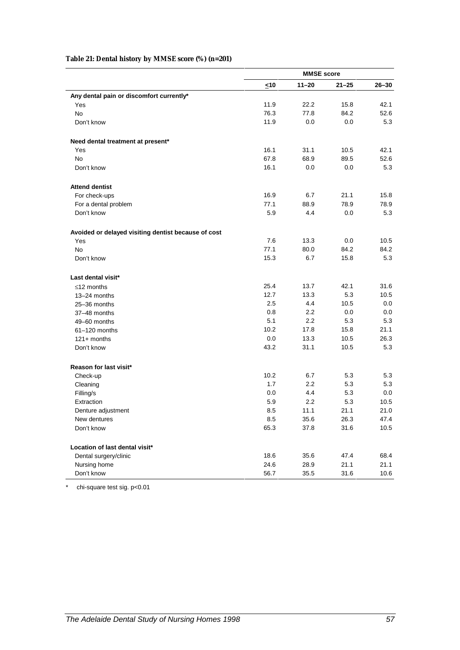### **Table 21: Dental history by MMSE score (%) (n=201)**

|                                                     | $\leq 10$ | $11 - 20$ | $21 - 25$ | $26 - 30$ |
|-----------------------------------------------------|-----------|-----------|-----------|-----------|
| Any dental pain or discomfort currently*            |           |           |           |           |
| Yes                                                 | 11.9      | 22.2      | 15.8      | 42.1      |
| <b>No</b>                                           | 76.3      | 77.8      | 84.2      | 52.6      |
| Don't know                                          | 11.9      | 0.0       | 0.0       | 5.3       |
| Need dental treatment at present*                   |           |           |           |           |
| Yes                                                 | 16.1      | 31.1      | 10.5      | 42.1      |
| <b>No</b>                                           | 67.8      | 68.9      | 89.5      | 52.6      |
| Don't know                                          | 16.1      | 0.0       | 0.0       | 5.3       |
| <b>Attend dentist</b>                               |           |           |           |           |
| For check-ups                                       | 16.9      | 6.7       | 21.1      | 15.8      |
| For a dental problem                                | 77.1      | 88.9      | 78.9      | 78.9      |
| Don't know                                          | 5.9       | 4.4       | 0.0       | 5.3       |
| Avoided or delayed visiting dentist because of cost |           |           |           |           |
| Yes                                                 | 7.6       | 13.3      | 0.0       | 10.5      |
| No                                                  | 77.1      | 80.0      | 84.2      | 84.2      |
| Don't know                                          | 15.3      | 6.7       | 15.8      | 5.3       |
| Last dental visit*                                  |           |           |           |           |
| $\leq$ 12 months                                    | 25.4      | 13.7      | 42.1      | 31.6      |
| 13-24 months                                        | 12.7      | 13.3      | 5.3       | 10.5      |
| 25-36 months                                        | 2.5       | 4.4       | 10.5      | 0.0       |
| 37-48 months                                        | 0.8       | 2.2       | 0.0       | $0.0\,$   |
| 49-60 months                                        | 5.1       | 2.2       | 5.3       | 5.3       |
| 61-120 months                                       | 10.2      | 17.8      | 15.8      | 21.1      |
| $121 +$ months                                      | 0.0       | 13.3      | 10.5      | 26.3      |
| Don't know                                          | 43.2      | 31.1      | 10.5      | 5.3       |
| Reason for last visit*                              |           |           |           |           |
| Check-up                                            | 10.2      | 6.7       | 5.3       | 5.3       |
| Cleaning                                            | 1.7       | 2.2       | 5.3       | 5.3       |
| Filling/s                                           | 0.0       | 4.4       | 5.3       | 0.0       |
| Extraction                                          | 5.9       | 2.2       | 5.3       | 10.5      |
| Denture adjustment                                  | 8.5       | 11.1      | 21.1      | 21.0      |
| New dentures                                        | 8.5       | 35.6      | 26.3      | 47.4      |
| Don't know                                          | 65.3      | 37.8      | 31.6      | 10.5      |
| Location of last dental visit*                      |           |           |           |           |
| Dental surgery/clinic                               | 18.6      | 35.6      | 47.4      | 68.4      |
| Nursing home                                        | 24.6      | 28.9      | 21.1      | 21.1      |
| Don't know                                          | 56.7      | 35.5      | 31.6      | 10.6      |
|                                                     |           |           |           |           |

\* chi-square test sig. p<0.01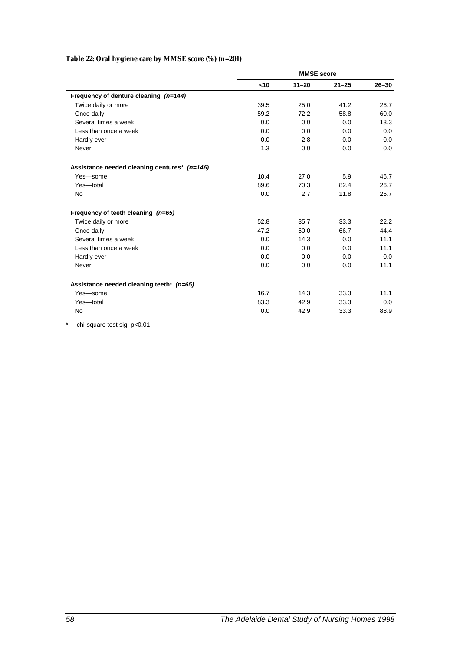#### **Table 22: Oral hygiene care by MMSE score (%) (n=201)**

|                                              | <b>MMSE</b> score |           |           |           |  |
|----------------------------------------------|-------------------|-----------|-----------|-----------|--|
|                                              | <10               | $11 - 20$ | $21 - 25$ | $26 - 30$ |  |
| Frequency of denture cleaning (n=144)        |                   |           |           |           |  |
| Twice daily or more                          | 39.5              | 25.0      | 41.2      | 26.7      |  |
| Once daily                                   | 59.2              | 72.2      | 58.8      | 60.0      |  |
| Several times a week                         | 0.0               | 0.0       | 0.0       | 13.3      |  |
| Less than once a week                        | 0.0               | 0.0       | 0.0       | 0.0       |  |
| Hardly ever                                  | 0.0               | 2.8       | 0.0       | 0.0       |  |
| Never                                        | 1.3               | 0.0       | 0.0       | 0.0       |  |
| Assistance needed cleaning dentures* (n=146) |                   |           |           |           |  |
| Yes-some                                     | 10.4              | 27.0      | 5.9       | 46.7      |  |
| Yes-total                                    | 89.6              | 70.3      | 82.4      | 26.7      |  |
| <b>No</b>                                    | 0.0               | 2.7       | 11.8      | 26.7      |  |
| Frequency of teeth cleaning $(n=65)$         |                   |           |           |           |  |
| Twice daily or more                          | 52.8              | 35.7      | 33.3      | 22.2      |  |
| Once daily                                   | 47.2              | 50.0      | 66.7      | 44.4      |  |
| Several times a week                         | 0.0               | 14.3      | 0.0       | 11.1      |  |
| Less than once a week                        | 0.0               | 0.0       | 0.0       | 11.1      |  |
| Hardly ever                                  | 0.0               | 0.0       | 0.0       | 0.0       |  |
| Never                                        | 0.0               | 0.0       | 0.0       | 11.1      |  |
| Assistance needed cleaning teeth* (n=65)     |                   |           |           |           |  |
| Yes-some                                     | 16.7              | 14.3      | 33.3      | 11.1      |  |
| Yes-total                                    | 83.3              | 42.9      | 33.3      | 0.0       |  |
| No                                           | 0.0               | 42.9      | 33.3      | 88.9      |  |

\* chi-square test sig. p<0.01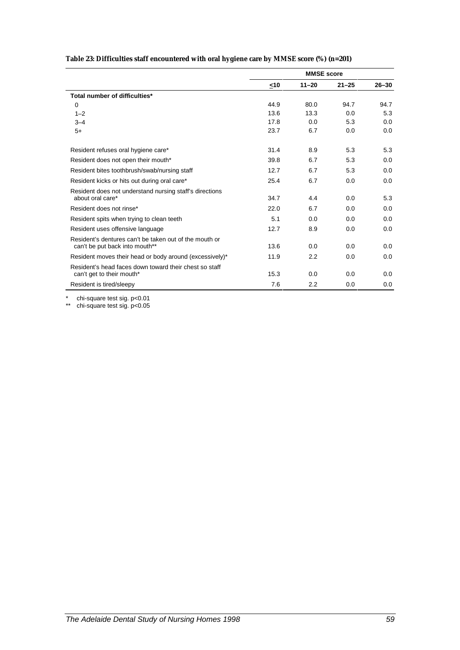|  | Table 23: Difficulties staff encountered with oral hygiene care by MMSE score (%) (n=201) |  |  |  |
|--|-------------------------------------------------------------------------------------------|--|--|--|
|  |                                                                                           |  |  |  |

|                                                                                          | <b>MMSE</b> score |           |           |           |  |
|------------------------------------------------------------------------------------------|-------------------|-----------|-----------|-----------|--|
|                                                                                          | <10               | $11 - 20$ | $21 - 25$ | $26 - 30$ |  |
| Total number of difficulties*                                                            |                   |           |           |           |  |
| $\mathbf 0$                                                                              | 44.9              | 80.0      | 94.7      | 94.7      |  |
| $1 - 2$                                                                                  | 13.6              | 13.3      | 0.0       | 5.3       |  |
| $3 - 4$                                                                                  | 17.8              | 0.0       | 5.3       | 0.0       |  |
| $5+$                                                                                     | 23.7              | 6.7       | 0.0       | 0.0       |  |
| Resident refuses oral hygiene care*                                                      | 31.4              | 8.9       | 5.3       | 5.3       |  |
| Resident does not open their mouth*                                                      | 39.8              | 6.7       | 5.3       | 0.0       |  |
| Resident bites toothbrush/swab/nursing staff                                             | 12.7              | 6.7       | 5.3       | 0.0       |  |
| Resident kicks or hits out during oral care*                                             | 25.4              | 6.7       | 0.0       | 0.0       |  |
| Resident does not understand nursing staff's directions                                  |                   |           |           |           |  |
| about oral care*                                                                         | 34.7              | 4.4       | 0.0       | 5.3       |  |
| Resident does not rinse*                                                                 | 22.0              | 6.7       | 0.0       | 0.0       |  |
| Resident spits when trying to clean teeth                                                | 5.1               | 0.0       | 0.0       | 0.0       |  |
| Resident uses offensive language                                                         | 12.7              | 8.9       | 0.0       | 0.0       |  |
| Resident's dentures can't be taken out of the mouth or<br>can't be put back into mouth** | 13.6              | 0.0       | 0.0       | 0.0       |  |
| Resident moves their head or body around (excessively)*                                  | 11.9              | 2.2       | 0.0       | 0.0       |  |
| Resident's head faces down toward their chest so staff<br>can't get to their mouth*      | 15.3              | 0.0       | 0.0       | 0.0       |  |
| Resident is tired/sleepy                                                                 | 7.6               | 2.2       | 0.0       | 0.0       |  |

\* chi-square test sig. p<0.01

\*\* chi-square test sig. p<0.05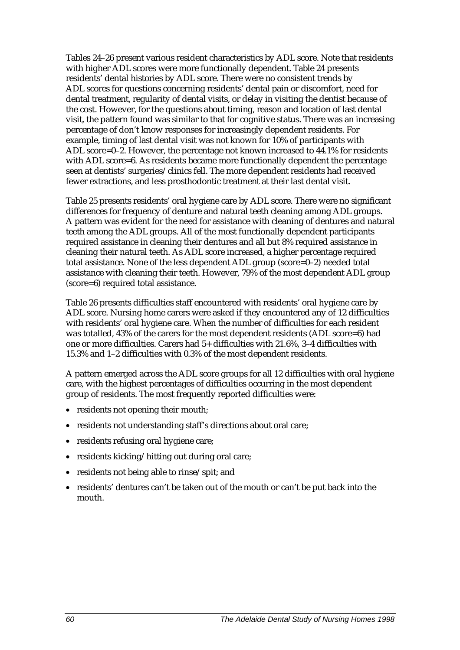Tables 24–26 present various resident characteristics by ADL score. Note that residents with higher ADL scores were more functionally dependent. Table 24 presents residents' dental histories by ADL score. There were no consistent trends by ADL scores for questions concerning residents' dental pain or discomfort, need for dental treatment, regularity of dental visits, or delay in visiting the dentist because of the cost. However, for the questions about timing, reason and location of last dental visit, the pattern found was similar to that for cognitive status. There was an increasing percentage of don't know responses for increasingly dependent residents. For example, timing of last dental visit was not known for 10% of participants with ADL score=0–2. However, the percentage not known increased to 44.1% for residents with ADL score=6. As residents became more functionally dependent the percentage seen at dentists' surgeries/clinics fell. The more dependent residents had received fewer extractions, and less prosthodontic treatment at their last dental visit.

Table 25 presents residents' oral hygiene care by ADL score. There were no significant differences for frequency of denture and natural teeth cleaning among ADL groups. A pattern was evident for the need for assistance with cleaning of dentures and natural teeth among the ADL groups. All of the most functionally dependent participants required assistance in cleaning their dentures and all but 8% required assistance in cleaning their natural teeth. As ADL score increased, a higher percentage required total assistance. None of the less dependent ADL group (score=0–2) needed total assistance with cleaning their teeth. However, 79% of the most dependent ADL group (score=6) required total assistance.

Table 26 presents difficulties staff encountered with residents' oral hygiene care by ADL score. Nursing home carers were asked if they encountered any of 12 difficulties with residents' oral hygiene care. When the number of difficulties for each resident was totalled, 43% of the carers for the most dependent residents (ADL score=6) had one or more difficulties. Carers had 5+ difficulties with 21.6%, 3–4 difficulties with 15.3% and 1–2 difficulties with 0.3% of the most dependent residents.

A pattern emerged across the ADL score groups for all 12 difficulties with oral hygiene care, with the highest percentages of difficulties occurring in the most dependent group of residents. The most frequently reported difficulties were:

- residents not opening their mouth;
- residents not understanding staff's directions about oral care;
- residents refusing oral hygiene care;
- residents kicking/hitting out during oral care;
- residents not being able to rinse/spit; and
- residents' dentures can't be taken out of the mouth or can't be put back into the mouth.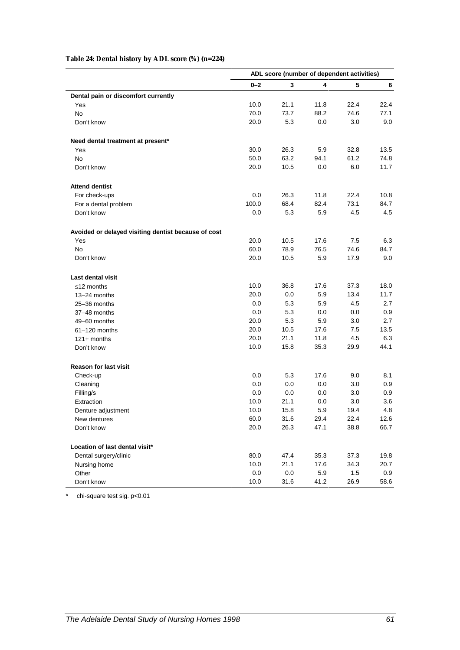### **Table 24: Dental history by ADL score (%) (n=224)**

|                                                     | ADL score (number of dependent activities) |              |      |      |         |
|-----------------------------------------------------|--------------------------------------------|--------------|------|------|---------|
|                                                     | $0 - 2$                                    | $\mathbf{3}$ | 4    | 5    | 6       |
| Dental pain or discomfort currently                 |                                            |              |      |      |         |
| Yes                                                 | 10.0                                       | 21.1         | 11.8 | 22.4 | 22.4    |
| <b>No</b>                                           | 70.0                                       | 73.7         | 88.2 | 74.6 | 77.1    |
| Don't know                                          | 20.0                                       | 5.3          | 0.0  | 3.0  | 9.0     |
| Need dental treatment at present*                   |                                            |              |      |      |         |
| Yes                                                 | 30.0                                       | 26.3         | 5.9  | 32.8 | 13.5    |
| No                                                  | 50.0                                       | 63.2         | 94.1 | 61.2 | 74.8    |
| Don't know                                          | 20.0                                       | 10.5         | 0.0  | 6.0  | 11.7    |
| <b>Attend dentist</b>                               |                                            |              |      |      |         |
| For check-ups                                       | 0.0                                        | 26.3         | 11.8 | 22.4 | 10.8    |
| For a dental problem                                | 100.0                                      | 68.4         | 82.4 | 73.1 | 84.7    |
| Don't know                                          | 0.0                                        | 5.3          | 5.9  | 4.5  | 4.5     |
| Avoided or delayed visiting dentist because of cost |                                            |              |      |      |         |
| Yes                                                 | 20.0                                       | 10.5         | 17.6 | 7.5  | 6.3     |
| <b>No</b>                                           | 60.0                                       | 78.9         | 76.5 | 74.6 | 84.7    |
| Don't know                                          | 20.0                                       | 10.5         | 5.9  | 17.9 | 9.0     |
| Last dental visit                                   |                                            |              |      |      |         |
| $\leq$ 12 months                                    | 10.0                                       | 36.8         | 17.6 | 37.3 | 18.0    |
| 13-24 months                                        | 20.0                                       | 0.0          | 5.9  | 13.4 | 11.7    |
| 25-36 months                                        | 0.0                                        | 5.3          | 5.9  | 4.5  | 2.7     |
| 37-48 months                                        | 0.0                                        | 5.3          | 0.0  | 0.0  | 0.9     |
| 49-60 months                                        | 20.0                                       | 5.3          | 5.9  | 3.0  | 2.7     |
| 61-120 months                                       | 20.0                                       | 10.5         | 17.6 | 7.5  | 13.5    |
| $121+$ months                                       | 20.0                                       | 21.1         | 11.8 | 4.5  | 6.3     |
| Don't know                                          | 10.0                                       | 15.8         | 35.3 | 29.9 | 44.1    |
| <b>Reason for last visit</b>                        |                                            |              |      |      |         |
| Check-up                                            | 0.0                                        | 5.3          | 17.6 | 9.0  | 8.1     |
| Cleaning                                            | 0.0                                        | 0.0          | 0.0  | 3.0  | 0.9     |
| Filling/s                                           | 0.0                                        | 0.0          | 0.0  | 3.0  | 0.9     |
| Extraction                                          | 10.0                                       | 21.1         | 0.0  | 3.0  | 3.6     |
| Denture adjustment                                  | 10.0                                       | 15.8         | 5.9  | 19.4 | 4.8     |
| New dentures                                        | 60.0                                       | 31.6         | 29.4 | 22.4 | 12.6    |
| Don't know                                          | 20.0                                       | 26.3         | 47.1 | 38.8 | 66.7    |
| Location of last dental visit*                      |                                            |              |      |      |         |
| Dental surgery/clinic                               | 80.0                                       | 47.4         | 35.3 | 37.3 | 19.8    |
| Nursing home                                        | 10.0                                       | 21.1         | 17.6 | 34.3 | 20.7    |
| Other                                               | 0.0                                        | $0.0\,$      | 5.9  | 1.5  | $0.9\,$ |
| Don't know                                          | 10.0                                       | 31.6         | 41.2 | 26.9 | 58.6    |

\* chi-square test sig. p<0.01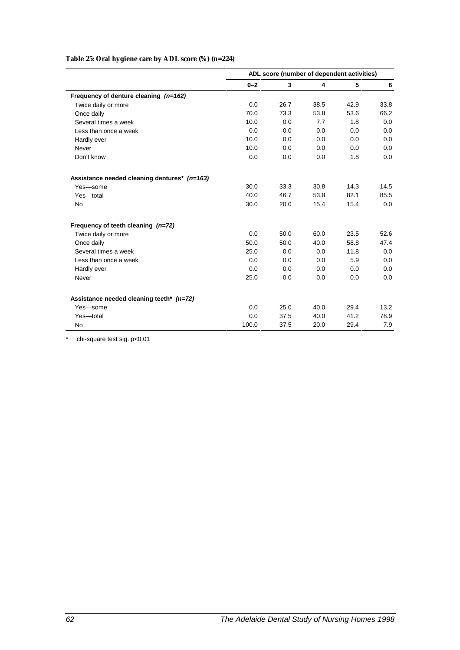### **Table 25: Oral hygiene care by ADL score (%) (n=224)**

|                                              | ADL score (number of dependent activities) |      |      |      |      |
|----------------------------------------------|--------------------------------------------|------|------|------|------|
|                                              | $0 - 2$                                    | 3    | 4    | 5    | 6    |
| Frequency of denture cleaning $(n=162)$      |                                            |      |      |      |      |
| Twice daily or more                          | 0.0                                        | 26.7 | 38.5 | 42.9 | 33.8 |
| Once daily                                   | 70.0                                       | 73.3 | 53.8 | 53.6 | 66.2 |
| Several times a week                         | 10.0                                       | 0.0  | 7.7  | 1.8  | 0.0  |
| Less than once a week                        | 0.0                                        | 0.0  | 0.0  | 0.0  | 0.0  |
| Hardly ever                                  | 10.0                                       | 0.0  | 0.0  | 0.0  | 0.0  |
| Never                                        | 10.0                                       | 0.0  | 0.0  | 0.0  | 0.0  |
| Don't know                                   | 0.0                                        | 0.0  | 0.0  | 1.8  | 0.0  |
| Assistance needed cleaning dentures* (n=163) |                                            |      |      |      |      |
| Yes-some                                     | 30.0                                       | 33.3 | 30.8 | 14.3 | 14.5 |
| Yes-total                                    | 40.0                                       | 46.7 | 53.8 | 82.1 | 85.5 |
| <b>No</b>                                    | 30.0                                       | 20.0 | 15.4 | 15.4 | 0.0  |
| Frequency of teeth cleaning $(n=72)$         |                                            |      |      |      |      |
| Twice daily or more                          | 0.0                                        | 50.0 | 60.0 | 23.5 | 52.6 |
| Once daily                                   | 50.0                                       | 50.0 | 40.0 | 58.8 | 47.4 |
| Several times a week                         | 25.0                                       | 0.0  | 0.0  | 11.8 | 0.0  |
| Less than once a week                        | 0.0                                        | 0.0  | 0.0  | 5.9  | 0.0  |
| Hardly ever                                  | 0.0                                        | 0.0  | 0.0  | 0.0  | 0.0  |
| Never                                        | 25.0                                       | 0.0  | 0.0  | 0.0  | 0.0  |
| Assistance needed cleaning teeth* (n=72)     |                                            |      |      |      |      |
| Yes-some                                     | 0.0                                        | 25.0 | 40.0 | 29.4 | 13.2 |
| Yes-total                                    | 0.0                                        | 37.5 | 40.0 | 41.2 | 78.9 |
| No                                           | 100.0                                      | 37.5 | 20.0 | 29.4 | 7.9  |

\* chi-square test sig. p<0.01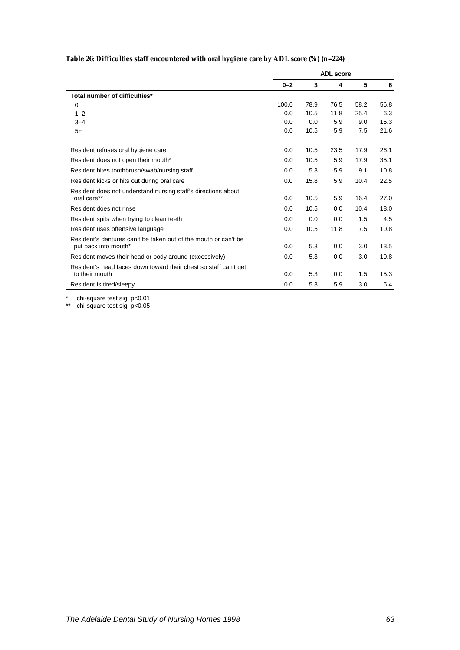| Table 26: Difficulties staff encountered with oral hygiene care by ADL score (%) (n=224) |  |  |
|------------------------------------------------------------------------------------------|--|--|
|                                                                                          |  |  |

|                                                                                         |         | <b>ADL</b> score |      |      |      |  |
|-----------------------------------------------------------------------------------------|---------|------------------|------|------|------|--|
|                                                                                         | $0 - 2$ | 3                | 4    | 5    | 6    |  |
| Total number of difficulties*                                                           |         |                  |      |      |      |  |
| 0                                                                                       | 100.0   | 78.9             | 76.5 | 58.2 | 56.8 |  |
| $1 - 2$                                                                                 | 0.0     | 10.5             | 11.8 | 25.4 | 6.3  |  |
| $3 - 4$                                                                                 | 0.0     | 0.0              | 5.9  | 9.0  | 15.3 |  |
| $5+$                                                                                    | 0.0     | 10.5             | 5.9  | 7.5  | 21.6 |  |
| Resident refuses oral hygiene care                                                      | 0.0     | 10.5             | 23.5 | 17.9 | 26.1 |  |
| Resident does not open their mouth*                                                     | 0.0     | 10.5             | 5.9  | 17.9 | 35.1 |  |
| Resident bites toothbrush/swab/nursing staff                                            | 0.0     | 5.3              | 5.9  | 9.1  | 10.8 |  |
| Resident kicks or hits out during oral care                                             | 0.0     | 15.8             | 5.9  | 10.4 | 22.5 |  |
| Resident does not understand nursing staff's directions about<br>oral care**            | 0.0     | 10.5             | 5.9  | 16.4 | 27.0 |  |
| Resident does not rinse                                                                 | 0.0     | 10.5             | 0.0  | 10.4 | 18.0 |  |
| Resident spits when trying to clean teeth                                               | 0.0     | 0.0              | 0.0  | 1.5  | 4.5  |  |
| Resident uses offensive language                                                        | 0.0     | 10.5             | 11.8 | 7.5  | 10.8 |  |
| Resident's dentures can't be taken out of the mouth or can't be<br>put back into mouth* | 0.0     | 5.3              | 0.0  | 3.0  | 13.5 |  |
| Resident moves their head or body around (excessively)                                  | 0.0     | 5.3              | 0.0  | 3.0  | 10.8 |  |
| Resident's head faces down toward their chest so staff can't get<br>to their mouth      | 0.0     | 5.3              | 0.0  | 1.5  | 15.3 |  |
| Resident is tired/sleepy                                                                | 0.0     | 5.3              | 5.9  | 3.0  | 5.4  |  |

\* chi-square test sig. p<0.01

\*\* chi-square test sig. p<0.05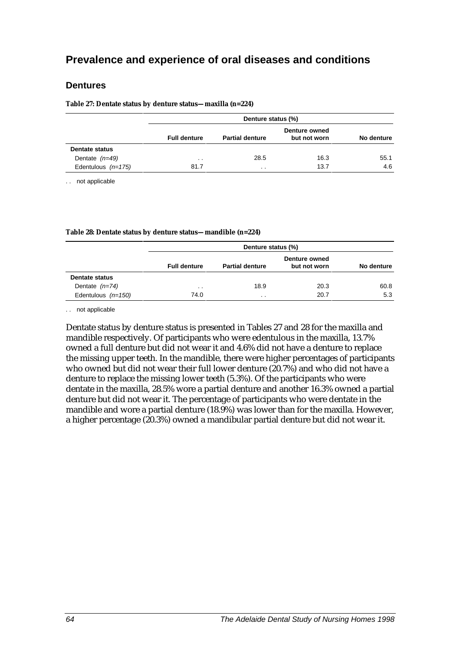#### **Dentures**

**Table 27: Dentate status by denture status—maxilla (n=224)**

|                       | Denture status (%)  |                        |                               |            |  |  |  |  |
|-----------------------|---------------------|------------------------|-------------------------------|------------|--|--|--|--|
|                       | <b>Full denture</b> | <b>Partial denture</b> | Denture owned<br>but not worn | No denture |  |  |  |  |
| <b>Dentate status</b> |                     |                        |                               |            |  |  |  |  |
| Dentate $(n=49)$      | $\sim$              | 28.5                   | 16.3                          | 55.1       |  |  |  |  |
| Edentulous $(n=175)$  | 81.7                | $\cdot$ $\cdot$        | 13.7                          | 4.6        |  |  |  |  |

. . not applicable

#### **Table 28: Dentate status by denture status—mandible (n=224)**

|                       | Denture status (%)  |                        |                               |            |  |  |  |  |
|-----------------------|---------------------|------------------------|-------------------------------|------------|--|--|--|--|
|                       | <b>Full denture</b> | <b>Partial denture</b> | Denture owned<br>but not worn | No denture |  |  |  |  |
| <b>Dentate status</b> |                     |                        |                               |            |  |  |  |  |
| Dentate $(n=74)$      | $\sim$              | 18.9                   | 20.3                          | 60.8       |  |  |  |  |
| Edentulous $(n=150)$  | 74.0                | $\cdot$ $\cdot$        | 20.7                          | 5.3        |  |  |  |  |

. . not applicable

Dentate status by denture status is presented in Tables 27 and 28 for the maxilla and mandible respectively. Of participants who were edentulous in the maxilla, 13.7% owned a full denture but did not wear it and 4.6% did not have a denture to replace the missing upper teeth. In the mandible, there were higher percentages of participants who owned but did not wear their full lower denture (20.7%) and who did not have a denture to replace the missing lower teeth (5.3%). Of the participants who were dentate in the maxilla, 28.5% wore a partial denture and another 16.3% owned a partial denture but did not wear it. The percentage of participants who were dentate in the mandible and wore a partial denture (18.9%) was lower than for the maxilla. However, a higher percentage (20.3%) owned a mandibular partial denture but did not wear it.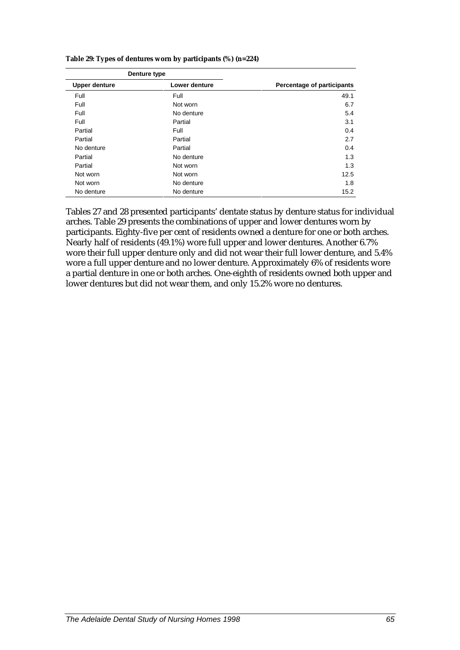|                      | Denture type  |                            |
|----------------------|---------------|----------------------------|
| <b>Upper denture</b> | Lower denture | Percentage of participants |
| Full                 | Full          | 49.1                       |
| Full                 | Not worn      | 6.7                        |
| Full                 | No denture    | 5.4                        |
| Full                 | Partial       | 3.1                        |
| Partial              | Full          | 0.4                        |
| Partial              | Partial       | 2.7                        |
| No denture           | Partial       | 0.4                        |
| Partial              | No denture    | 1.3                        |
| Partial              | Not worn      | 1.3                        |
| Not worn             | Not worn      | 12.5                       |
| Not worn             | No denture    | 1.8                        |
| No denture           | No denture    | 15.2                       |
|                      |               |                            |

**Table 29: Types of dentures worn by participants (%) (n=224)**

Tables 27 and 28 presented participants' dentate status by denture status for individual arches. Table 29 presents the combinations of upper and lower dentures worn by participants. Eighty-five per cent of residents owned a denture for one or both arches. Nearly half of residents (49.1%) wore full upper and lower dentures. Another 6.7% wore their full upper denture only and did not wear their full lower denture, and 5.4% wore a full upper denture and no lower denture. Approximately 6% of residents wore a partial denture in one or both arches. One-eighth of residents owned both upper and lower dentures but did not wear them, and only 15.2% wore no dentures.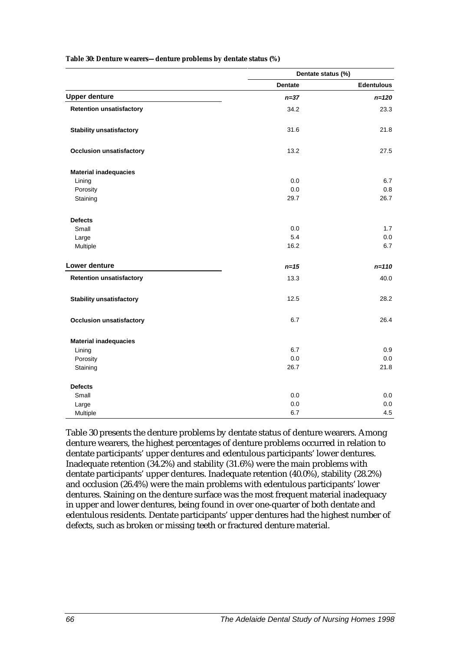|                                 | Dentate status (%) |                   |  |  |
|---------------------------------|--------------------|-------------------|--|--|
|                                 | <b>Dentate</b>     | <b>Edentulous</b> |  |  |
| <b>Upper denture</b>            | $n = 37$           | $n = 120$         |  |  |
| <b>Retention unsatisfactory</b> | 34.2               | 23.3              |  |  |
| <b>Stability unsatisfactory</b> | 31.6               | 21.8              |  |  |
| <b>Occlusion unsatisfactory</b> | 13.2               | 27.5              |  |  |
| <b>Material inadequacies</b>    |                    |                   |  |  |
| Lining                          | 0.0                | 6.7               |  |  |
| Porosity                        | 0.0                | 0.8               |  |  |
| Staining                        | 29.7               | 26.7              |  |  |
| <b>Defects</b>                  |                    |                   |  |  |
| Small                           | 0.0                | 1.7               |  |  |
| Large                           | 5.4                | 0.0               |  |  |
| Multiple                        | 16.2               | 6.7               |  |  |
| Lower denture                   | $n=15$             | $n = 110$         |  |  |
| <b>Retention unsatisfactory</b> | 13.3               | 40.0              |  |  |
| <b>Stability unsatisfactory</b> | 12.5               | 28.2              |  |  |
| <b>Occlusion unsatisfactory</b> | 6.7                | 26.4              |  |  |
| <b>Material inadequacies</b>    |                    |                   |  |  |
| Lining                          | 6.7                | 0.9               |  |  |
| Porosity                        | 0.0                | 0.0               |  |  |
| Staining                        | 26.7               | 21.8              |  |  |
| <b>Defects</b>                  |                    |                   |  |  |
| Small                           | 0.0                | 0.0               |  |  |
| Large                           | 0.0                | 0.0               |  |  |
| Multiple                        | 6.7                | 4.5               |  |  |

#### **Table 30: Denture wearers—denture problems by dentate status (%)**

Table 30 presents the denture problems by dentate status of denture wearers. Among denture wearers, the highest percentages of denture problems occurred in relation to dentate participants' upper dentures and edentulous participants' lower dentures. Inadequate retention (34.2%) and stability (31.6%) were the main problems with dentate participants' upper dentures. Inadequate retention (40.0%), stability (28.2%) and occlusion (26.4%) were the main problems with edentulous participants' lower dentures. Staining on the denture surface was the most frequent material inadequacy in upper and lower dentures, being found in over one-quarter of both dentate and edentulous residents. Dentate participants' upper dentures had the highest number of defects, such as broken or missing teeth or fractured denture material.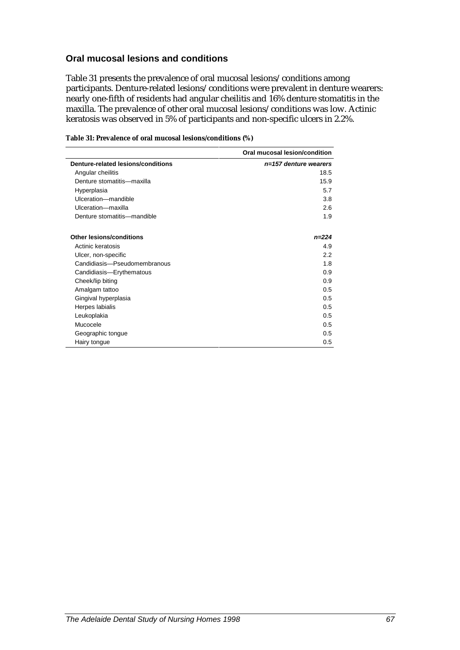#### **Oral mucosal lesions and conditions**

Table 31 presents the prevalence of oral mucosal lesions/conditions among participants. Denture-related lesions/conditions were prevalent in denture wearers: nearly one-fifth of residents had angular cheilitis and 16% denture stomatitis in the maxilla. The prevalence of other oral mucosal lesions/conditions was low. Actinic keratosis was observed in 5% of participants and non-specific ulcers in 2.2%.

|                                    | Oral mucosal lesion/condition |
|------------------------------------|-------------------------------|
| Denture-related lesions/conditions | $n=157$ denture wearers       |
| Angular cheilitis                  | 18.5                          |
| Denture stomatitis-maxilla         | 15.9                          |
| Hyperplasia                        | 5.7                           |
| Ulceration-mandible                | 3.8                           |
| Ulceration-maxilla                 | 2.6                           |
| Denture stomatitis-mandible        | 1.9                           |
| <b>Other lesions/conditions</b>    | $n = 224$                     |
| Actinic keratosis                  | 4.9                           |
| Ulcer, non-specific                | 2.2                           |
| Candidiasis-Pseudomembranous       | 1.8                           |
| Candidiasis-Erythematous           | 0.9                           |
| Cheek/lip biting                   | 0.9                           |
| Amalgam tattoo                     | 0.5                           |
| Gingival hyperplasia               | 0.5                           |
| Herpes labialis                    | 0.5                           |
| Leukoplakia                        | 0.5                           |
| Mucocele                           | 0.5                           |
| Geographic tongue                  | 0.5                           |
| Hairy tongue                       | 0.5                           |

#### **Table 31: Prevalence of oral mucosal lesions/conditions (%)**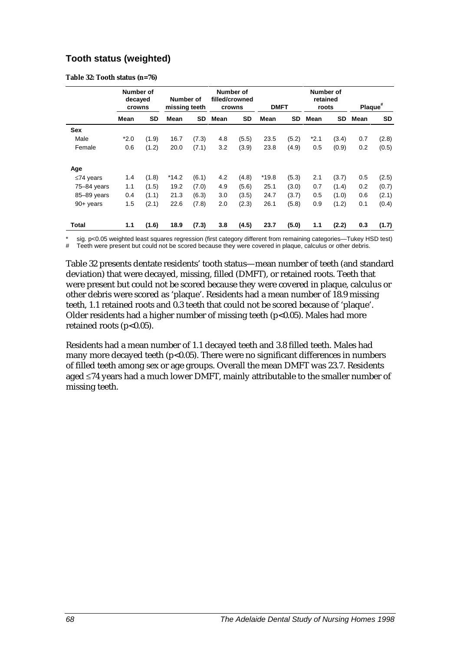#### **Tooth status (weighted)**

**Table 32: Tooth status (n=76)**

|                 | Number of<br>decayed<br>crowns |       | Number of<br>missing teeth |           | Number of<br>filled/crowned<br>crowns |           | <b>DMFT</b> |       | Number of<br>retained<br>roots |       | Plaque <sup>#</sup> |           |
|-----------------|--------------------------------|-------|----------------------------|-----------|---------------------------------------|-----------|-------------|-------|--------------------------------|-------|---------------------|-----------|
|                 | Mean                           | SD    | Mean                       | <b>SD</b> | Mean                                  | <b>SD</b> | Mean        | SD    | Mean                           | SD.   | Mean                | <b>SD</b> |
| Sex             |                                |       |                            |           |                                       |           |             |       |                                |       |                     |           |
| Male            | $*2.0$                         | (1.9) | 16.7                       | (7.3)     | 4.8                                   | (5.5)     | 23.5        | (5.2) | $*2.1$                         | (3.4) | 0.7                 | (2.8)     |
| Female          | 0.6                            | (1.2) | 20.0                       | (7.1)     | 3.2                                   | (3.9)     | 23.8        | (4.9) | 0.5                            | (0.9) | 0.2                 | (0.5)     |
| Age             |                                |       |                            |           |                                       |           |             |       |                                |       |                     |           |
| $\leq$ 74 years | 1.4                            | (1.8) | *14.2                      | (6.1)     | 4.2                                   | (4.8)     | $*19.8$     | (5.3) | 2.1                            | (3.7) | 0.5                 | (2.5)     |
| 75-84 years     | 1.1                            | (1.5) | 19.2                       | (7.0)     | 4.9                                   | (5.6)     | 25.1        | (3.0) | 0.7                            | (1.4) | 0.2                 | (0.7)     |
| 85-89 years     | 0.4                            | (1.1) | 21.3                       | (6.3)     | 3.0                                   | (3.5)     | 24.7        | (3.7) | 0.5                            | (1.0) | 0.6                 | (2.1)     |
| $90+$ years     | 1.5                            | (2.1) | 22.6                       | (7.8)     | 2.0                                   | (2.3)     | 26.1        | (5.8) | 0.9                            | (1.2) | 0.1                 | (0.4)     |
| Total           | 1.1                            | (1.6) | 18.9                       | (7.3)     | 3.8                                   | (4.5)     | 23.7        | (5.0) | 1.1                            | (2.2) | 0.3                 | (1.7)     |

sig. p<0.05 weighted least squares regression (first category different from remaining categories—Tukey HSD test)

# Teeth were present but could not be scored because they were covered in plaque, calculus or other debris.

Table 32 presents dentate residents' tooth status—mean number of teeth (and standard deviation) that were decayed, missing, filled (DMFT), or retained roots. Teeth that were present but could not be scored because they were covered in plaque, calculus or other debris were scored as 'plaque'. Residents had a mean number of 18.9 missing teeth, 1.1 retained roots and 0.3 teeth that could not be scored because of 'plaque'. Older residents had a higher number of missing teeth  $(p<0.05)$ . Males had more retained roots  $(p<0.05)$ .

Residents had a mean number of 1.1 decayed teeth and 3.8 filled teeth. Males had many more decayed teeth ( $p$ <0.05). There were no significant differences in numbers of filled teeth among sex or age groups. Overall the mean DMFT was 23.7. Residents aged ≤74 years had a much lower DMFT, mainly attributable to the smaller number of missing teeth.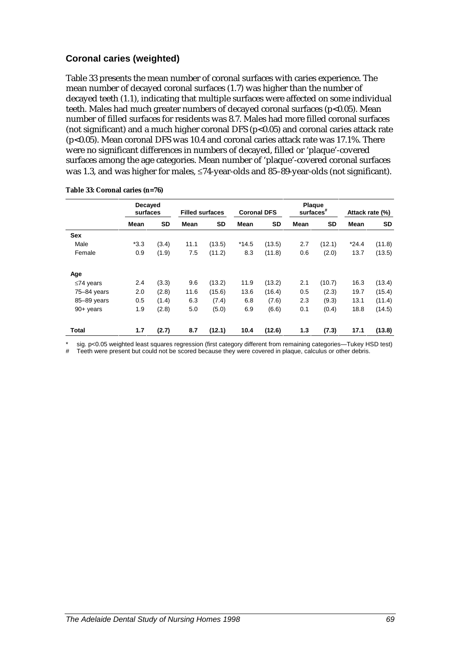#### **Coronal caries (weighted)**

Table 33 presents the mean number of coronal surfaces with caries experience. The mean number of decayed coronal surfaces (1.7) was higher than the number of decayed teeth (1.1), indicating that multiple surfaces were affected on some individual teeth. Males had much greater numbers of decayed coronal surfaces (p<0.05). Mean number of filled surfaces for residents was 8.7. Males had more filled coronal surfaces (not significant) and a much higher coronal DFS ( $p<0.05$ ) and coronal caries attack rate (p<0.05). Mean coronal DFS was 10.4 and coronal caries attack rate was 17.1%. There were no significant differences in numbers of decayed, filled or 'plaque'-covered surfaces among the age categories. Mean number of 'plaque'-covered coronal surfaces was 1.3, and was higher for males, ≤74-year-olds and 85–89-year-olds (not significant).

|                 | Decayed<br>surfaces |           |      | <b>Filled surfaces</b> | <b>Coronal DFS</b> |           | Plaque<br>surfaces <sup>#</sup> |           |         | Attack rate (%) |
|-----------------|---------------------|-----------|------|------------------------|--------------------|-----------|---------------------------------|-----------|---------|-----------------|
|                 | Mean                | <b>SD</b> | Mean | <b>SD</b>              | Mean               | <b>SD</b> | Mean                            | <b>SD</b> | Mean    | <b>SD</b>       |
| <b>Sex</b>      |                     |           |      |                        |                    |           |                                 |           |         |                 |
| Male            | $*3.3$              | (3.4)     | 11.1 | (13.5)                 | $*14.5$            | (13.5)    | 2.7                             | (12.1)    | $*24.4$ | (11.8)          |
| Female          | 0.9                 | (1.9)     | 7.5  | (11.2)                 | 8.3                | (11.8)    | 0.6                             | (2.0)     | 13.7    | (13.5)          |
| Age             |                     |           |      |                        |                    |           |                                 |           |         |                 |
| $\leq$ 74 years | 2.4                 | (3.3)     | 9.6  | (13.2)                 | 11.9               | (13.2)    | 2.1                             | (10.7)    | 16.3    | (13.4)          |
| 75-84 years     | 2.0                 | (2.8)     | 11.6 | (15.6)                 | 13.6               | (16.4)    | 0.5                             | (2.3)     | 19.7    | (15.4)          |
| 85-89 years     | 0.5                 | (1.4)     | 6.3  | (7.4)                  | 6.8                | (7.6)     | 2.3                             | (9.3)     | 13.1    | (11.4)          |
| $90+$ years     | 1.9                 | (2.8)     | 5.0  | (5.0)                  | 6.9                | (6.6)     | 0.1                             | (0.4)     | 18.8    | (14.5)          |
| Total           | 1.7                 | (2.7)     | 8.7  | (12.1)                 | 10.4               | (12.6)    | 1.3                             | (7.3)     | 17.1    | (13.8)          |

**Table 33: Coronal caries (n=76)**

sig. p<0.05 weighted least squares regression (first category different from remaining categories—Tukey HSD test)

Teeth were present but could not be scored because they were covered in plaque, calculus or other debris.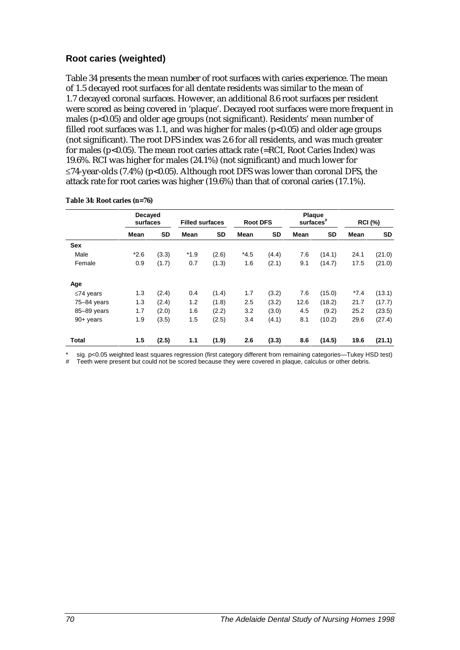#### **Root caries (weighted)**

Table 34 presents the mean number of root surfaces with caries experience. The mean of 1.5 decayed root surfaces for all dentate residents was similar to the mean of 1.7 decayed coronal surfaces. However, an additional 8.6 root surfaces per resident were scored as being covered in 'plaque'. Decayed root surfaces were more frequent in males (p<0.05) and older age groups (not significant). Residents' mean number of filled root surfaces was 1.1, and was higher for males  $(p<0.05)$  and older age groups (not significant). The root DFS index was 2.6 for all residents, and was much greater for males ( $p$ <0.05). The mean root caries attack rate (=RCI, Root Caries Index) was 19.6%. RCI was higher for males (24.1%) (not significant) and much lower for  $\leq$ 74-year-olds (7.4%) (p<0.05). Although root DFS was lower than coronal DFS, the attack rate for root caries was higher (19.6%) than that of coronal caries (17.1%).

|                 | Decayed<br>surfaces |       |        | <b>Root DFS</b><br><b>Filled surfaces</b> |        | Plaque<br>$surfaces$ # |      | <b>RCI (%)</b> |        |           |
|-----------------|---------------------|-------|--------|-------------------------------------------|--------|------------------------|------|----------------|--------|-----------|
|                 | Mean                | SD    | Mean   | <b>SD</b>                                 | Mean   | <b>SD</b>              | Mean | <b>SD</b>      | Mean   | <b>SD</b> |
| <b>Sex</b>      |                     |       |        |                                           |        |                        |      |                |        |           |
| Male            | $*2.6$              | (3.3) | $*1.9$ | (2.6)                                     | $*4.5$ | (4.4)                  | 7.6  | (14.1)         | 24.1   | (21.0)    |
| Female          | 0.9                 | (1.7) | 0.7    | (1.3)                                     | 1.6    | (2.1)                  | 9.1  | (14.7)         | 17.5   | (21.0)    |
| Age             |                     |       |        |                                           |        |                        |      |                |        |           |
| $\leq$ 74 years | 1.3                 | (2.4) | 0.4    | (1.4)                                     | 1.7    | (3.2)                  | 7.6  | (15.0)         | $*7.4$ | (13.1)    |
| 75-84 years     | 1.3                 | (2.4) | 1.2    | (1.8)                                     | 2.5    | (3.2)                  | 12.6 | (18.2)         | 21.7   | (17.7)    |
| 85-89 years     | 1.7                 | (2.0) | 1.6    | (2.2)                                     | 3.2    | (3.0)                  | 4.5  | (9.2)          | 25.2   | (23.5)    |
| $90+$ years     | 1.9                 | (3.5) | 1.5    | (2.5)                                     | 3.4    | (4.1)                  | 8.1  | (10.2)         | 29.6   | (27.4)    |
| <b>Total</b>    | 1.5                 | (2.5) | 1.1    | (1.9)                                     | 2.6    | (3.3)                  | 8.6  | (14.5)         | 19.6   | (21.1)    |

**Table 34: Root caries (n=76)**

sig. p<0.05 weighted least squares regression (first category different from remaining categories—Tukey HSD test)

Teeth were present but could not be scored because they were covered in plaque, calculus or other debris.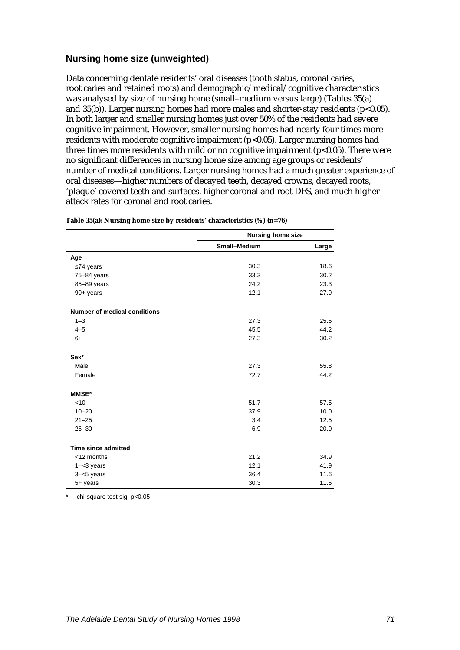#### **Nursing home size (unweighted)**

Data concerning dentate residents' oral diseases (tooth status, coronal caries, root caries and retained roots) and demographic/medical/cognitive characteristics was analysed by size of nursing home (small–medium versus large) (Tables 35(a) and  $35(b)$ ). Larger nursing homes had more males and shorter-stay residents (p<0.05). In both larger and smaller nursing homes just over 50% of the residents had severe cognitive impairment. However, smaller nursing homes had nearly four times more residents with moderate cognitive impairment (p<0.05). Larger nursing homes had three times more residents with mild or no cognitive impairment  $(p<0.05)$ . There were no significant differences in nursing home size among age groups or residents' number of medical conditions. Larger nursing homes had a much greater experience of oral diseases—higher numbers of decayed teeth, decayed crowns, decayed roots, 'plaque' covered teeth and surfaces, higher coronal and root DFS, and much higher attack rates for coronal and root caries.

|                                     | <b>Nursing home size</b> |       |  |
|-------------------------------------|--------------------------|-------|--|
|                                     | Small-Medium             | Large |  |
| Age                                 |                          |       |  |
| $≤74$ years                         | 30.3                     | 18.6  |  |
| $75 - 84$ years                     | 33.3                     | 30.2  |  |
| 85-89 years                         | 24.2                     | 23.3  |  |
| 90+ years                           | 12.1                     | 27.9  |  |
| <b>Number of medical conditions</b> |                          |       |  |
| $1 - 3$                             | 27.3                     | 25.6  |  |
| $4 - 5$                             | 45.5                     | 44.2  |  |
| $6+$                                | 27.3                     | 30.2  |  |
| Sex*                                |                          |       |  |
| Male                                | 27.3                     | 55.8  |  |
| Female                              | 72.7                     | 44.2  |  |
| <b>MMSE*</b>                        |                          |       |  |
| < 10                                | 51.7                     | 57.5  |  |
| $10 - 20$                           | 37.9                     | 10.0  |  |
| $21 - 25$                           | 3.4                      | 12.5  |  |
| $26 - 30$                           | 6.9                      | 20.0  |  |
| <b>Time since admitted</b>          |                          |       |  |
| <12 months                          | 21.2                     | 34.9  |  |
| $1 - < 3$ years                     | 12.1                     | 41.9  |  |
| $3 - 5$ years                       | 36.4                     | 11.6  |  |
| 5+ years                            | 30.3                     | 11.6  |  |

**Table 35(a): Nursing home size by residents' characteristics (%) (n=76)**

chi-square test sig. p<0.05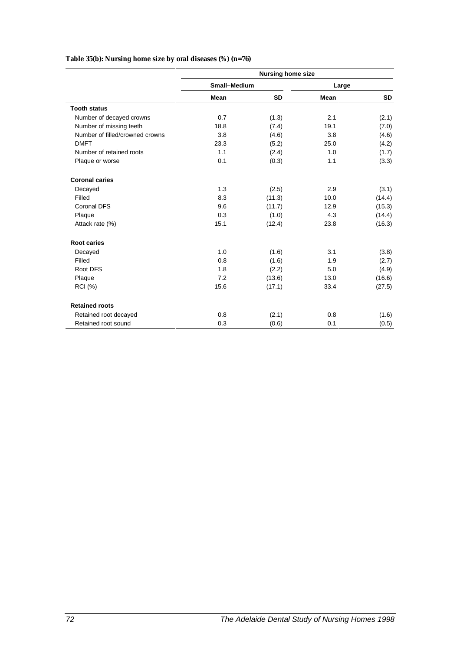#### **Table 35(b): Nursing home size by oral diseases (%) (n=76)**

|                                 | <b>Nursing home size</b> |           |       |           |  |
|---------------------------------|--------------------------|-----------|-------|-----------|--|
|                                 | Small-Medium             |           | Large |           |  |
|                                 | Mean                     | <b>SD</b> | Mean  | <b>SD</b> |  |
| <b>Tooth status</b>             |                          |           |       |           |  |
| Number of decayed crowns        | 0.7                      | (1.3)     | 2.1   | (2.1)     |  |
| Number of missing teeth         | 18.8                     | (7.4)     | 19.1  | (7.0)     |  |
| Number of filled/crowned crowns | 3.8                      | (4.6)     | 3.8   | (4.6)     |  |
| <b>DMFT</b>                     | 23.3                     | (5.2)     | 25.0  | (4.2)     |  |
| Number of retained roots        | 1.1                      | (2.4)     | 1.0   | (1.7)     |  |
| Plaque or worse                 | 0.1                      | (0.3)     | 1.1   | (3.3)     |  |
| <b>Coronal caries</b>           |                          |           |       |           |  |
| Decayed                         | 1.3                      | (2.5)     | 2.9   | (3.1)     |  |
| Filled                          | 8.3                      | (11.3)    | 10.0  | (14.4)    |  |
| <b>Coronal DFS</b>              | 9.6                      | (11.7)    | 12.9  | (15.3)    |  |
| Plaque                          | 0.3                      | (1.0)     | 4.3   | (14.4)    |  |
| Attack rate (%)                 | 15.1                     | (12.4)    | 23.8  | (16.3)    |  |
| <b>Root caries</b>              |                          |           |       |           |  |
| Decayed                         | 1.0                      | (1.6)     | 3.1   | (3.8)     |  |
| Filled                          | 0.8                      | (1.6)     | 1.9   | (2.7)     |  |
| Root DFS                        | 1.8                      | (2.2)     | 5.0   | (4.9)     |  |
| Plaque                          | 7.2                      | (13.6)    | 13.0  | (16.6)    |  |
| <b>RCI</b> (%)                  | 15.6                     | (17.1)    | 33.4  | (27.5)    |  |
| <b>Retained roots</b>           |                          |           |       |           |  |
| Retained root decayed           | 0.8                      | (2.1)     | 0.8   | (1.6)     |  |
| Retained root sound             | 0.3                      | (0.6)     | 0.1   | (0.5)     |  |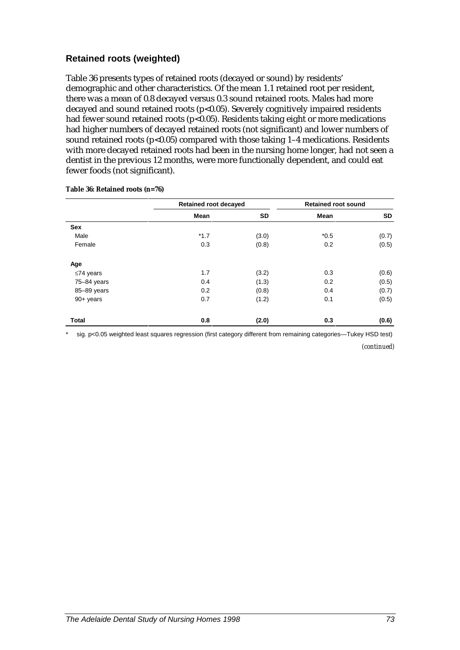#### **Retained roots (weighted)**

Table 36 presents types of retained roots (decayed or sound) by residents' demographic and other characteristics. Of the mean 1.1 retained root per resident, there was a mean of 0.8 decayed versus 0.3 sound retained roots. Males had more decayed and sound retained roots (p<0.05). Severely cognitively impaired residents had fewer sound retained roots (p<0.05). Residents taking eight or more medications had higher numbers of decayed retained roots (not significant) and lower numbers of sound retained roots  $(p<0.05)$  compared with those taking 1–4 medications. Residents with more decayed retained roots had been in the nursing home longer, had not seen a dentist in the previous 12 months, were more functionally dependent, and could eat fewer foods (not significant).

|                 | <b>Retained root decayed</b> |           | <b>Retained root sound</b> |       |  |
|-----------------|------------------------------|-----------|----------------------------|-------|--|
|                 | Mean                         | <b>SD</b> | Mean                       | SD    |  |
| Sex             |                              |           |                            |       |  |
| Male            | $*1.7$                       | (3.0)     | $*0.5$                     | (0.7) |  |
| Female          | 0.3                          | (0.8)     | 0.2                        | (0.5) |  |
| Age             |                              |           |                            |       |  |
| $\leq$ 74 years | 1.7                          | (3.2)     | 0.3                        | (0.6) |  |
| 75-84 years     | 0.4                          | (1.3)     | 0.2                        | (0.5) |  |
| 85-89 years     | 0.2                          | (0.8)     | 0.4                        | (0.7) |  |
| $90+$ years     | 0.7                          | (1.2)     | 0.1                        | (0.5) |  |
| <b>Total</b>    | 0.8                          | (2.0)     | 0.3                        | (0.6) |  |

**Table 36: Retained roots (n=76)**

sig. p<0.05 weighted least squares regression (first category different from remaining categories—Tukey HSD test)

*(continued)*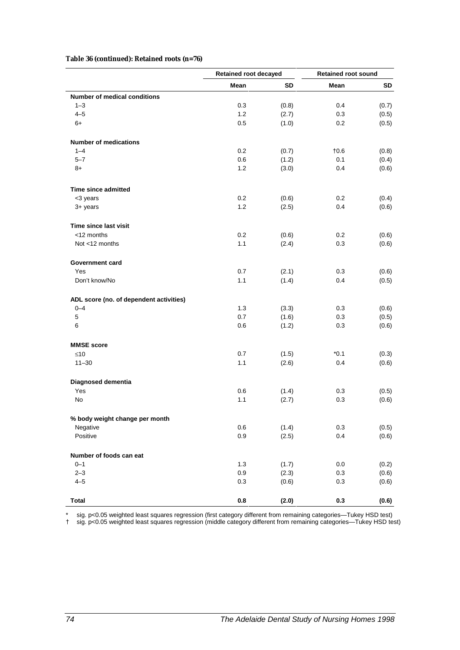**Table 36 (continued): Retained roots (n=76)**

|                                         | <b>Retained root decayed</b> |       | <b>Retained root sound</b> |       |  |
|-----------------------------------------|------------------------------|-------|----------------------------|-------|--|
|                                         | Mean                         | SD    | Mean                       | SD    |  |
| <b>Number of medical conditions</b>     |                              |       |                            |       |  |
| $1 - 3$                                 | 0.3                          | (0.8) | 0.4                        | (0.7) |  |
| $4 - 5$                                 | 1.2                          | (2.7) | 0.3                        | (0.5) |  |
| $6+$                                    | 0.5                          | (1.0) | 0.2                        | (0.5) |  |
| <b>Number of medications</b>            |                              |       |                            |       |  |
| $1 - 4$                                 | 0.2                          | (0.7) | $\dagger$ 0.6              | (0.8) |  |
| $5 - 7$                                 | 0.6                          | (1.2) | 0.1                        | (0.4) |  |
| $8+$                                    | 1.2                          | (3.0) | 0.4                        | (0.6) |  |
|                                         |                              |       |                            |       |  |
| Time since admitted                     |                              |       |                            |       |  |
| <3 years                                | 0.2                          | (0.6) | 0.2                        | (0.4) |  |
| 3+ years                                | 1.2                          | (2.5) | 0.4                        | (0.6) |  |
| Time since last visit                   |                              |       |                            |       |  |
| <12 months                              | 0.2                          | (0.6) | $0.2\,$                    | (0.6) |  |
| Not <12 months                          | 1.1                          | (2.4) | 0.3                        | (0.6) |  |
|                                         |                              |       |                            |       |  |
| Government card                         |                              |       |                            |       |  |
| Yes                                     | 0.7                          | (2.1) | 0.3                        | (0.6) |  |
| Don't know/No                           | 1.1                          | (1.4) | 0.4                        | (0.5) |  |
| ADL score (no. of dependent activities) |                              |       |                            |       |  |
| $0 - 4$                                 | 1.3                          | (3.3) | 0.3                        | (0.6) |  |
| 5                                       | 0.7                          | (1.6) | 0.3                        | (0.5) |  |
| 6                                       | 0.6                          | (1.2) | 0.3                        | (0.6) |  |
|                                         |                              |       |                            |       |  |
| <b>MMSE</b> score                       | 0.7                          |       | $*0.1$                     |       |  |
| $≤10$                                   |                              | (1.5) |                            | (0.3) |  |
| $11 - 30$                               | 1.1                          | (2.6) | 0.4                        | (0.6) |  |
| Diagnosed dementia                      |                              |       |                            |       |  |
| Yes                                     | 0.6                          | (1.4) | 0.3                        | (0.5) |  |
| No                                      | 1.1                          | (2.7) | 0.3                        | (0.6) |  |
| % body weight change per month          |                              |       |                            |       |  |
| Negative                                | 0.6                          | (1.4) | 0.3                        | (0.5) |  |
| Positive                                | 0.9                          | (2.5) | 0.4                        | (0.6) |  |
|                                         |                              |       |                            |       |  |
| Number of foods can eat                 |                              |       |                            |       |  |
| $0 - 1$                                 | $1.3$                        | (1.7) | 0.0                        | (0.2) |  |
| $2 - 3$                                 | 0.9                          | (2.3) | 0.3                        | (0.6) |  |
| $4 - 5$                                 | 0.3                          | (0.6) | 0.3                        | (0.6) |  |
| <b>Total</b>                            | 0.8                          | (2.0) | 0.3                        | (0.6) |  |

\* sig. p<0.05 weighted least squares regression (first category different from remaining categories—Tukey HSD test)

† sig. p<0.05 weighted least squares regression (middle category different from remaining categories—Tukey HSD test)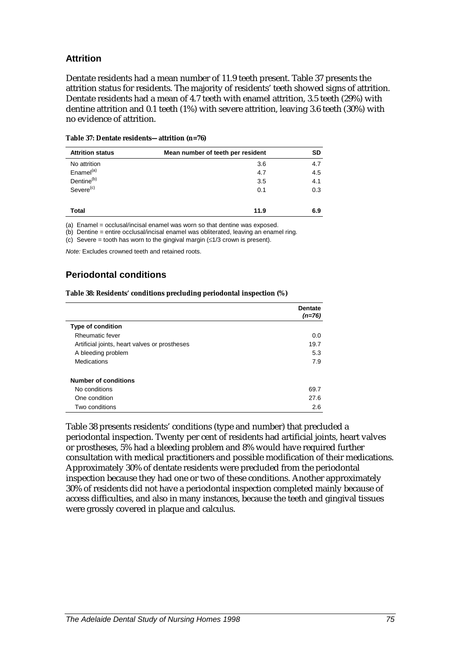#### **Attrition**

Dentate residents had a mean number of 11.9 teeth present. Table 37 presents the attrition status for residents. The majority of residents' teeth showed signs of attrition. Dentate residents had a mean of 4.7 teeth with enamel attrition, 3.5 teeth (29%) with dentine attrition and 0.1 teeth (1%) with severe attrition, leaving 3.6 teeth (30%) with no evidence of attrition.

| <b>Attrition status</b> | Mean number of teeth per resident | <b>SD</b> |
|-------------------------|-----------------------------------|-----------|
| No attrition            | 3.6                               | 4.7       |
| Enamel <sup>(a)</sup>   | 4.7                               | 4.5       |
| Dentine <sup>(b)</sup>  | 3.5                               | 4.1       |
| Severe <sup>(c)</sup>   | 0.1                               | 0.3       |
|                         |                                   |           |
| <b>Total</b>            | 11.9                              | 6.9       |

| Table 37: Dentate residents—attrition (n=76) |
|----------------------------------------------|
|----------------------------------------------|

(a) Enamel = occlusal/incisal enamel was worn so that dentine was exposed.

(b) Dentine = entire occlusal/incisal enamel was obliterated, leaving an enamel ring.

(c) Severe = tooth has worn to the gingival margin  $(\leq 1/3$  crown is present).

*Note:* Excludes crowned teeth and retained roots.

#### **Periodontal conditions**

**Table 38: Residents' conditions precluding periodontal inspection (%)**

|                                               | <b>Dentate</b><br>$(n=76)$ |
|-----------------------------------------------|----------------------------|
| <b>Type of condition</b>                      |                            |
| Rheumatic fever                               | 0.0                        |
| Artificial joints, heart valves or prostheses | 19.7                       |
| A bleeding problem                            | 5.3                        |
| Medications                                   | 7.9                        |
| <b>Number of conditions</b>                   |                            |
| No conditions                                 | 69.7                       |
| One condition                                 | 27.6                       |
| Two conditions                                | 2.6                        |

Table 38 presents residents' conditions (type and number) that precluded a periodontal inspection. Twenty per cent of residents had artificial joints, heart valves or prostheses, 5% had a bleeding problem and 8% would have required further consultation with medical practitioners and possible modification of their medications. Approximately 30% of dentate residents were precluded from the periodontal inspection because they had one or two of these conditions. Another approximately 30% of residents did not have a periodontal inspection completed mainly because of access difficulties, and also in many instances, because the teeth and gingival tissues were grossly covered in plaque and calculus.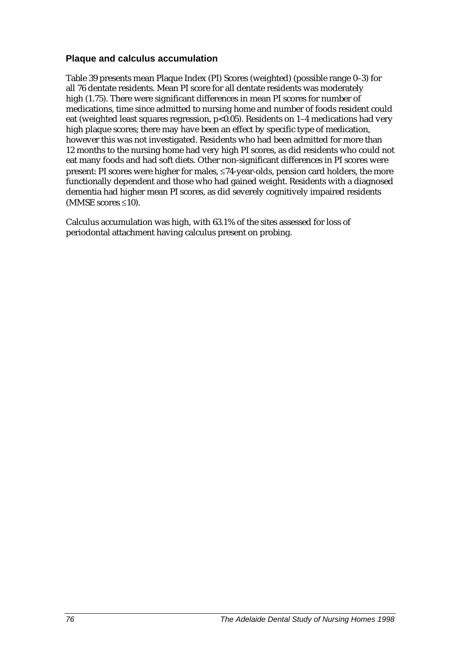#### **Plaque and calculus accumulation**

Table 39 presents mean Plaque Index (PI) Scores (weighted) (possible range 0–3) for all 76 dentate residents. Mean PI score for all dentate residents was moderately high (1.75). There were significant differences in mean PI scores for number of medications, time since admitted to nursing home and number of foods resident could eat (weighted least squares regression, p<0.05). Residents on 1-4 medications had very high plaque scores; there may have been an effect by specific type of medication, however this was not investigated. Residents who had been admitted for more than 12 months to the nursing home had very high PI scores, as did residents who could not eat many foods and had soft diets. Other non-significant differences in PI scores were present: PI scores were higher for males, ≤74-year-olds, pension card holders, the more functionally dependent and those who had gained weight. Residents with a diagnosed dementia had higher mean PI scores, as did severely cognitively impaired residents (MMSE scores ≤10).

Calculus accumulation was high, with 63.1% of the sites assessed for loss of periodontal attachment having calculus present on probing.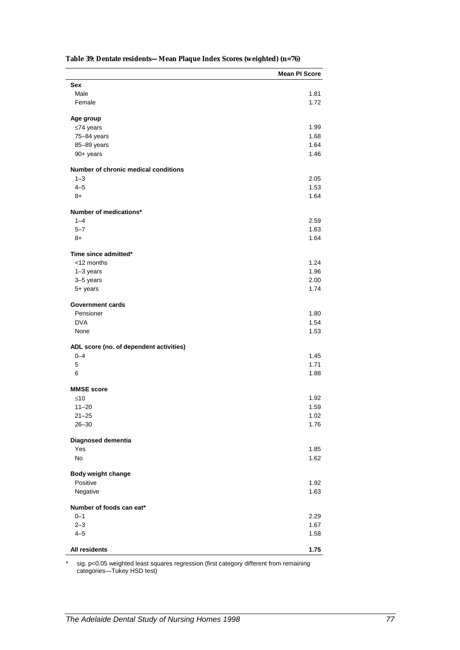| Table 39: Dentate residents—Mean Plaque Index Scores (weighted) (n=76) |
|------------------------------------------------------------------------|
|------------------------------------------------------------------------|

|                                         | <b>Mean PI Score</b> |
|-----------------------------------------|----------------------|
| Sex                                     |                      |
| Male                                    | 1.81                 |
| Female                                  | 1.72                 |
|                                         |                      |
| Age group                               | 1.99                 |
| $≤74$ years                             | 1.68                 |
| 75-84 years                             | 1.64                 |
| 85-89 years<br>90+ years                | 1.46                 |
|                                         |                      |
| Number of chronic medical conditions    |                      |
| $1 - 3$                                 | 2.05                 |
| $4 - 5$                                 | 1.53                 |
| $8+$                                    | 1.64                 |
| Number of medications*                  |                      |
| $1 - 4$                                 | 2.59                 |
| $5 - 7$                                 | 1.63                 |
| 8+                                      | 1.64                 |
| Time since admitted*                    |                      |
| <12 months                              | 1.24                 |
| $1-3$ years                             | 1.96                 |
| 3-5 years                               | 2.00                 |
| $5+$ years                              | 1.74                 |
|                                         |                      |
| <b>Government cards</b>                 |                      |
| Pensioner                               | 1.80                 |
| <b>DVA</b>                              | 1.54                 |
| None                                    | 1.53                 |
| ADL score (no. of dependent activities) |                      |
| $0 - 4$                                 | 1.45                 |
| 5                                       | 1.71                 |
| 6                                       | 1.88                 |
| <b>MMSE</b> score                       |                      |
| $≤10$                                   | 1.92                 |
| $11 - 20$                               | 1.59                 |
| $21 - 25$                               | 1.02                 |
| $26 - 30$                               | 1.76                 |
|                                         |                      |
| Diagnosed dementia                      |                      |
| Yes                                     | 1.85                 |
| No                                      | 1.62                 |
| Body weight change                      |                      |
| Positive                                | 1.92                 |
| Negative                                | 1.63                 |
| Number of foods can eat*                |                      |
| $0 - 1$                                 | 2.29                 |
| $2 - 3$                                 | 1.67                 |
| $4 - 5$                                 | 1.58                 |
|                                         |                      |
| All residents                           | 1.75                 |

\* sig. p<0.05 weighted least squares regression (first category different from remaining categories—Tukey HSD test)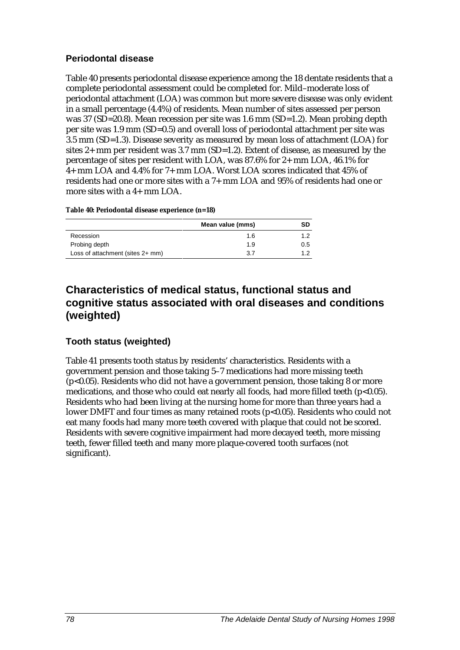#### **Periodontal disease**

Table 40 presents periodontal disease experience among the 18 dentate residents that a complete periodontal assessment could be completed for. Mild–moderate loss of periodontal attachment (LOA) was common but more severe disease was only evident in a small percentage (4.4%) of residents. Mean number of sites assessed per person was 37 (SD=20.8). Mean recession per site was 1.6 mm (SD=1.2). Mean probing depth per site was 1.9 mm (SD=0.5) and overall loss of periodontal attachment per site was 3.5 mm (SD=1.3). Disease severity as measured by mean loss of attachment (LOA) for sites 2+ mm per resident was 3.7 mm (SD=1.2). Extent of disease, as measured by the percentage of sites per resident with LOA, was 87.6% for 2+ mm LOA, 46.1% for 4+ mm LOA and 4.4% for 7+ mm LOA. Worst LOA scores indicated that 45% of residents had one or more sites with a 7+ mm LOA and 95% of residents had one or more sites with a 4+ mm LOA.

#### **Table 40: Periodontal disease experience (n=18)**

|                                  | Mean value (mms) | SD  |
|----------------------------------|------------------|-----|
| Recession                        | 1.6              |     |
| Probing depth                    | 1.9              | 0.5 |
| Loss of attachment (sites 2+ mm) | 3.7              | ィっ  |

### **Characteristics of medical status, functional status and cognitive status associated with oral diseases and conditions (weighted)**

#### **Tooth status (weighted)**

Table 41 presents tooth status by residents' characteristics. Residents with a government pension and those taking 5–7 medications had more missing teeth (p<0.05). Residents who did not have a government pension, those taking 8 or more medications, and those who could eat nearly all foods, had more filled teeth  $(p<0.05)$ . Residents who had been living at the nursing home for more than three years had a lower DMFT and four times as many retained roots (p<0.05). Residents who could not eat many foods had many more teeth covered with plaque that could not be scored. Residents with severe cognitive impairment had more decayed teeth, more missing teeth, fewer filled teeth and many more plaque-covered tooth surfaces (not significant).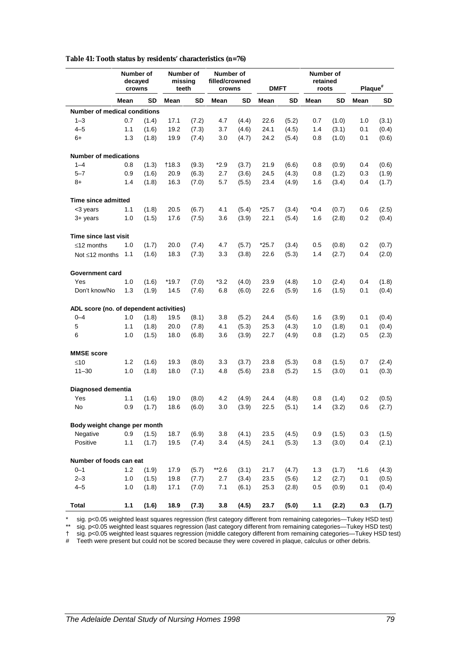|                                         | Number of<br>decayed<br>crowns |           | Number of<br>missing<br>teeth |       | Number of<br>filled/crowned<br>crowns |           | <b>DMFT</b> |           | Number of<br>retained<br>roots |           | Plaque <sup>#</sup> |       |
|-----------------------------------------|--------------------------------|-----------|-------------------------------|-------|---------------------------------------|-----------|-------------|-----------|--------------------------------|-----------|---------------------|-------|
|                                         | Mean                           | <b>SD</b> | Mean                          | SD    | Mean                                  | <b>SD</b> | Mean        | <b>SD</b> | Mean                           | <b>SD</b> | Mean                | SD    |
| <b>Number of medical conditions</b>     |                                |           |                               |       |                                       |           |             |           |                                |           |                     |       |
| $1 - 3$                                 | 0.7                            | (1.4)     | 17.1                          | (7.2) | 4.7                                   | (4.4)     | 22.6        | (5.2)     | 0.7                            | (1.0)     | 1.0                 | (3.1) |
| $4 - 5$                                 | 1.1                            | (1.6)     | 19.2                          | (7.3) | 3.7                                   | (4.6)     | 24.1        | (4.5)     | 1.4                            | (3.1)     | 0.1                 | (0.4) |
| 6+                                      | 1.3                            | (1.8)     | 19.9                          | (7.4) | 3.0                                   | (4.7)     | 24.2        | (5.4)     | 0.8                            | (1.0)     | 0.1                 | (0.6) |
| <b>Number of medications</b>            |                                |           |                               |       |                                       |           |             |           |                                |           |                     |       |
| $1 - 4$                                 | 0.8                            | (1.3)     | †18.3                         | (9.3) | *2.9                                  | (3.7)     | 21.9        | (6.6)     | 0.8                            | (0.9)     | 0.4                 | (0.6) |
| $5 - 7$                                 | 0.9                            | (1.6)     | 20.9                          | (6.3) | 2.7                                   | (3.6)     | 24.5        | (4.3)     | 0.8                            | (1.2)     | 0.3                 | (1.9) |
| $8+$                                    | 1.4                            | (1.8)     | 16.3                          | (7.0) | 5.7                                   | (5.5)     | 23.4        | (4.9)     | 1.6                            | (3.4)     | 0.4                 | (1.7) |
| Time since admitted                     |                                |           |                               |       |                                       |           |             |           |                                |           |                     |       |
| <3 years                                | 1.1                            | (1.8)     | 20.5                          | (6.7) | 4.1                                   | (5.4)     | $*25.7$     | (3.4)     | $*0.4$                         | (0.7)     | 0.6                 | (2.5) |
| $3+$ years                              | 1.0                            | (1.5)     | 17.6                          | (7.5) | 3.6                                   | (3.9)     | 22.1        | (5.4)     | 1.6                            | (2.8)     | 0.2                 | (0.4) |
| <b>Time since last visit</b>            |                                |           |                               |       |                                       |           |             |           |                                |           |                     |       |
| $\leq$ 12 months                        | 1.0                            | (1.7)     | 20.0                          | (7.4) | 4.7                                   | (5.7)     | $*25.7$     | (3.4)     | 0.5                            | (0.8)     | 0.2                 | (0.7) |
| Not $\leq 12$ months                    | 1.1                            | (1.6)     | 18.3                          | (7.3) | 3.3                                   | (3.8)     | 22.6        | (5.3)     | 1.4                            | (2.7)     | 0.4                 | (2.0) |
| <b>Government card</b>                  |                                |           |                               |       |                                       |           |             |           |                                |           |                     |       |
| Yes                                     | 1.0                            | (1.6)     | $*19.7$                       | (7.0) | *3.2                                  | (4.0)     | 23.9        | (4.8)     | 1.0                            | (2.4)     | 0.4                 | (1.8) |
| Don't know/No                           | 1.3                            | (1.9)     | 14.5                          | (7.6) | 6.8                                   | (6.0)     | 22.6        | (5.9)     | 1.6                            | (1.5)     | 0.1                 | (0.4) |
| ADL score (no. of dependent activities) |                                |           |                               |       |                                       |           |             |           |                                |           |                     |       |
| $0 - 4$                                 | 1.0                            | (1.8)     | 19.5                          | (8.1) | 3.8                                   | (5.2)     | 24.4        | (5.6)     | 1.6                            | (3.9)     | 0.1                 | (0.4) |
| 5                                       | 1.1                            | (1.8)     | 20.0                          | (7.8) | 4.1                                   | (5.3)     | 25.3        | (4.3)     | 1.0                            | (1.8)     | 0.1                 | (0.4) |
| 6                                       | 1.0                            | (1.5)     | 18.0                          | (6.8) | 3.6                                   | (3.9)     | 22.7        | (4.9)     | 0.8                            | (1.2)     | 0.5                 | (2.3) |
| <b>MMSE</b> score                       |                                |           |                               |       |                                       |           |             |           |                                |           |                     |       |
| $≤10$                                   | 1.2                            | (1.6)     | 19.3                          | (8.0) | 3.3                                   | (3.7)     | 23.8        | (5.3)     | 0.8                            | (1.5)     | 0.7                 | (2.4) |
| $11 - 30$                               | 1.0                            | (1.8)     | 18.0                          | (7.1) | 4.8                                   | (5.6)     | 23.8        | (5.2)     | 1.5                            | (3.0)     | 0.1                 | (0.3) |
| Diagnosed dementia                      |                                |           |                               |       |                                       |           |             |           |                                |           |                     |       |
| Yes                                     | 1.1                            | (1.6)     | 19.0                          | (8.0) | 4.2                                   | (4.9)     | 24.4        | (4.8)     | 0.8                            | (1.4)     | 0.2                 | (0.5) |
| No                                      | 0.9                            | (1.7)     | 18.6                          | (6.0) | 3.0                                   | (3.9)     | 22.5        | (5.1)     | 1.4                            | (3.2)     | 0.6                 | (2.7) |
| Body weight change per month            |                                |           |                               |       |                                       |           |             |           |                                |           |                     |       |
| Negative                                | 0.9                            | (1.5)     | 18.7                          | (6.9) | 3.8                                   | (4.1)     | 23.5        | (4.5)     | 0.9                            | (1.5)     | 0.3                 | (1.5) |
| Positive                                | 1.1                            | (1.7)     | 19.5                          | (7.4) | 3.4                                   | (4.5)     | 24.1        | (5.3)     | 1.3                            | (3.0)     | 0.4                 | (2.1) |
| Number of foods can eat                 |                                |           |                               |       |                                       |           |             |           |                                |           |                     |       |
| $0 - 1$                                 | 1.2                            | (1.9)     | 17.9                          | (5.7) | $*2.6$                                | (3.1)     | 21.7        | (4.7)     | 1.3                            | (1.7)     | $*1.6$              | (4.3) |
| $2 - 3$                                 | 1.0                            | (1.5)     | 19.8                          | (7.7) | 2.7                                   | (3.4)     | 23.5        | (5.6)     | 1.2                            | (2.7)     | 0.1                 | (0.5) |
| $4 - 5$                                 | 1.0                            | (1.8)     | 17.1                          | (7.0) | 7.1                                   | (6.1)     | 25.3        | (2.8)     | 0.5                            | (0.9)     | 0.1                 | (0.4) |
| <b>Total</b>                            | 1.1                            | (1.6)     | 18.9                          | (7.3) | 3.8                                   | (4.5)     | 23.7        | (5.0)     | 1.1                            | (2.2)     | 0.3                 | (1.7) |

**Table 41: Tooth status by residents' characteristics (n=76)**

\* sig. p<0.05 weighted least squares regression (first category different from remaining categories—Tukey HSD test)

\*\* sig. p<0.05 weighted least squares regression (last category different from remaining categories—Tukey HSD test)

† sig. p<0.05 weighted least squares regression (middle category different from remaining categories—Tukey HSD test)

# Teeth were present but could not be scored because they were covered in plaque, calculus or other debris.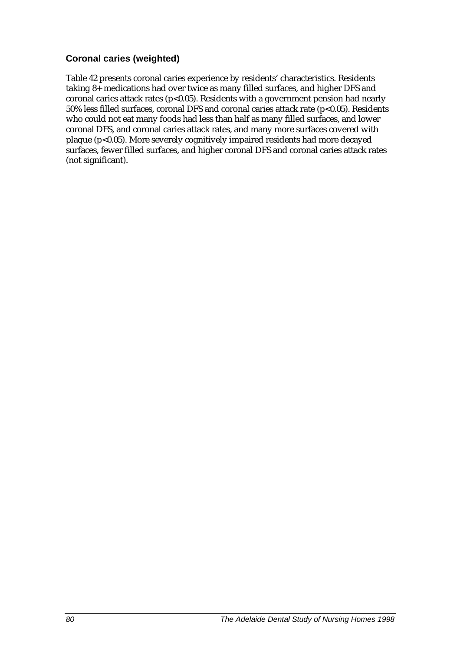#### **Coronal caries (weighted)**

Table 42 presents coronal caries experience by residents' characteristics. Residents taking 8+ medications had over twice as many filled surfaces, and higher DFS and coronal caries attack rates ( $p$ <0.05). Residents with a government pension had nearly 50% less filled surfaces, coronal DFS and coronal caries attack rate (p<0.05). Residents who could not eat many foods had less than half as many filled surfaces, and lower coronal DFS, and coronal caries attack rates, and many more surfaces covered with plaque (p<0.05). More severely cognitively impaired residents had more decayed surfaces, fewer filled surfaces, and higher coronal DFS and coronal caries attack rates (not significant).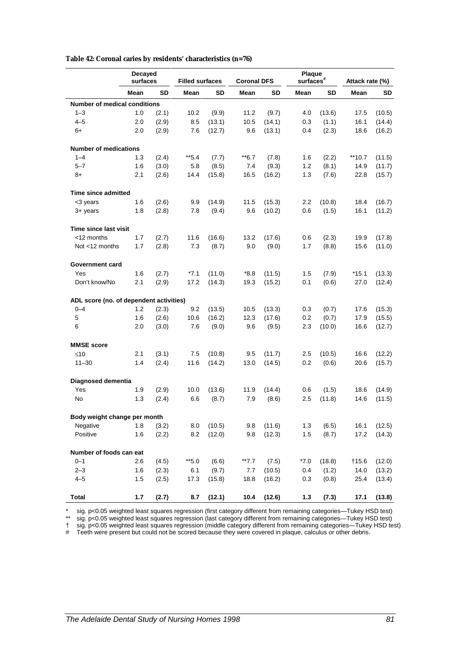|                                         | Decayed<br>surfaces<br><b>Filled surfaces</b> |       |         | <b>Plaque</b><br>$surfaces$ #<br><b>Coronal DFS</b> |        |        |        | Attack rate (%) |          |        |
|-----------------------------------------|-----------------------------------------------|-------|---------|-----------------------------------------------------|--------|--------|--------|-----------------|----------|--------|
|                                         | Mean                                          | SD    | Mean    | SD                                                  | Mean   | SD     | Mean   | SD              | Mean     | SD     |
| <b>Number of medical conditions</b>     |                                               |       |         |                                                     |        |        |        |                 |          |        |
| $1 - 3$                                 | 1.0                                           | (2.1) | 10.2    | (9.9)                                               | 11.2   | (9.7)  | 4.0    | (13.6)          | 17.5     | (10.5) |
| $4 - 5$                                 | 2.0                                           | (2.9) | 8.5     | (13.1)                                              | 10.5   | (14.1) | 0.3    | (1.1)           | 16.1     | (14.4) |
| 6+                                      | 2.0                                           | (2.9) | 7.6     | (12.7)                                              | 9.6    | (13.1) | 0.4    | (2.3)           | 18.6     | (16.2) |
| <b>Number of medications</b>            |                                               |       |         |                                                     |        |        |        |                 |          |        |
| $1 - 4$                                 | 1.3                                           | (2.4) | **5.4   | (7.7)                                               | **6.7  | (7.8)  | 1.6    | (2.2)           | $**10.7$ | (11.5) |
| $5 - 7$                                 | 1.6                                           | (3.0) | 5.8     | (8.5)                                               | 7.4    | (9.3)  | 1.2    | (8.1)           | 14.9     | (11.7) |
| 8+                                      | 2.1                                           | (2.6) | 14.4    | (15.8)                                              | 16.5   | (16.2) | 1.3    | (7.6)           | 22.8     | (15.7) |
| Time since admitted                     |                                               |       |         |                                                     |        |        |        |                 |          |        |
| <3 years                                | 1.6                                           | (2.6) | 9.9     | (14.9)                                              | 11.5   | (15.3) | 2.2    | (10.8)          | 18.4     | (16.7) |
| $3+$ years                              | 1.8                                           | (2.8) | 7.8     | (9.4)                                               | 9.6    | (10.2) | 0.6    | (1.5)           | 16.1     | (11.2) |
| Time since last visit                   |                                               |       |         |                                                     |        |        |        |                 |          |        |
| <12 months                              | 1.7                                           | (2.7) | 11.6    | (16.6)                                              | 13.2   | (17.6) | 0.6    | (2.3)           | 19.9     | (17.8) |
| Not <12 months                          | 1.7                                           | (2.8) | 7.3     | (8.7)                                               | 9.0    | (9.0)  | 1.7    | (8.8)           | 15.6     | (11.0) |
| <b>Government card</b>                  |                                               |       |         |                                                     |        |        |        |                 |          |        |
| Yes                                     | 1.6                                           | (2.7) | $*7.1$  | (11.0)                                              | $*8.8$ | (11.5) | 1.5    | (7.9)           | *15.1    | (13.3) |
| Don't know/No                           | 2.1                                           | (2.9) | 17.2    | (14.3)                                              | 19.3   | (15.2) | 0.1    | (0.6)           | 27.0     | (12.4) |
| ADL score (no. of dependent activities) |                                               |       |         |                                                     |        |        |        |                 |          |        |
| $0 - 4$                                 | 1.2                                           | (2.3) | 9.2     | (13.5)                                              | 10.5   | (13.3) | 0.3    | (0.7)           | 17.6     | (15.3) |
| 5                                       | 1.6                                           | (2.6) | 10.6    | (16.2)                                              | 12.3   | (17.6) | 0.2    | (0.7)           | 17.9     | (15.5) |
| 6                                       | 2.0                                           | (3.0) | 7.6     | (9.0)                                               | 9.6    | (9.5)  | 2.3    | (10.0)          | 16.6     | (12.7) |
| <b>MMSE score</b>                       |                                               |       |         |                                                     |        |        |        |                 |          |        |
| ≤10                                     | 2.1                                           | (3.1) | 7.5     | (10.8)                                              | 9.5    | (11.7) | 2.5    | (10.5)          | 16.6     | (12.2) |
| $11 - 30$                               | 1.4                                           | (2.4) | 11.6    | (14.2)                                              | 13.0   | (14.5) | 0.2    | (0.6)           | 20.6     | (15.7) |
| Diagnosed dementia                      |                                               |       |         |                                                     |        |        |        |                 |          |        |
| Yes                                     | 1.9                                           | (2.9) | 10.0    | (13.6)                                              | 11.9   | (14.4) | 0.6    | (1.5)           | 18.6     | (14.9) |
| No                                      | 1.3                                           | (2.4) | 6.6     | (8.7)                                               | 7.9    | (8.6)  | 2.5    | (11.8)          | 14.6     | (11.5) |
| Body weight change per month            |                                               |       |         |                                                     |        |        |        |                 |          |        |
| Negative                                | 1.8                                           | (3.2) | 8.0     | (10.5)                                              | 9.8    | (11.6) | 1.3    | (6.5)           | 16.1     | (12.5) |
| Positive                                | 1.6                                           | (2.2) | 8.2     | (12.0)                                              | 9.8    | (12.3) | 1.5    | (8.7)           | 17.2     | (14.3) |
| Number of foods can eat                 |                                               |       |         |                                                     |        |        |        |                 |          |        |
| $0 - 1$                                 | 2.6                                           | (4.5) | $*$ 5.0 | (6.6)                                               | $*7.7$ | (7.5)  | $*7.0$ | (18.8)          | †15.6    | (12.0) |
| $2 - 3$                                 | 1.6                                           | (2.3) | 6.1     | (9.7)                                               | 7.7    | (10.5) | 0.4    | (1.2)           | 14.0     | (13.2) |
| $4 - 5$                                 | 1.5                                           | (2.5) | 17.3    | (15.8)                                              | 18.8   | (16.2) | 0.3    | (0.8)           | 25.4     | (13.4) |
| <b>Total</b>                            | 1.7                                           | (2.7) | 8.7     | (12.1)                                              | 10.4   | (12.6) | $1.3$  | (7.3)           | 17.1     | (13.8) |

**Table 42: Coronal caries by residents' characteristics (n=76)**

\* sig. p<0.05 weighted least squares regression (first category different from remaining categories—Tukey HSD test)

\*\* sig. p<0.05 weighted least squares regression (last category different from remaining categories—Tukey HSD test)

† sig. p<0.05 weighted least squares regression (middle category different from remaining categories—Tukey HSD test)

# Teeth were present but could not be scored because they were covered in plaque, calculus or other debris.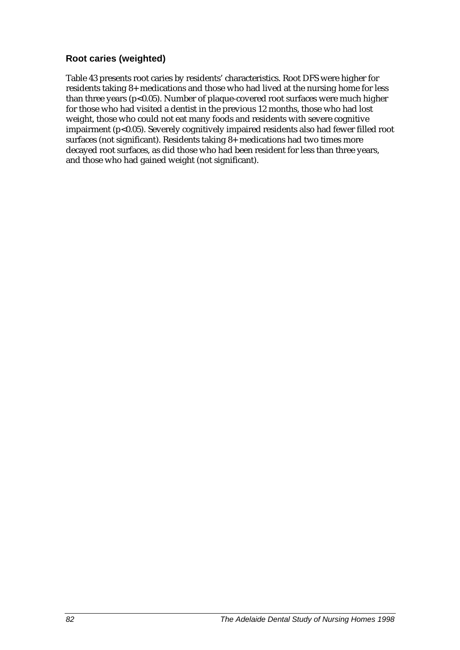#### **Root caries (weighted)**

Table 43 presents root caries by residents' characteristics. Root DFS were higher for residents taking 8+ medications and those who had lived at the nursing home for less than three years (p<0.05). Number of plaque-covered root surfaces were much higher for those who had visited a dentist in the previous 12 months, those who had lost weight, those who could not eat many foods and residents with severe cognitive impairment (p<0.05). Severely cognitively impaired residents also had fewer filled root surfaces (not significant). Residents taking 8+ medications had two times more decayed root surfaces, as did those who had been resident for less than three years, and those who had gained weight (not significant).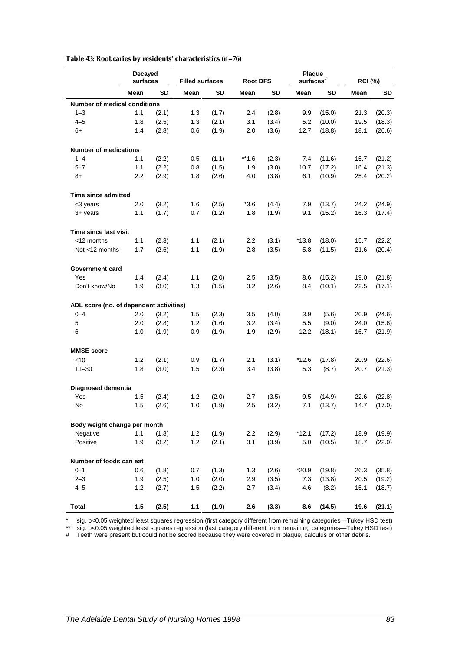|                                         | Decayed<br>surfaces<br><b>Filled surfaces</b> |       |      | Plaque<br>surfaces <sup>#</sup><br><b>Root DFS</b> |        |       |         | <b>RCI (%)</b> |      |        |
|-----------------------------------------|-----------------------------------------------|-------|------|----------------------------------------------------|--------|-------|---------|----------------|------|--------|
|                                         | Mean                                          | SD    | Mean | <b>SD</b>                                          | Mean   | SD    | Mean    | SD             | Mean | SD     |
| <b>Number of medical conditions</b>     |                                               |       |      |                                                    |        |       |         |                |      |        |
| $1 - 3$                                 | 1.1                                           | (2.1) | 1.3  | (1.7)                                              | 2.4    | (2.8) | 9.9     | (15.0)         | 21.3 | (20.3) |
| $4 - 5$                                 | 1.8                                           | (2.5) | 1.3  | (2.1)                                              | 3.1    | (3.4) | 5.2     | (10.0)         | 19.5 | (18.3) |
| 6+                                      | 1.4                                           | (2.8) | 0.6  | (1.9)                                              | 2.0    | (3.6) | 12.7    | (18.8)         | 18.1 | (26.6) |
| <b>Number of medications</b>            |                                               |       |      |                                                    |        |       |         |                |      |        |
| $1 - 4$                                 | 1.1                                           | (2.2) | 0.5  | (1.1)                                              | $*1.6$ | (2.3) | 7.4     | (11.6)         | 15.7 | (21.2) |
| $5 - 7$                                 | 1.1                                           | (2.2) | 0.8  | (1.5)                                              | 1.9    | (3.0) | 10.7    | (17.2)         | 16.4 | (21.3) |
| 8+                                      | 2.2                                           | (2.9) | 1.8  | (2.6)                                              | 4.0    | (3.8) | 6.1     | (10.9)         | 25.4 | (20.2) |
| Time since admitted                     |                                               |       |      |                                                    |        |       |         |                |      |        |
| <3 years                                | 2.0                                           | (3.2) | 1.6  | (2.5)                                              | $*3.6$ | (4.4) | 7.9     | (13.7)         | 24.2 | (24.9) |
| 3+ years                                | 1.1                                           | (1.7) | 0.7  | (1.2)                                              | 1.8    | (1.9) | 9.1     | (15.2)         | 16.3 | (17.4) |
| Time since last visit                   |                                               |       |      |                                                    |        |       |         |                |      |        |
| <12 months                              | 1.1                                           | (2.3) | 1.1  | (2.1)                                              | 2.2    | (3.1) | $*13.8$ | (18.0)         | 15.7 | (22.2) |
| Not <12 months                          | 1.7                                           | (2.6) | 1.1  | (1.9)                                              | 2.8    | (3.5) | 5.8     | (11.5)         | 21.6 | (20.4) |
| <b>Government card</b>                  |                                               |       |      |                                                    |        |       |         |                |      |        |
| Yes                                     | 1.4                                           | (2.4) | 1.1  | (2.0)                                              | 2.5    | (3.5) | 8.6     | (15.2)         | 19.0 | (21.8) |
| Don't know/No                           | 1.9                                           | (3.0) | 1.3  | (1.5)                                              | 3.2    | (2.6) | 8.4     | (10.1)         | 22.5 | (17.1) |
| ADL score (no. of dependent activities) |                                               |       |      |                                                    |        |       |         |                |      |        |
| $0 - 4$                                 | 2.0                                           | (3.2) | 1.5  | (2.3)                                              | 3.5    | (4.0) | 3.9     | (5.6)          | 20.9 | (24.6) |
| 5                                       | 2.0                                           | (2.8) | 1.2  | (1.6)                                              | 3.2    | (3.4) | 5.5     | (9.0)          | 24.0 | (15.6) |
| 6                                       | 1.0                                           | (1.9) | 0.9  | (1.9)                                              | 1.9    | (2.9) | 12.2    | (18.1)         | 16.7 | (21.9) |
| <b>MMSE score</b>                       |                                               |       |      |                                                    |        |       |         |                |      |        |
| $≤10$                                   | 1.2                                           | (2.1) | 0.9  | (1.7)                                              | 2.1    | (3.1) | $*12.6$ | (17.8)         | 20.9 | (22.6) |
| $11 - 30$                               | 1.8                                           | (3.0) | 1.5  | (2.3)                                              | 3.4    | (3.8) | 5.3     | (8.7)          | 20.7 | (21.3) |
| Diagnosed dementia                      |                                               |       |      |                                                    |        |       |         |                |      |        |
| Yes                                     | 1.5                                           | (2.4) | 1.2  | (2.0)                                              | 2.7    | (3.5) | 9.5     | (14.9)         | 22.6 | (22.8) |
| No                                      | 1.5                                           | (2.6) | 1.0  | (1.9)                                              | 2.5    | (3.2) | 7.1     | (13.7)         | 14.7 | (17.0) |
| Body weight change per month            |                                               |       |      |                                                    |        |       |         |                |      |        |
| Negative                                | 1.1                                           | (1.8) | 1.2  | (1.9)                                              | 2.2    | (2.9) | $*12.1$ | (17.2)         | 18.9 | (19.9) |
| Positive                                | 1.9                                           | (3.2) | 1.2  | (2.1)                                              | 3.1    | (3.9) | 5.0     | (10.5)         | 18.7 | (22.0) |
| Number of foods can eat                 |                                               |       |      |                                                    |        |       |         |                |      |        |
| $0 - 1$                                 | 0.6                                           | (1.8) | 0.7  | (1.3)                                              | 1.3    | (2.6) | $*20.9$ | (19.8)         | 26.3 | (35.8) |
| $2 - 3$                                 | 1.9                                           | (2.5) | 1.0  | (2.0)                                              | 2.9    | (3.5) | 7.3     | (13.8)         | 20.5 | (19.2) |
| $4 - 5$                                 | 1.2                                           | (2.7) | 1.5  | (2.2)                                              | 2.7    | (3.4) | 4.6     | (8.2)          | 15.1 | (18.7) |
| <b>Total</b>                            | 1.5                                           | (2.5) | 1.1  | (1.9)                                              | 2.6    | (3.3) | 8.6     | (14.5)         | 19.6 | (21.1) |

**Table 43: Root caries by residents' characteristics (n=76)**

\* sig. p<0.05 weighted least squares regression (first category different from remaining categories—Tukey HSD test)

\*\* sig. p<0.05 weighted least squares regression (last category different from remaining categories—Tukey HSD test)

# Teeth were present but could not be scored because they were covered in plaque, calculus or other debris.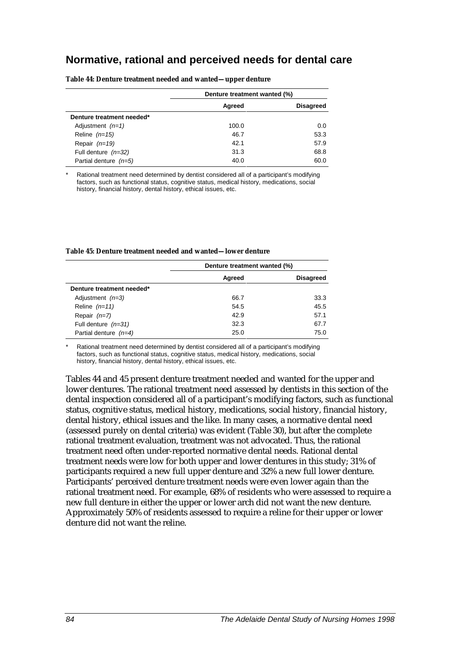### **Normative, rational and perceived needs for dental care**

|                           | Denture treatment wanted (%) |                  |
|---------------------------|------------------------------|------------------|
|                           | Agreed                       | <b>Disagreed</b> |
| Denture treatment needed* |                              |                  |
| Adjustment $(n=1)$        | 100.0                        | 0.0              |
| Reline $(n=15)$           | 46.7                         | 53.3             |
| Repair $(n=19)$           | 42.1                         | 57.9             |
| Full denture $(n=32)$     | 31.3                         | 68.8             |
| Partial denture $(n=5)$   | 40.0                         | 60.0             |

**Table 44: Denture treatment needed and wanted—upper denture**

Rational treatment need determined by dentist considered all of a participant's modifying factors, such as functional status, cognitive status, medical history, medications, social history, financial history, dental history, ethical issues, etc.

|                           | Denture treatment wanted (%) |                  |
|---------------------------|------------------------------|------------------|
|                           | Agreed                       | <b>Disagreed</b> |
| Denture treatment needed* |                              |                  |
| Adjustment $(n=3)$        | 66.7                         | 33.3             |
| Reline $(n=11)$           | 54.5                         | 45.5             |
| Repair $(n=7)$            | 42.9                         | 57.1             |
| Full denture $(n=31)$     | 32.3                         | 67.7             |
| Partial denture $(n=4)$   | 25.0                         | 75.0             |

Rational treatment need determined by dentist considered all of a participant's modifying factors, such as functional status, cognitive status, medical history, medications, social history, financial history, dental history, ethical issues, etc.

Tables 44 and 45 present denture treatment needed and wanted for the upper and lower dentures. The rational treatment need assessed by dentists in this section of the dental inspection considered all of a participant's modifying factors, such as functional status, cognitive status, medical history, medications, social history, financial history, dental history, ethical issues and the like. In many cases, a normative dental need (assessed purely on dental criteria) was evident (Table 30), but after the complete rational treatment evaluation, treatment was not advocated. Thus, the rational treatment need often under-reported normative dental needs. Rational dental treatment needs were low for both upper and lower dentures in this study; 31% of participants required a new full upper denture and 32% a new full lower denture. Participants' perceived denture treatment needs were even lower again than the rational treatment need. For example, 68% of residents who were assessed to require a new full denture in either the upper or lower arch did not want the new denture. Approximately 50% of residents assessed to require a reline for their upper or lower denture did not want the reline.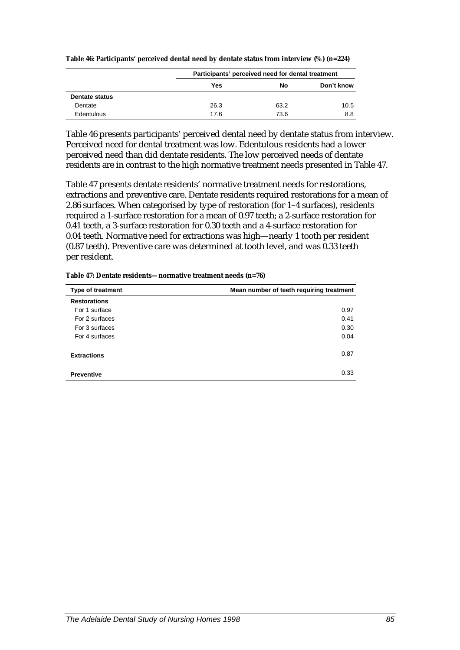|                       |      | Participants' perceived need for dental treatment |            |
|-----------------------|------|---------------------------------------------------|------------|
|                       | Yes  | No                                                | Don't know |
| <b>Dentate status</b> |      |                                                   |            |
| Dentate               | 26.3 | 63.2                                              | 10.5       |
| Edentulous            | 17.6 | 73.6                                              | 8.8        |

**Table 46: Participants' perceived dental need by dentate status from interview (%) (n=224)**

Table 46 presents participants' perceived dental need by dentate status from interview. Perceived need for dental treatment was low. Edentulous residents had a lower perceived need than did dentate residents. The low perceived needs of dentate residents are in contrast to the high normative treatment needs presented in Table 47.

Table 47 presents dentate residents' normative treatment needs for restorations, extractions and preventive care. Dentate residents required restorations for a mean of 2.86 surfaces. When categorised by type of restoration (for 1–4 surfaces), residents required a 1-surface restoration for a mean of 0.97 teeth; a 2-surface restoration for 0.41 teeth, a 3-surface restoration for 0.30 teeth and a 4-surface restoration for 0.04 teeth. Normative need for extractions was high—nearly 1 tooth per resident (0.87 teeth). Preventive care was determined at tooth level, and was 0.33 teeth per resident.

| Table 47: Dentate residents-normative treatment needs (n=76) |  |
|--------------------------------------------------------------|--|
|--------------------------------------------------------------|--|

| <b>Type of treatment</b> | Mean number of teeth requiring treatment |
|--------------------------|------------------------------------------|
| <b>Restorations</b>      |                                          |
| For 1 surface            | 0.97                                     |
| For 2 surfaces           | 0.41                                     |
| For 3 surfaces           | 0.30                                     |
| For 4 surfaces           | 0.04                                     |
| <b>Extractions</b>       | 0.87                                     |
| <b>Preventive</b>        | 0.33                                     |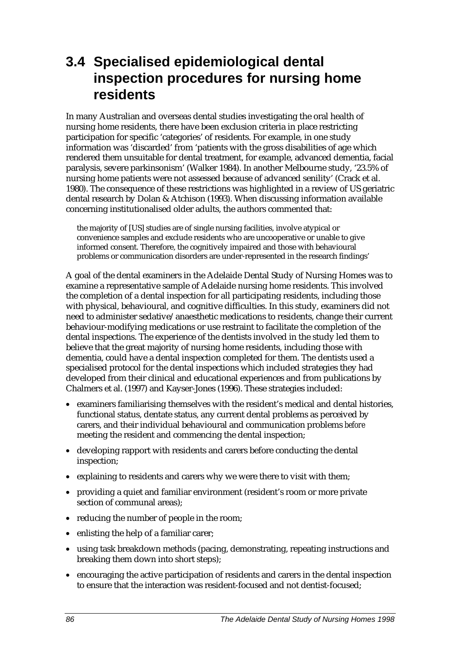# **3.4 Specialised epidemiological dental inspection procedures for nursing home residents**

In many Australian and overseas dental studies investigating the oral health of nursing home residents, there have been exclusion criteria in place restricting participation for specific 'categories' of residents. For example, in one study information was 'discarded' from 'patients with the gross disabilities of age which rendered them unsuitable for dental treatment, for example, advanced dementia, facial paralysis, severe parkinsonism' (Walker 1984). In another Melbourne study, '23.5% of nursing home patients were not assessed because of advanced senility' (Crack et al. 1980). The consequence of these restrictions was highlighted in a review of US geriatric dental research by Dolan & Atchison (1993). When discussing information available concerning institutionalised older adults, the authors commented that:

the majority of [US] studies are of single nursing facilities, involve atypical or convenience samples and exclude residents who are uncooperative or unable to give informed consent. Therefore, the cognitively impaired and those with behavioural problems or communication disorders are under-represented in the research findings'

A goal of the dental examiners in the Adelaide Dental Study of Nursing Homes was to examine a representative sample of Adelaide nursing home residents. This involved the completion of a dental inspection for all participating residents, including those with physical, behavioural, and cognitive difficulties. In this study, examiners did not need to administer sedative/anaesthetic medications to residents, change their current behaviour-modifying medications or use restraint to facilitate the completion of the dental inspections. The experience of the dentists involved in the study led them to believe that the great majority of nursing home residents, including those with dementia, could have a dental inspection completed for them. The dentists used a specialised protocol for the dental inspections which included strategies they had developed from their clinical and educational experiences and from publications by Chalmers et al. (1997) and Kayser-Jones (1996). These strategies included:

- examiners familiarising themselves with the resident's medical and dental histories, functional status, dentate status, any current dental problems as perceived by carers, and their individual behavioural and communication problems *before* meeting the resident and commencing the dental inspection;
- developing rapport with residents and carers before conducting the dental inspection;
- explaining to residents and carers why we were there to visit with them;
- providing a quiet and familiar environment (resident's room or more private section of communal areas);
- reducing the number of people in the room;
- enlisting the help of a familiar carer;
- using task breakdown methods (pacing, demonstrating, repeating instructions and breaking them down into short steps);
- encouraging the active participation of residents and carers in the dental inspection to ensure that the interaction was resident-focused and not dentist-focused;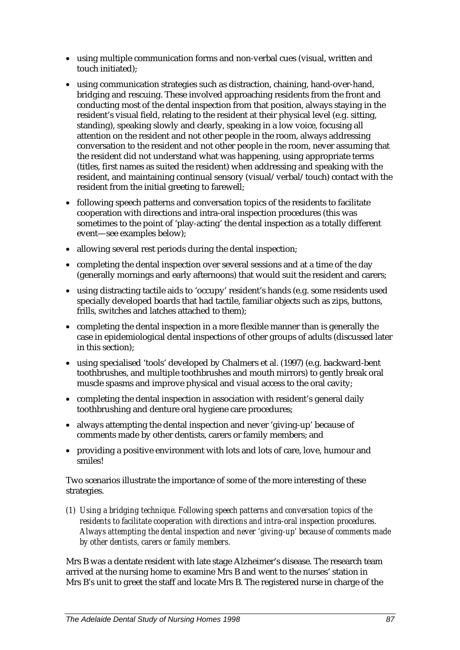- using multiple communication forms and non-verbal cues (visual, written and touch initiated);
- using communication strategies such as distraction, chaining, hand-over-hand, bridging and rescuing. These involved approaching residents from the front and conducting most of the dental inspection from that position, always staying in the resident's visual field, relating to the resident at their physical level (e.g. sitting, standing), speaking slowly and clearly, speaking in a low voice, focusing all attention on the resident and not other people in the room, always addressing conversation to the resident and not other people in the room, never assuming that the resident did not understand what was happening, using appropriate terms (titles, first names as suited the resident) when addressing and speaking with the resident, and maintaining continual sensory (visual/verbal/touch) contact with the resident from the initial greeting to farewell;
- following speech patterns and conversation topics of the residents to facilitate cooperation with directions and intra-oral inspection procedures (this was sometimes to the point of 'play-acting' the dental inspection as a totally different event—see examples below);
- allowing several rest periods during the dental inspection;
- completing the dental inspection over several sessions and at a time of the day (generally mornings and early afternoons) that would suit the resident and carers;
- using distracting tactile aids to 'occupy' resident's hands (e.g. some residents used specially developed boards that had tactile, familiar objects such as zips, buttons, frills, switches and latches attached to them);
- completing the dental inspection in a more flexible manner than is generally the case in epidemiological dental inspections of other groups of adults (discussed later in this section);
- using specialised 'tools' developed by Chalmers et al. (1997) (e.g. backward-bent toothbrushes, and multiple toothbrushes and mouth mirrors) to gently break oral muscle spasms and improve physical and visual access to the oral cavity;
- completing the dental inspection in association with resident's general daily toothbrushing and denture oral hygiene care procedures;
- always attempting the dental inspection and never 'giving-up' because of comments made by other dentists, carers or family members; and
- providing a positive environment with lots and lots of care, love, humour and smiles!

Two scenarios illustrate the importance of some of the more interesting of these strategies.

*(1) Using a bridging technique. Following speech patterns and conversation topics of the residents to facilitate cooperation with directions and intra-oral inspection procedures. Always attempting the dental inspection and never 'giving-up' because of comments made by other dentists, carers or family members.*

Mrs B was a dentate resident with late stage Alzheimer's disease. The research team arrived at the nursing home to examine Mrs B and went to the nurses' station in Mrs B's unit to greet the staff and locate Mrs B. The registered nurse in charge of the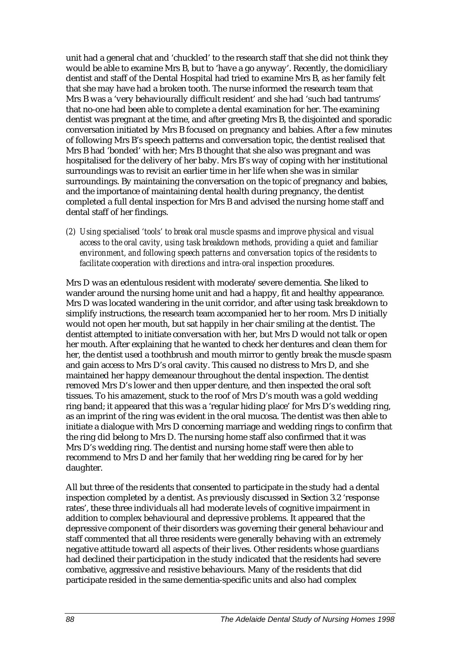unit had a general chat and 'chuckled' to the research staff that she did not think they would be able to examine Mrs B, but to 'have a go anyway'. Recently, the domiciliary dentist and staff of the Dental Hospital had tried to examine Mrs B, as her family felt that she may have had a broken tooth. The nurse informed the research team that Mrs B was a 'very behaviourally difficult resident' and she had 'such bad tantrums' that no-one had been able to complete a dental examination for her. The examining dentist was pregnant at the time, and after greeting Mrs B, the disjointed and sporadic conversation initiated by Mrs B focused on pregnancy and babies. After a few minutes of following Mrs B's speech patterns and conversation topic, the dentist realised that Mrs B had 'bonded' with her; Mrs B thought that she also was pregnant and was hospitalised for the delivery of her baby. Mrs B's way of coping with her institutional surroundings was to revisit an earlier time in her life when she was in similar surroundings. By maintaining the conversation on the topic of pregnancy and babies, and the importance of maintaining dental health during pregnancy, the dentist completed a full dental inspection for Mrs B and advised the nursing home staff and dental staff of her findings.

*(2) Using specialised 'tools' to break oral muscle spasms and improve physical and visual access to the oral cavity, using task breakdown methods, providing a quiet and familiar environment, and following speech patterns and conversation topics of the residents to facilitate cooperation with directions and intra-oral inspection procedures.*

Mrs D was an edentulous resident with moderate/severe dementia. She liked to wander around the nursing home unit and had a happy, fit and healthy appearance. Mrs D was located wandering in the unit corridor, and after using task breakdown to simplify instructions, the research team accompanied her to her room. Mrs D initially would not open her mouth, but sat happily in her chair smiling at the dentist. The dentist attempted to initiate conversation with her, but Mrs D would not talk or open her mouth. After explaining that he wanted to check her dentures and clean them for her, the dentist used a toothbrush and mouth mirror to gently break the muscle spasm and gain access to Mrs D's oral cavity. This caused no distress to Mrs D, and she maintained her happy demeanour throughout the dental inspection. The dentist removed Mrs D's lower and then upper denture, and then inspected the oral soft tissues. To his amazement, stuck to the roof of Mrs D's mouth was a gold wedding ring band; it appeared that this was a 'regular hiding place' for Mrs D's wedding ring, as an imprint of the ring was evident in the oral mucosa. The dentist was then able to initiate a dialogue with Mrs D concerning marriage and wedding rings to confirm that the ring did belong to Mrs D. The nursing home staff also confirmed that it was Mrs D's wedding ring. The dentist and nursing home staff were then able to recommend to Mrs D and her family that her wedding ring be cared for by her daughter.

All but three of the residents that consented to participate in the study had a dental inspection completed by a dentist. As previously discussed in Section 3.2 'response rates', these three individuals all had moderate levels of cognitive impairment in addition to complex behavioural and depressive problems. It appeared that the depressive component of their disorders was governing their general behaviour and staff commented that all three residents were generally behaving with an extremely negative attitude toward all aspects of their lives. Other residents whose guardians had declined their participation in the study indicated that the residents had severe combative, aggressive and resistive behaviours. Many of the residents that did participate resided in the same dementia-specific units and also had complex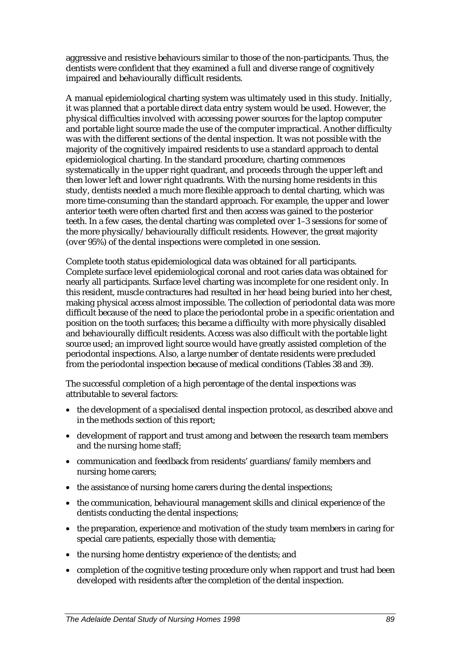aggressive and resistive behaviours similar to those of the non-participants. Thus, the dentists were confident that they examined a full and diverse range of cognitively impaired and behaviourally difficult residents.

A manual epidemiological charting system was ultimately used in this study. Initially, it was planned that a portable direct data entry system would be used. However, the physical difficulties involved with accessing power sources for the laptop computer and portable light source made the use of the computer impractical. Another difficulty was with the different sections of the dental inspection. It was not possible with the majority of the cognitively impaired residents to use a standard approach to dental epidemiological charting. In the standard procedure, charting commences systematically in the upper right quadrant, and proceeds through the upper left and then lower left and lower right quadrants. With the nursing home residents in this study, dentists needed a much more flexible approach to dental charting, which was more time-consuming than the standard approach. For example, the upper and lower anterior teeth were often charted first and then access was gained to the posterior teeth. In a few cases, the dental charting was completed over 1–3 sessions for some of the more physically/behaviourally difficult residents. However, the great majority (over 95%) of the dental inspections were completed in one session.

Complete tooth status epidemiological data was obtained for all participants. Complete surface level epidemiological coronal and root caries data was obtained for nearly all participants. Surface level charting was incomplete for one resident only. In this resident, muscle contractures had resulted in her head being buried into her chest, making physical access almost impossible. The collection of periodontal data was more difficult because of the need to place the periodontal probe in a specific orientation and position on the tooth surfaces; this became a difficulty with more physically disabled and behaviourally difficult residents. Access was also difficult with the portable light source used; an improved light source would have greatly assisted completion of the periodontal inspections. Also, a large number of dentate residents were precluded from the periodontal inspection because of medical conditions (Tables 38 and 39).

The successful completion of a high percentage of the dental inspections was attributable to several factors:

- the development of a specialised dental inspection protocol, as described above and in the methods section of this report;
- development of rapport and trust among and between the research team members and the nursing home staff;
- communication and feedback from residents' guardians/family members and nursing home carers;
- the assistance of nursing home carers during the dental inspections;
- the communication, behavioural management skills and clinical experience of the dentists conducting the dental inspections;
- the preparation, experience and motivation of the study team members in caring for special care patients, especially those with dementia;
- the nursing home dentistry experience of the dentists; and
- completion of the cognitive testing procedure only when rapport and trust had been developed with residents after the completion of the dental inspection.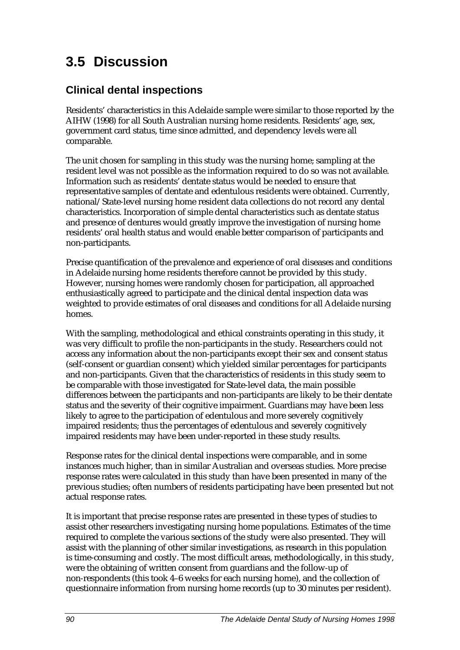# **3.5 Discussion**

# **Clinical dental inspections**

Residents' characteristics in this Adelaide sample were similar to those reported by the AIHW (1998) for all South Australian nursing home residents. Residents' age, sex, government card status, time since admitted, and dependency levels were all comparable.

The unit chosen for sampling in this study was the nursing home; sampling at the resident level was not possible as the information required to do so was not available. Information such as residents' dentate status would be needed to ensure that representative samples of dentate and edentulous residents were obtained. Currently, national/State-level nursing home resident data collections do not record any dental characteristics. Incorporation of simple dental characteristics such as dentate status and presence of dentures would greatly improve the investigation of nursing home residents' oral health status and would enable better comparison of participants and non-participants.

Precise quantification of the prevalence and experience of oral diseases and conditions in Adelaide nursing home residents therefore cannot be provided by this study. However, nursing homes were randomly chosen for participation, all approached enthusiastically agreed to participate and the clinical dental inspection data was weighted to provide estimates of oral diseases and conditions for all Adelaide nursing homes.

With the sampling, methodological and ethical constraints operating in this study, it was very difficult to profile the non-participants in the study. Researchers could not access any information about the non-participants except their sex and consent status (self-consent or guardian consent) which yielded similar percentages for participants and non-participants. Given that the characteristics of residents in this study seem to be comparable with those investigated for State-level data, the main possible differences between the participants and non-participants are likely to be their dentate status and the severity of their cognitive impairment. Guardians may have been less likely to agree to the participation of edentulous and more severely cognitively impaired residents; thus the percentages of edentulous and severely cognitively impaired residents may have been under-reported in these study results.

Response rates for the clinical dental inspections were comparable, and in some instances much higher, than in similar Australian and overseas studies. More precise response rates were calculated in this study than have been presented in many of the previous studies; often numbers of residents participating have been presented but not actual response rates.

It is important that precise response rates are presented in these types of studies to assist other researchers investigating nursing home populations. Estimates of the time required to complete the various sections of the study were also presented. They will assist with the planning of other similar investigations, as research in this population is time-consuming and costly. The most difficult areas, methodologically, in this study, were the obtaining of written consent from guardians and the follow-up of non-respondents (this took 4–6 weeks for each nursing home), and the collection of questionnaire information from nursing home records (up to 30 minutes per resident).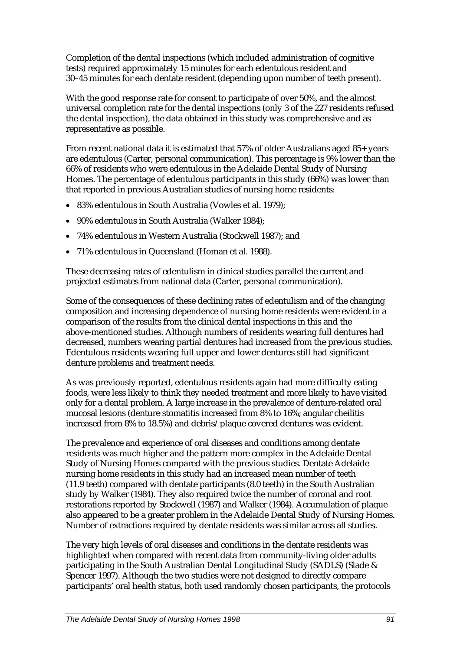Completion of the dental inspections (which included administration of cognitive tests) required approximately 15 minutes for each edentulous resident and 30–45 minutes for each dentate resident (depending upon number of teeth present).

With the good response rate for consent to participate of over 50%, and the almost universal completion rate for the dental inspections (only 3 of the 227 residents refused the dental inspection), the data obtained in this study was comprehensive and as representative as possible.

From recent national data it is estimated that 57% of older Australians aged 85+ years are edentulous (Carter, personal communication). This percentage is 9% lower than the 66% of residents who were edentulous in the Adelaide Dental Study of Nursing Homes. The percentage of edentulous participants in this study (66%) was lower than that reported in previous Australian studies of nursing home residents:

- 83% edentulous in South Australia (Vowles et al. 1979);
- 90% edentulous in South Australia (Walker 1984);
- 74% edentulous in Western Australia (Stockwell 1987); and
- 71% edentulous in Queensland (Homan et al. 1988).

These decreasing rates of edentulism in clinical studies parallel the current and projected estimates from national data (Carter, personal communication).

Some of the consequences of these declining rates of edentulism and of the changing composition and increasing dependence of nursing home residents were evident in a comparison of the results from the clinical dental inspections in this and the above-mentioned studies. Although numbers of residents wearing full dentures had decreased, numbers wearing partial dentures had increased from the previous studies. Edentulous residents wearing full upper and lower dentures still had significant denture problems and treatment needs.

As was previously reported, edentulous residents again had more difficulty eating foods, were less likely to think they needed treatment and more likely to have visited only for a dental problem. A large increase in the prevalence of denture-related oral mucosal lesions (denture stomatitis increased from 8% to 16%; angular cheilitis increased from 8% to 18.5%) and debris/plaque covered dentures was evident.

The prevalence and experience of oral diseases and conditions among dentate residents was much higher and the pattern more complex in the Adelaide Dental Study of Nursing Homes compared with the previous studies. Dentate Adelaide nursing home residents in this study had an increased mean number of teeth (11.9 teeth) compared with dentate participants (8.0 teeth) in the South Australian study by Walker (1984). They also required twice the number of coronal and root restorations reported by Stockwell (1987) and Walker (1984). Accumulation of plaque also appeared to be a greater problem in the Adelaide Dental Study of Nursing Homes. Number of extractions required by dentate residents was similar across all studies.

The very high levels of oral diseases and conditions in the dentate residents was highlighted when compared with recent data from community-living older adults participating in the South Australian Dental Longitudinal Study (SADLS) (Slade & Spencer 1997). Although the two studies were not designed to directly compare participants' oral health status, both used randomly chosen participants, the protocols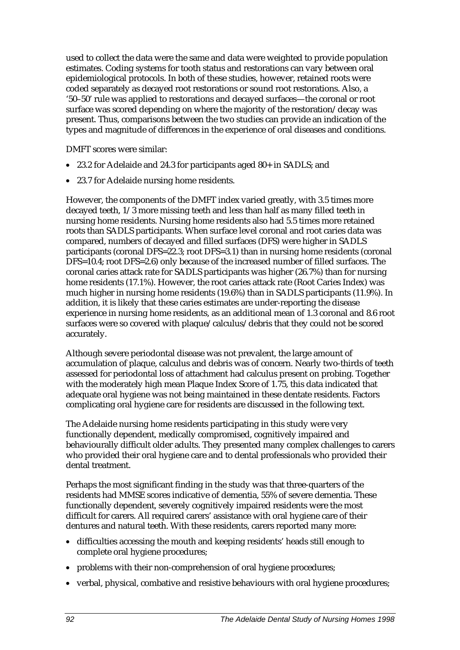used to collect the data were the same and data were weighted to provide population estimates. Coding systems for tooth status and restorations can vary between oral epidemiological protocols. In both of these studies, however, retained roots were coded separately as decayed root restorations or sound root restorations. Also, a '50–50' rule was applied to restorations and decayed surfaces—the coronal or root surface was scored depending on where the majority of the restoration/decay was present. Thus, comparisons between the two studies can provide an indication of the types and magnitude of differences in the experience of oral diseases and conditions.

DMFT scores were similar:

- 23.2 for Adelaide and 24.3 for participants aged 80+ in SADLS; and
- 23.7 for Adelaide nursing home residents.

However, the components of the DMFT index varied greatly, with 3.5 times more decayed teeth, 1/3 more missing teeth and less than half as many filled teeth in nursing home residents. Nursing home residents also had 5.5 times more retained roots than SADLS participants. When surface level coronal and root caries data was compared, numbers of decayed and filled surfaces (DFS) were higher in SADLS participants (coronal DFS=22.3; root DFS=3.1) than in nursing home residents (coronal DFS=10.4; root DFS=2.6) only because of the increased number of filled surfaces. The coronal caries attack rate for SADLS participants was higher (26.7%) than for nursing home residents (17.1%). However, the root caries attack rate (Root Caries Index) was much higher in nursing home residents (19.6%) than in SADLS participants (11.9%). In addition, it is likely that these caries estimates are under-reporting the disease experience in nursing home residents, as an additional mean of 1.3 coronal and 8.6 root surfaces were so covered with plaque/calculus/debris that they could not be scored accurately.

Although severe periodontal disease was not prevalent, the large amount of accumulation of plaque, calculus and debris was of concern. Nearly two-thirds of teeth assessed for periodontal loss of attachment had calculus present on probing. Together with the moderately high mean Plaque Index Score of 1.75, this data indicated that adequate oral hygiene was not being maintained in these dentate residents. Factors complicating oral hygiene care for residents are discussed in the following text.

The Adelaide nursing home residents participating in this study were very functionally dependent, medically compromised, cognitively impaired and behaviourally difficult older adults. They presented many complex challenges to carers who provided their oral hygiene care and to dental professionals who provided their dental treatment.

Perhaps the most significant finding in the study was that three-quarters of the residents had MMSE scores indicative of dementia, 55% of severe dementia. These functionally dependent, severely cognitively impaired residents were the most difficult for carers. All required carers' assistance with oral hygiene care of their dentures and natural teeth. With these residents, carers reported many more:

- difficulties accessing the mouth and keeping residents' heads still enough to complete oral hygiene procedures;
- problems with their non-comprehension of oral hygiene procedures;
- verbal, physical, combative and resistive behaviours with oral hygiene procedures;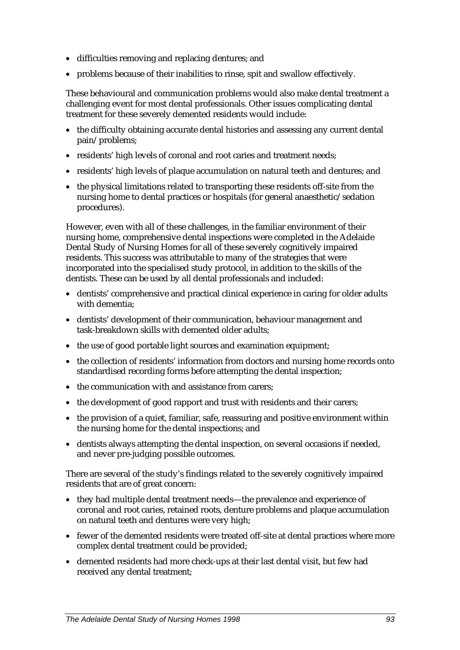- difficulties removing and replacing dentures; and
- problems because of their inabilities to rinse, spit and swallow effectively.

These behavioural and communication problems would also make dental treatment a challenging event for most dental professionals. Other issues complicating dental treatment for these severely demented residents would include:

- the difficulty obtaining accurate dental histories and assessing any current dental pain/problems;
- residents' high levels of coronal and root caries and treatment needs;
- residents' high levels of plaque accumulation on natural teeth and dentures; and
- the physical limitations related to transporting these residents off-site from the nursing home to dental practices or hospitals (for general anaesthetic/sedation procedures).

However, even with all of these challenges, in the familiar environment of their nursing home, comprehensive dental inspections were completed in the Adelaide Dental Study of Nursing Homes for all of these severely cognitively impaired residents. This success was attributable to many of the strategies that were incorporated into the specialised study protocol, in addition to the skills of the dentists. These can be used by all dental professionals and included:

- dentists' comprehensive and practical clinical experience in caring for older adults with dementia;
- dentists' development of their communication, behaviour management and task-breakdown skills with demented older adults;
- the use of good portable light sources and examination equipment;
- the collection of residents' information from doctors and nursing home records onto standardised recording forms before attempting the dental inspection;
- the communication with and assistance from carers;
- the development of good rapport and trust with residents and their carers;
- the provision of a quiet, familiar, safe, reassuring and positive environment within the nursing home for the dental inspections; and
- dentists always attempting the dental inspection, on several occasions if needed, and never pre-judging possible outcomes.

There are several of the study's findings related to the severely cognitively impaired residents that are of great concern:

- they had multiple dental treatment needs—the prevalence and experience of coronal and root caries, retained roots, denture problems and plaque accumulation on natural teeth and dentures were very high;
- fewer of the demented residents were treated off-site at dental practices where more complex dental treatment could be provided;
- demented residents had more check-ups at their last dental visit, but few had received any dental treatment;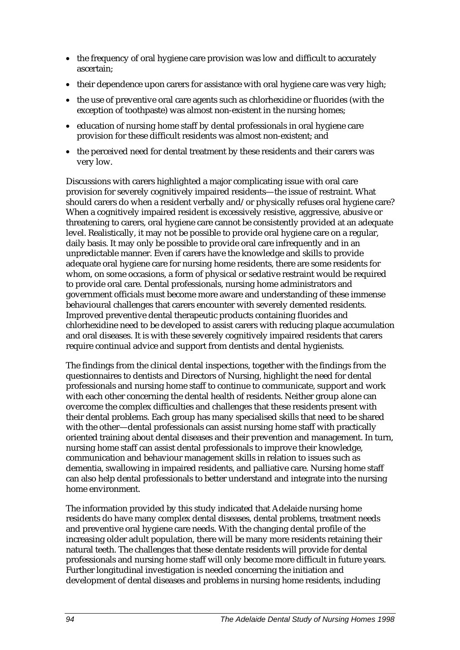- the frequency of oral hygiene care provision was low and difficult to accurately ascertain;
- their dependence upon carers for assistance with oral hygiene care was very high;
- the use of preventive oral care agents such as chlorhexidine or fluorides (with the exception of toothpaste) was almost non-existent in the nursing homes;
- education of nursing home staff by dental professionals in oral hygiene care provision for these difficult residents was almost non-existent; and
- the perceived need for dental treatment by these residents and their carers was very low.

Discussions with carers highlighted a major complicating issue with oral care provision for severely cognitively impaired residents—the issue of restraint. What should carers do when a resident verbally and/or physically refuses oral hygiene care? When a cognitively impaired resident is excessively resistive, aggressive, abusive or threatening to carers, oral hygiene care cannot be consistently provided at an adequate level. Realistically, it may not be possible to provide oral hygiene care on a regular, daily basis. It may only be possible to provide oral care infrequently and in an unpredictable manner. Even if carers have the knowledge and skills to provide adequate oral hygiene care for nursing home residents, there are some residents for whom, on some occasions, a form of physical or sedative restraint would be required to provide oral care. Dental professionals, nursing home administrators and government officials must become more aware and understanding of these immense behavioural challenges that carers encounter with severely demented residents. Improved preventive dental therapeutic products containing fluorides and chlorhexidine need to be developed to assist carers with reducing plaque accumulation and oral diseases. It is with these severely cognitively impaired residents that carers require continual advice and support from dentists and dental hygienists.

The findings from the clinical dental inspections, together with the findings from the questionnaires to dentists and Directors of Nursing, highlight the need for dental professionals and nursing home staff to continue to communicate, support and work with each other concerning the dental health of residents. Neither group alone can overcome the complex difficulties and challenges that these residents present with their dental problems. Each group has many specialised skills that need to be shared with the other—dental professionals can assist nursing home staff with practically oriented training about dental diseases and their prevention and management. In turn, nursing home staff can assist dental professionals to improve their knowledge, communication and behaviour management skills in relation to issues such as dementia, swallowing in impaired residents, and palliative care. Nursing home staff can also help dental professionals to better understand and integrate into the nursing home environment.

The information provided by this study indicated that Adelaide nursing home residents do have many complex dental diseases, dental problems, treatment needs and preventive oral hygiene care needs. With the changing dental profile of the increasing older adult population, there will be many more residents retaining their natural teeth. The challenges that these dentate residents will provide for dental professionals and nursing home staff will only become more difficult in future years. Further longitudinal investigation is needed concerning the initiation and development of dental diseases and problems in nursing home residents, including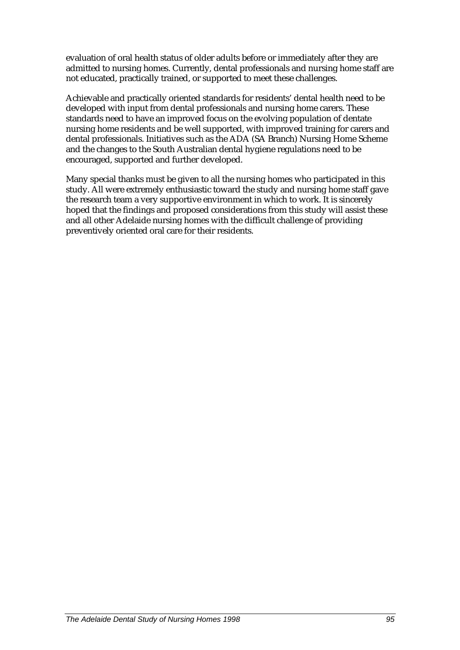evaluation of oral health status of older adults before or immediately after they are admitted to nursing homes. Currently, dental professionals and nursing home staff are not educated, practically trained, or supported to meet these challenges.

Achievable and practically oriented standards for residents' dental health need to be developed with input from dental professionals and nursing home carers. These standards need to have an improved focus on the evolving population of dentate nursing home residents and be well supported, with improved training for carers and dental professionals. Initiatives such as the ADA (SA Branch) Nursing Home Scheme and the changes to the South Australian dental hygiene regulations need to be encouraged, supported and further developed.

Many special thanks must be given to all the nursing homes who participated in this study. All were extremely enthusiastic toward the study and nursing home staff gave the research team a very supportive environment in which to work. It is sincerely hoped that the findings and proposed considerations from this study will assist these and all other Adelaide nursing homes with the difficult challenge of providing preventively oriented oral care for their residents.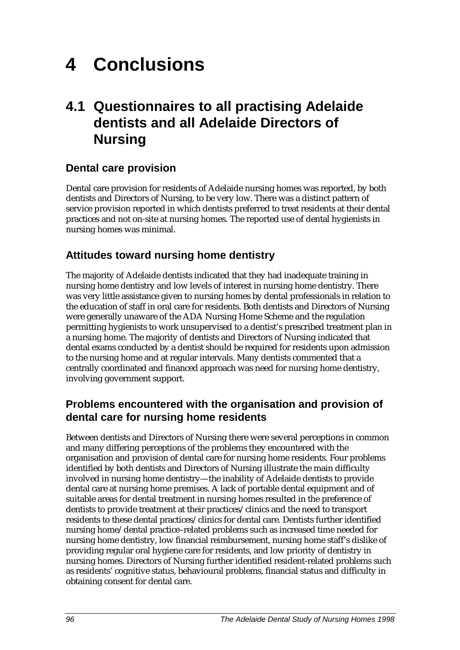# **4 Conclusions**

# **4.1 Questionnaires to all practising Adelaide dentists and all Adelaide Directors of Nursing**

# **Dental care provision**

Dental care provision for residents of Adelaide nursing homes was reported, by both dentists and Directors of Nursing, to be very low. There was a distinct pattern of service provision reported in which dentists preferred to treat residents at their dental practices and not on-site at nursing homes. The reported use of dental hygienists in nursing homes was minimal.

# **Attitudes toward nursing home dentistry**

The majority of Adelaide dentists indicated that they had inadequate training in nursing home dentistry and low levels of interest in nursing home dentistry. There was very little assistance given to nursing homes by dental professionals in relation to the education of staff in oral care for residents. Both dentists and Directors of Nursing were generally unaware of the ADA Nursing Home Scheme and the regulation permitting hygienists to work unsupervised to a dentist's prescribed treatment plan in a nursing home. The majority of dentists and Directors of Nursing indicated that dental exams conducted by a dentist should be required for residents upon admission to the nursing home and at regular intervals. Many dentists commented that a centrally coordinated and financed approach was need for nursing home dentistry, involving government support.

# **Problems encountered with the organisation and provision of dental care for nursing home residents**

Between dentists and Directors of Nursing there were several perceptions in common and many differing perceptions of the problems they encountered with the organisation and provision of dental care for nursing home residents. Four problems identified by both dentists and Directors of Nursing illustrate the main difficulty involved in nursing home dentistry—the inability of Adelaide dentists to provide dental care at nursing home premises. A lack of portable dental equipment and of suitable areas for dental treatment in nursing homes resulted in the preference of dentists to provide treatment at their practices/clinics and the need to transport residents to these dental practices/clinics for dental care. Dentists further identified nursing home/dental practice–related problems such as increased time needed for nursing home dentistry, low financial reimbursement, nursing home staff's dislike of providing regular oral hygiene care for residents, and low priority of dentistry in nursing homes. Directors of Nursing further identified resident-related problems such as residents' cognitive status, behavioural problems, financial status and difficulty in obtaining consent for dental care.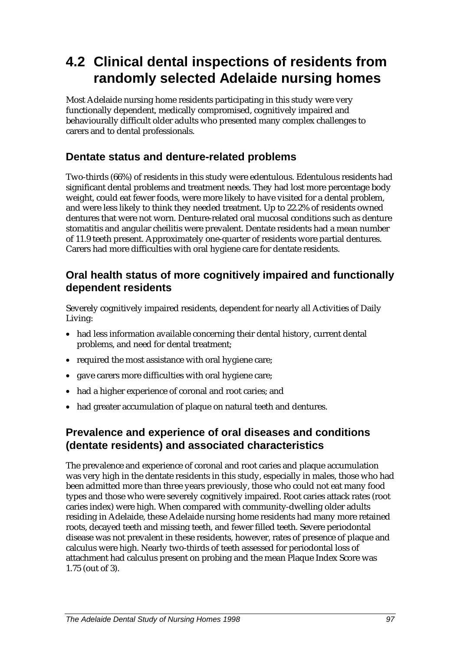# **4.2 Clinical dental inspections of residents from randomly selected Adelaide nursing homes**

Most Adelaide nursing home residents participating in this study were very functionally dependent, medically compromised, cognitively impaired and behaviourally difficult older adults who presented many complex challenges to carers and to dental professionals.

# **Dentate status and denture-related problems**

Two-thirds (66%) of residents in this study were edentulous. Edentulous residents had significant dental problems and treatment needs. They had lost more percentage body weight, could eat fewer foods, were more likely to have visited for a dental problem, and were less likely to think they needed treatment. Up to 22.2% of residents owned dentures that were not worn. Denture-related oral mucosal conditions such as denture stomatitis and angular cheilitis were prevalent. Dentate residents had a mean number of 11.9 teeth present. Approximately one-quarter of residents wore partial dentures. Carers had more difficulties with oral hygiene care for dentate residents.

### **Oral health status of more cognitively impaired and functionally dependent residents**

Severely cognitively impaired residents, dependent for nearly all Activities of Daily Living:

- had less information available concerning their dental history, current dental problems, and need for dental treatment;
- required the most assistance with oral hygiene care;
- gave carers more difficulties with oral hygiene care;
- had a higher experience of coronal and root caries; and
- had greater accumulation of plaque on natural teeth and dentures.

### **Prevalence and experience of oral diseases and conditions (dentate residents) and associated characteristics**

The prevalence and experience of coronal and root caries and plaque accumulation was very high in the dentate residents in this study, especially in males, those who had been admitted more than three years previously, those who could not eat many food types and those who were severely cognitively impaired. Root caries attack rates (root caries index) were high. When compared with community-dwelling older adults residing in Adelaide, these Adelaide nursing home residents had many more retained roots, decayed teeth and missing teeth, and fewer filled teeth. Severe periodontal disease was not prevalent in these residents, however, rates of presence of plaque and calculus were high. Nearly two-thirds of teeth assessed for periodontal loss of attachment had calculus present on probing and the mean Plaque Index Score was 1.75 (out of 3).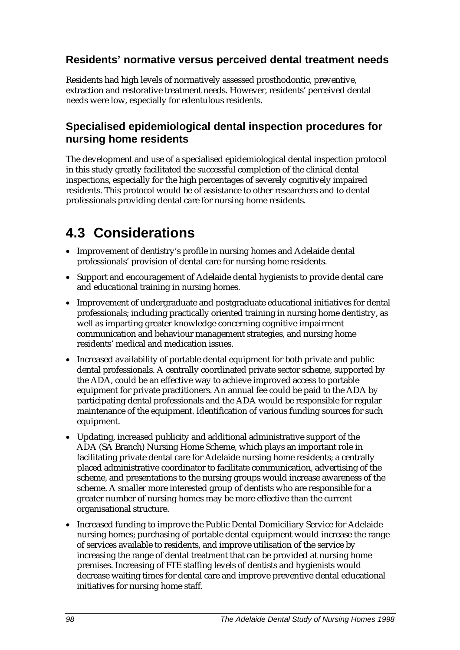# **Residents' normative versus perceived dental treatment needs**

Residents had high levels of normatively assessed prosthodontic, preventive, extraction and restorative treatment needs. However, residents' perceived dental needs were low, especially for edentulous residents.

### **Specialised epidemiological dental inspection procedures for nursing home residents**

The development and use of a specialised epidemiological dental inspection protocol in this study greatly facilitated the successful completion of the clinical dental inspections, especially for the high percentages of severely cognitively impaired residents. This protocol would be of assistance to other researchers and to dental professionals providing dental care for nursing home residents.

# **4.3 Considerations**

- Improvement of dentistry's profile in nursing homes and Adelaide dental professionals' provision of dental care for nursing home residents.
- Support and encouragement of Adelaide dental hygienists to provide dental care and educational training in nursing homes.
- Improvement of undergraduate and postgraduate educational initiatives for dental professionals; including practically oriented training in nursing home dentistry, as well as imparting greater knowledge concerning cognitive impairment communication and behaviour management strategies, and nursing home residents' medical and medication issues.
- Increased availability of portable dental equipment for both private and public dental professionals. A centrally coordinated private sector scheme, supported by the ADA, could be an effective way to achieve improved access to portable equipment for private practitioners. An annual fee could be paid to the ADA by participating dental professionals and the ADA would be responsible for regular maintenance of the equipment. Identification of various funding sources for such equipment.
- Updating, increased publicity and additional administrative support of the ADA (SA Branch) Nursing Home Scheme, which plays an important role in facilitating private dental care for Adelaide nursing home residents; a centrally placed administrative coordinator to facilitate communication, advertising of the scheme, and presentations to the nursing groups would increase awareness of the scheme. A smaller more interested group of dentists who are responsible for a greater number of nursing homes may be more effective than the current organisational structure.
- Increased funding to improve the Public Dental Domiciliary Service for Adelaide nursing homes; purchasing of portable dental equipment would increase the range of services available to residents, and improve utilisation of the service by increasing the range of dental treatment that can be provided at nursing home premises. Increasing of FTE staffing levels of dentists and hygienists would decrease waiting times for dental care and improve preventive dental educational initiatives for nursing home staff.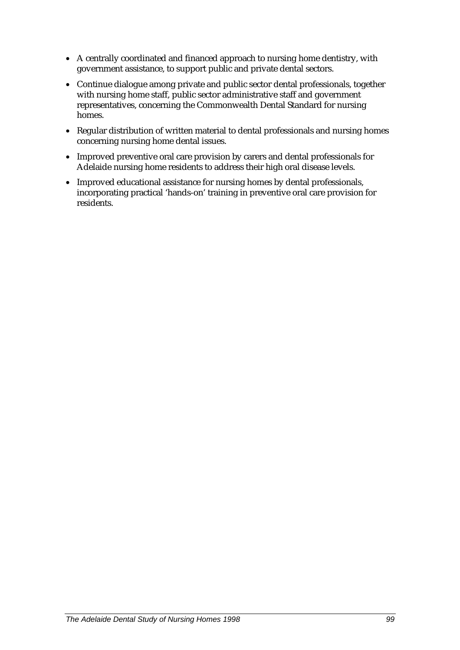- A centrally coordinated and financed approach to nursing home dentistry, with government assistance, to support public and private dental sectors.
- Continue dialogue among private and public sector dental professionals, together with nursing home staff, public sector administrative staff and government representatives, concerning the Commonwealth Dental Standard for nursing homes.
- Regular distribution of written material to dental professionals and nursing homes concerning nursing home dental issues.
- Improved preventive oral care provision by carers and dental professionals for Adelaide nursing home residents to address their high oral disease levels.
- Improved educational assistance for nursing homes by dental professionals, incorporating practical 'hands-on' training in preventive oral care provision for residents.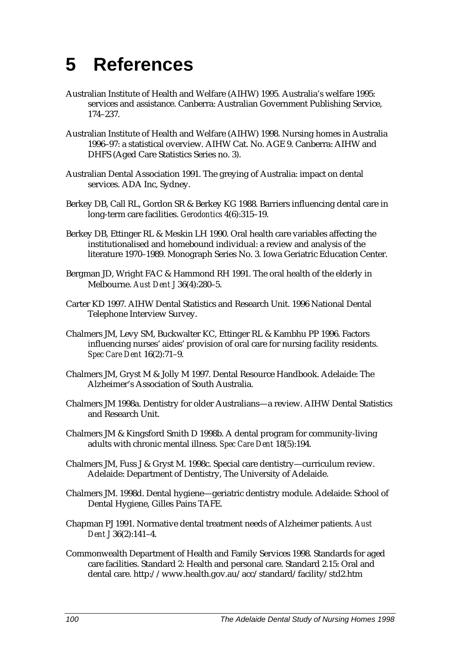### **5 References**

- Australian Institute of Health and Welfare (AIHW) 1995*.* Australia's welfare 1995: services and assistance. Canberra: Australian Government Publishing Service, 174–237.
- Australian Institute of Health and Welfare (AIHW) 1998. Nursing homes in Australia 1996–97: a statistical overview. AIHW Cat. No. AGE 9. Canberra: AIHW and DHFS (Aged Care Statistics Series no. 3).
- Australian Dental Association 1991. The greying of Australia: impact on dental services. ADA Inc, Sydney.
- Berkey DB, Call RL, Gordon SR & Berkey KG 1988. Barriers influencing dental care in long-term care facilities. *Gerodontics* 4(6):315–19.
- Berkey DB, Ettinger RL & Meskin LH 1990. Oral health care variables affecting the institutionalised and homebound individual: a review and analysis of the literature 1970–1989. Monograph Series No. 3. Iowa Geriatric Education Center.
- Bergman JD, Wright FAC & Hammond RH 1991. The oral health of the elderly in Melbourne. *Aust Dent J* 36(4):280–5.
- Carter KD 1997. AIHW Dental Statistics and Research Unit. 1996 National Dental Telephone Interview Survey.
- Chalmers JM, Levy SM, Buckwalter KC, Ettinger RL & Kambhu PP 1996. Factors influencing nurses' aides' provision of oral care for nursing facility residents. *Spec Care Dent* 16(2):71–9.
- Chalmers JM, Gryst M & Jolly M 1997. Dental Resource Handbook. Adelaide: The Alzheimer's Association of South Australia.
- Chalmers JM 1998a. Dentistry for older Australians—a review. AIHW Dental Statistics and Research Unit.
- Chalmers JM & Kingsford Smith D 1998b. A dental program for community-living adults with chronic mental illness. *Spec Care Dent* 18(5):194.
- Chalmers JM, Fuss J & Gryst M. 1998c. Special care dentistry—curriculum review. Adelaide: Department of Dentistry, The University of Adelaide.
- Chalmers JM. 1998d. Dental hygiene—geriatric dentistry module. Adelaide: School of Dental Hygiene, Gilles Pains TAFE.
- Chapman PJ 1991. Normative dental treatment needs of Alzheimer patients. *Aust Dent J* 36(2):141–4.
- Commonwealth Department of Health and Family Services 1998. Standards for aged care facilities. Standard 2: Health and personal care. Standard 2.15: Oral and dental care. http://www.health.gov.au/acc/standard/facility/std2.htm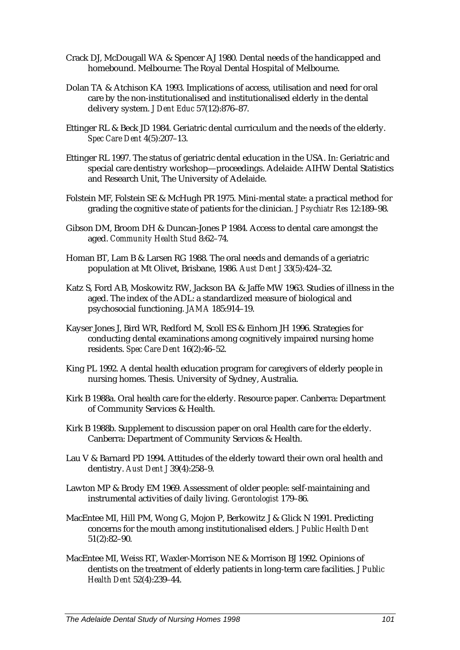- Crack DJ, McDougall WA & Spencer AJ 1980. Dental needs of the handicapped and homebound. Melbourne: The Royal Dental Hospital of Melbourne.
- Dolan TA & Atchison KA 1993. Implications of access, utilisation and need for oral care by the non-institutionalised and institutionalised elderly in the dental delivery system. *J Dent Educ* 57(12):876–87.
- Ettinger RL & Beck JD 1984. Geriatric dental curriculum and the needs of the elderly. *Spec Care Dent* 4(5):207–13.
- Ettinger RL 1997. The status of geriatric dental education in the USA. In: Geriatric and special care dentistry workshop—proceedings. Adelaide: AIHW Dental Statistics and Research Unit, The University of Adelaide.
- Folstein MF, Folstein SE & McHugh PR 1975. Mini-mental state: a practical method for grading the cognitive state of patients for the clinician. *J Psychiatr Res* 12:189–98.
- Gibson DM, Broom DH & Duncan-Jones P 1984. Access to dental care amongst the aged. *Community Health Stud* 8:62–74.
- Homan BT, Lam B & Larsen RG 1988. The oral needs and demands of a geriatric population at Mt Olivet, Brisbane, 1986. *Aust Dent J* 33(5):424–32.
- Katz S, Ford AB, Moskowitz RW, Jackson BA & Jaffe MW 1963. Studies of illness in the aged. The index of the ADL: a standardized measure of biological and psychosocial functioning. *JAMA* 185:914–19.
- Kayser Jones J, Bird WR, Redford M, Scoll ES & Einhorn JH 1996. Strategies for conducting dental examinations among cognitively impaired nursing home residents. *Spec Care Dent* 16(2):46–52.
- King PL 1992. A dental health education program for caregivers of elderly people in nursing homes. Thesis. University of Sydney, Australia.
- Kirk B 1988a. Oral health care for the elderly. Resource paper. Canberra: Department of Community Services & Health.
- Kirk B 1988b. Supplement to discussion paper on oral Health care for the elderly. Canberra: Department of Community Services & Health.
- Lau V & Barnard PD 1994. Attitudes of the elderly toward their own oral health and dentistry. *Aust Dent J* 39(4):258–9.
- Lawton MP & Brody EM 1969. Assessment of older people: self-maintaining and instrumental activities of daily living. *Gerontologist* 179–86.
- MacEntee MI, Hill PM, Wong G, Mojon P, Berkowitz J & Glick N 1991. Predicting concerns for the mouth among institutionalised elders. *J Public Health Dent* 51(2):82–90.
- MacEntee MI, Weiss RT, Waxler-Morrison NE & Morrison BJ 1992. Opinions of dentists on the treatment of elderly patients in long-term care facilities. *J Public Health Dent* 52(4):239–44.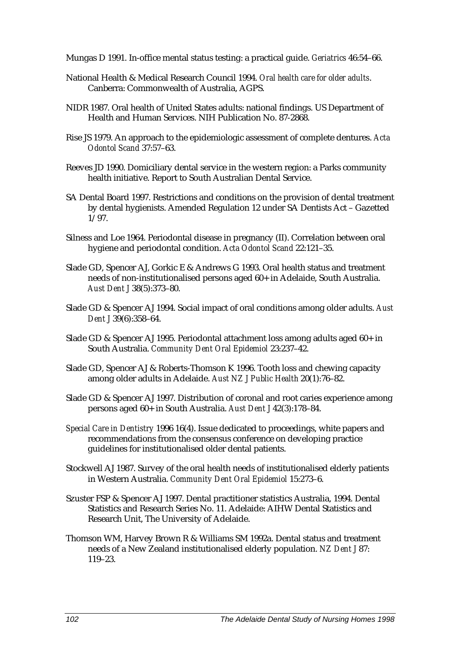Mungas D 1991. In-office mental status testing: a practical guide. *Geriatrics* 46:54–66.

- National Health & Medical Research Council 1994. *Oral health care for older adults*. Canberra: Commonwealth of Australia, AGPS.
- NIDR 1987. Oral health of United States adults: national findings. US Department of Health and Human Services. NIH Publication No. 87-2868.
- Rise JS 1979. An approach to the epidemiologic assessment of complete dentures. *Acta Odontol Scand* 37:57–63.
- Reeves JD 1990. Domiciliary dental service in the western region: a Parks community health initiative. Report to South Australian Dental Service.
- SA Dental Board 1997. Restrictions and conditions on the provision of dental treatment by dental hygienists. Amended Regulation 12 under SA Dentists Act – Gazetted 1/97.
- Silness and Loe 1964. Periodontal disease in pregnancy (II). Correlation between oral hygiene and periodontal condition. *Acta Odontol Scand* 22:121–35.
- Slade GD, Spencer AJ, Gorkic E & Andrews G 1993. Oral health status and treatment needs of non-institutionalised persons aged 60+ in Adelaide, South Australia. *Aust Dent J* 38(5):373–80.
- Slade GD & Spencer AJ 1994. Social impact of oral conditions among older adults. *Aust Dent J* 39(6):358–64.
- Slade GD & Spencer AJ 1995. Periodontal attachment loss among adults aged 60+ in South Australia. *Community Dent Oral Epidemiol* 23:237–42.
- Slade GD, Spencer AJ & Roberts-Thomson K 1996. Tooth loss and chewing capacity among older adults in Adelaide. *Aust NZ J Public Health* 20(1):76–82.
- Slade GD & Spencer AJ 1997. Distribution of coronal and root caries experience among persons aged 60+ in South Australia. *Aust Dent J* 42(3):178–84.
- *Special Care in Dentistry* 1996 16(4). Issue dedicated to proceedings, white papers and recommendations from the consensus conference on developing practice guidelines for institutionalised older dental patients.
- Stockwell AJ 1987. Survey of the oral health needs of institutionalised elderly patients in Western Australia. *Community Dent Oral Epidemiol* 15:273–6.
- Szuster FSP & Spencer AJ 1997. Dental practitioner statistics Australia, 1994. Dental Statistics and Research Series No. 11. Adelaide: AIHW Dental Statistics and Research Unit, The University of Adelaide.
- Thomson WM, Harvey Brown R & Williams SM 1992a. Dental status and treatment needs of a New Zealand institutionalised elderly population. *NZ Dent J* 87: 119–23.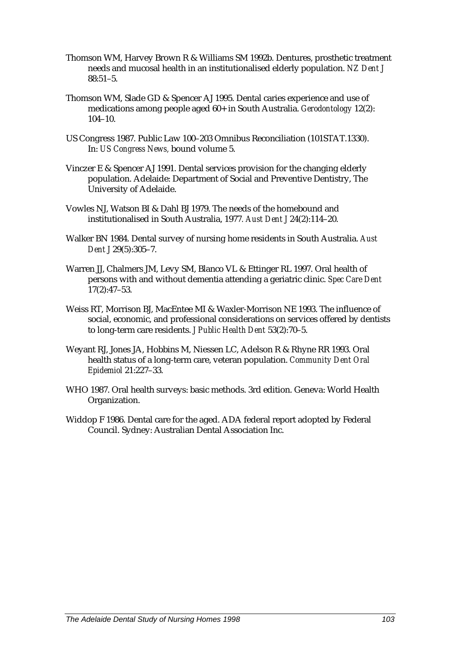- Thomson WM, Harvey Brown R & Williams SM 1992b. Dentures, prosthetic treatment needs and mucosal health in an institutionalised elderly population. *NZ Dent J*  $88:51-5.$
- Thomson WM, Slade GD & Spencer AJ 1995. Dental caries experience and use of medications among people aged 60+ in South Australia. *Gerodontology* 12(2): 104–10.
- US Congress 1987. Public Law 100–203 Omnibus Reconciliation (101STAT.1330). In: *US Congress News,* bound volume 5.
- Vinczer E & Spencer AJ 1991. Dental services provision for the changing elderly population. Adelaide: Department of Social and Preventive Dentistry, The University of Adelaide.
- Vowles NJ, Watson BI & Dahl BJ 1979. The needs of the homebound and institutionalised in South Australia, 1977*. Aust Dent J* 24(2):114–20.
- Walker BN 1984. Dental survey of nursing home residents in South Australia. *Aust Dent J* 29(5):305–7.
- Warren JJ, Chalmers JM, Levy SM, Blanco VL & Ettinger RL 1997. Oral health of persons with and without dementia attending a geriatric clinic. *Spec Care Dent* 17(2):47–53.
- Weiss RT, Morrison BJ, MacEntee MI & Waxler-Morrison NE 1993. The influence of social, economic, and professional considerations on services offered by dentists to long-term care residents. *J Public Health Dent* 53(2):70–5.
- Weyant RJ, Jones JA, Hobbins M, Niessen LC, Adelson R & Rhyne RR 1993. Oral health status of a long-term care, veteran population. *Community Dent Oral Epidemiol* 21:227–33.
- WHO 1987. Oral health surveys: basic methods. 3rd edition. Geneva: World Health Organization.
- Widdop F 1986. Dental care for the aged. ADA federal report adopted by Federal Council. Sydney: Australian Dental Association Inc.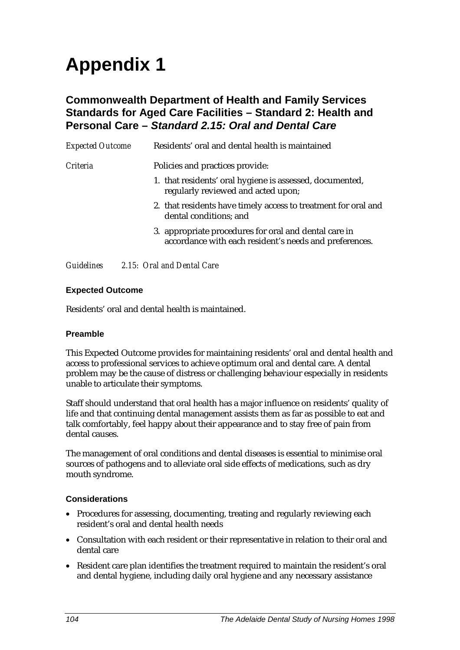# **Appendix 1**

### **Commonwealth Department of Health and Family Services Standards for Aged Care Facilities – Standard 2: Health and Personal Care –** *Standard 2.15: Oral and Dental Care*

| <b>Expected Outcome</b> | Residents' oral and dental health is maintained                                                                 |
|-------------------------|-----------------------------------------------------------------------------------------------------------------|
| <i>Criteria</i>         | Policies and practices provide:                                                                                 |
|                         | 1. that residents' oral hygiene is assessed, documented,<br>regularly reviewed and acted upon;                  |
|                         | 2. that residents have timely access to treatment for oral and<br>dental conditions; and                        |
|                         | 3. appropriate procedures for oral and dental care in<br>accordance with each resident's needs and preferences. |
|                         |                                                                                                                 |

*Guidelines 2.15: Oral and Dental Care*

#### **Expected Outcome**

Residents' oral and dental health is maintained.

#### **Preamble**

This Expected Outcome provides for maintaining residents' oral and dental health and access to professional services to achieve optimum oral and dental care. A dental problem may be the cause of distress or challenging behaviour especially in residents unable to articulate their symptoms.

Staff should understand that oral health has a major influence on residents' quality of life and that continuing dental management assists them as far as possible to eat and talk comfortably, feel happy about their appearance and to stay free of pain from dental causes.

The management of oral conditions and dental diseases is essential to minimise oral sources of pathogens and to alleviate oral side effects of medications, such as dry mouth syndrome.

#### **Considerations**

- Procedures for assessing, documenting, treating and regularly reviewing each resident's oral and dental health needs
- Consultation with each resident or their representative in relation to their oral and dental care
- Resident care plan identifies the treatment required to maintain the resident's oral and dental hygiene, including daily oral hygiene and any necessary assistance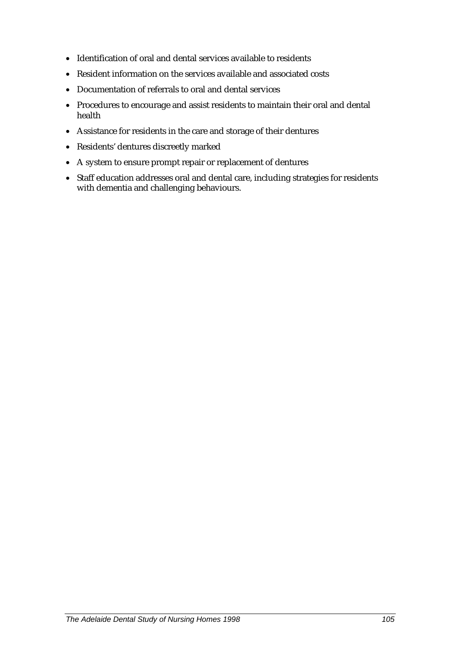- Identification of oral and dental services available to residents
- Resident information on the services available and associated costs
- Documentation of referrals to oral and dental services
- Procedures to encourage and assist residents to maintain their oral and dental health
- Assistance for residents in the care and storage of their dentures
- Residents' dentures discreetly marked
- A system to ensure prompt repair or replacement of dentures
- Staff education addresses oral and dental care, including strategies for residents with dementia and challenging behaviours.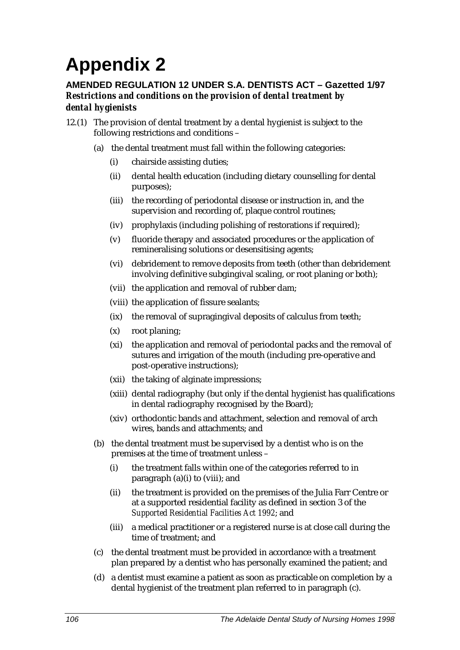# **Appendix 2**

#### **AMENDED REGULATION 12 UNDER S.A. DENTISTS ACT – Gazetted 1/97** *Restrictions and conditions on the provision of dental treatment by dental hygienists*

- 12.(1) The provision of dental treatment by a dental hygienist is subject to the following restrictions and conditions –
	- (a) the dental treatment must fall within the following categories:
		- (i) chairside assisting duties;
		- (ii) dental health education (including dietary counselling for dental purposes);
		- (iii) the recording of periodontal disease or instruction in, and the supervision and recording of, plaque control routines;
		- (iv) prophylaxis (including polishing of restorations if required);
		- (v) fluoride therapy and associated procedures or the application of remineralising solutions or desensitising agents;
		- (vi) debridement to remove deposits from teeth (other than debridement involving definitive subgingival scaling, or root planing or both);
		- (vii) the application and removal of rubber dam;
		- (viii) the application of fissure sealants;
		- (ix) the removal of supragingival deposits of calculus from teeth;
		- (x) root planing;
		- (xi) the application and removal of periodontal packs and the removal of sutures and irrigation of the mouth (including pre-operative and post-operative instructions);
		- (xii) the taking of alginate impressions;
		- (xiii) dental radiography (but only if the dental hygienist has qualifications in dental radiography recognised by the Board);
		- (xiv) orthodontic bands and attachment, selection and removal of arch wires, bands and attachments; and
	- (b) the dental treatment must be supervised by a dentist who is on the premises at the time of treatment unless –
		- (i) the treatment falls within one of the categories referred to in paragraph (a)(i) to (viii); and
		- (ii) the treatment is provided on the premises of the Julia Farr Centre or at a supported residential facility as defined in section 3 of the *Supported Residential Facilities Act 1992*; and
		- (iii) a medical practitioner or a registered nurse is at close call during the time of treatment; and
	- (c) the dental treatment must be provided in accordance with a treatment plan prepared by a dentist who has personally examined the patient; and
	- (d) a dentist must examine a patient as soon as practicable on completion by a dental hygienist of the treatment plan referred to in paragraph (c).